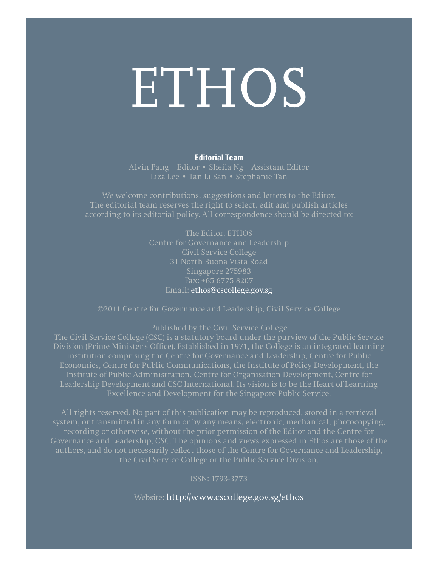# ETHOS

#### **Editorial Team**

Alvin Pang – Editor • Sheila Ng – Assistant Editor Liza Lee • Tan Li San • Stephanie Tan

We welcome contributions, suggestions and letters to the Editor. The editorial team reserves the right to select, edit and publish articles

> The Editor, ETHOS Centre for Governance and Leadership Civil Service College 31 North Buona Vista Road Singapore 275983 Fax: +65 6775 8207 Email: ethos@cscollege.gov.sg

©2011 Centre for Governance and Leadership, Civil Service College

Published by the Civil Service College

Division (Prime Minister's Office). Established in 1971, the College is an integrated learning institution comprising the Centre for Governance and Leadership, Centre for Public Economics, Centre for Public Communications, the Institute of Policy Development, the Institute of Public Administration, Centre for Organisation Development, Centre for Leadership Development and CSC International. Its vision is to be the Heart of Learning

All rights reserved. No part of this publication may be reproduced, stored in a retrieval system, or transmitted in any form or by any means, electronic, mechanical, photocopying, recording or otherwise, without the prior permission of the Editor and the Centre for Governance and Leadership, CSC. The opinions and views expressed in Ethos are those of the authors, and do not necessarily reflect those of the Centre for Governance and Leadership, the Civil Service College or the Public Service Division.

ISSN: 1793-3773

Website: http://www.cscollege.gov.sg/ethos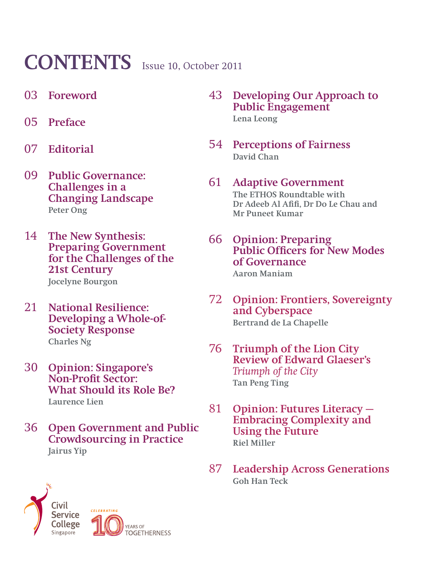# **CONTENTS** Issue 10, October 2011

- 03 **Foreword**
- 05 **Preface**
- 07 **Editorial**
- 09 **Public Governance: Challenges in a Changing Landscape Peter Ong**
- 14 **The New Synthesis: Preparing Government for the Challenges of the 21st Century Jocelyne Bourgon**
- 21 **National Resilience: Developing a Whole-of-Society Response Charles Ng**
- 30 **Opinion: Singapore's Non-Profit Sector: What Should its Role Be? Laurence Lien**
- 36 **Open Government and Public Crowdsourcing in Practice Jairus Yip**
- 43 **Developing Our Approach to Public Engagement Lena Leong**
- 54 **Perceptions of Fairness David Chan**
- 61 **Adaptive Government The ETHOS Roundtable with Dr Adeeb Al Afifi, Dr Do Le Chau and Mr Puneet Kumar**
- 66 **Opinion: Preparing Public Officers for New Modes of Governance**

**Aaron Maniam** 

- 72 **Opinion: Frontiers, Sovereignty and Cyberspace Bertrand de La Chapelle**
- 76 **Triumph of the Lion City Review of Edward Glaeser's**  *Triumph of the City* **Tan Peng Ting**
- 81 **Opinion: Futures Literacy Embracing Complexity and Using the Future Riel Miller**
- 87 **Leadership Across Generations Goh Han Teck**



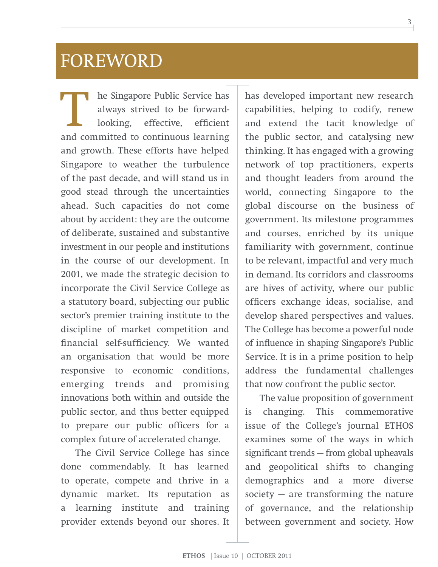### FOREWORD

T he Singapore Public Service has<br>always strived to be forward-<br>looking, effective, efficient<br>and committed to continuous learning always strived to be forwardlooking, effective, efficient and committed to continuous learning and growth. These efforts have helped Singapore to weather the turbulence of the past decade, and will stand us in good stead through the uncertainties ahead. Such capacities do not come about by accident: they are the outcome of deliberate, sustained and substantive investment in our people and institutions in the course of our development. In 2001, we made the strategic decision to incorporate the Civil Service College as a statutory board, subjecting our public sector's premier training institute to the discipline of market competition and financial self-sufficiency. We wanted an organisation that would be more responsive to economic conditions, emerging trends and promising innovations both within and outside the public sector, and thus better equipped to prepare our public officers for a complex future of accelerated change.

The Civil Service College has since done commendably. It has learned to operate, compete and thrive in a dynamic market. Its reputation as a learning institute and training provider extends beyond our shores. It has developed important new research capabilities, helping to codify, renew and extend the tacit knowledge of the public sector, and catalysing new thinking. It has engaged with a growing network of top practitioners, experts and thought leaders from around the world, connecting Singapore to the global discourse on the business of government. Its milestone programmes and courses, enriched by its unique familiarity with government, continue to be relevant, impactful and very much in demand. Its corridors and classrooms are hives of activity, where our public officers exchange ideas, socialise, and develop shared perspectives and values. The College has become a powerful node of influence in shaping Singapore's Public Service. It is in a prime position to help address the fundamental challenges that now confront the public sector.

The value proposition of government is changing. This commemorative issue of the College's journal ETHOS examines some of the ways in which significant trends — from global upheavals and geopolitical shifts to changing demographics and a more diverse society  $-$  are transforming the nature of governance, and the relationship between government and society. How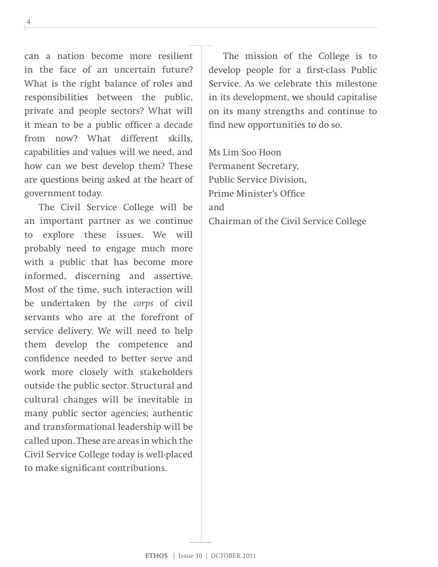can a nation become more resilient in the face of an uncertain future? What is the right balance of roles and responsibilities between the public, private and people sectors? What will it mean to be a public officer a decade from now? What different skills, capabilities and values will we need, and how can we best develop them? These are questions being asked at the heart of government today.

The Civil Service College will be an important partner as we continue to explore these issues. We will probably need to engage much more with a public that has become more informed, discerning and assertive. Most of the time, such interaction will be undertaken by the *corps* of civil servants who are at the forefront of service delivery. We will need to help them develop the competence and confidence needed to better serve and work more closely with stakeholders outside the public sector. Structural and cultural changes will be inevitable in many public sector agencies; authentic and transformational leadership will be called upon. These are areas in which the Civil Service College today is well-placed to make significant contributions.

The mission of the College is to develop people for a first-class Public Service. As we celebrate this milestone in its development, we should capitalise on its many strengths and continue to find new opportunities to do so.

Ms Lim Soo Hoon Permanent Secretary, Public Service Division, Prime Minister's Office and Chairman of the Civil Service College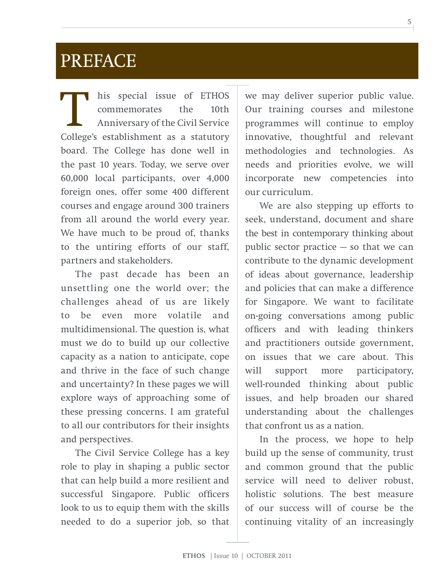### PREFACE

his special issue of ETHOS<br>commemorates the 10th commemorates Anniversary of the Civil Service College's establishment as a statutory board. The College has done well in the past 10 years. Today, we serve over 60,000 local participants, over 4,000 foreign ones, offer some 400 different courses and engage around 300 trainers from all around the world every year. We have much to be proud of, thanks to the untiring efforts of our staff, partners and stakeholders.

The past decade has been an unsettling one the world over; the challenges ahead of us are likely to be even more volatile and multidimensional. The question is, what must we do to build up our collective capacity as a nation to anticipate, cope and thrive in the face of such change and uncertainty? In these pages we will explore ways of approaching some of these pressing concerns. I am grateful to all our contributors for their insights and perspectives.

The Civil Service College has a key role to play in shaping a public sector that can help build a more resilient and successful Singapore. Public officers look to us to equip them with the skills needed to do a superior job, so that

we may deliver superior public value. Our training courses and milestone programmes will continue to employ innovative, thoughtful and relevant methodologies and technologies. As needs and priorities evolve, we will incorporate new competencies into our curriculum.

We are also stepping up efforts to seek, understand, document and share the best in contemporary thinking about public sector practice — so that we can contribute to the dynamic development of ideas about governance, leadership and policies that can make a difference for Singapore. We want to facilitate on-going conversations among public officers and with leading thinkers and practitioners outside government, on issues that we care about. This will support more participatory, well-rounded thinking about public issues, and help broaden our shared understanding about the challenges that confront us as a nation.

In the process, we hope to help build up the sense of community, trust and common ground that the public service will need to deliver robust, holistic solutions. The best measure of our success will of course be the continuing vitality of an increasingly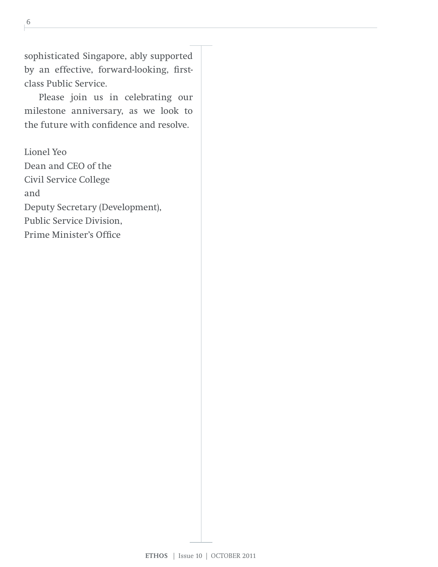sophisticated Singapore, ably supported by an effective, forward-looking, firstclass Public Service.

Please join us in celebrating our milestone anniversary, as we look to the future with confidence and resolve.

Lionel Yeo Dean and CEO of the Civil Service College and Deputy Secretary (Development), Public Service Division, Prime Minister's Office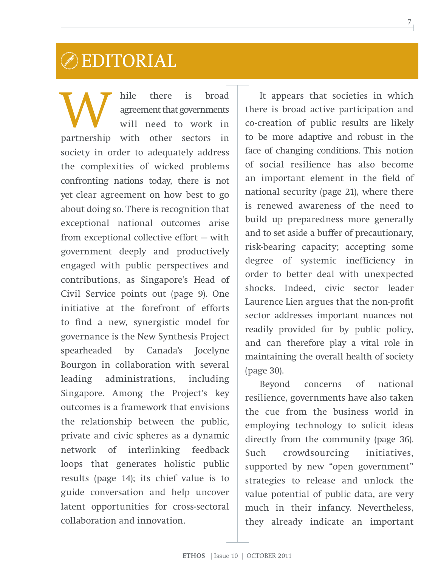### EDITORIAL

W hile there is broad<br>agreement that governments<br>will need to work in agreement that governments will need to work in partnership with other sectors in society in order to adequately address the complexities of wicked problems confronting nations today, there is not yet clear agreement on how best to go about doing so. There is recognition that exceptional national outcomes arise from exceptional collective effort — with government deeply and productively engaged with public perspectives and contributions, as Singapore's Head of Civil Service points out (page 9). One initiative at the forefront of efforts to find a new, synergistic model for governance is the New Synthesis Project spearheaded by Canada's Jocelyne Bourgon in collaboration with several leading administrations, including Singapore. Among the Project's key outcomes is a framework that envisions the relationship between the public, private and civic spheres as a dynamic network of interlinking feedback loops that generates holistic public results (page 14); its chief value is to guide conversation and help uncover latent opportunities for cross-sectoral collaboration and innovation.

It appears that societies in which there is broad active participation and co-creation of public results are likely to be more adaptive and robust in the face of changing conditions. This notion of social resilience has also become an important element in the field of national security (page 21), where there is renewed awareness of the need to build up preparedness more generally and to set aside a buffer of precautionary, risk-bearing capacity; accepting some degree of systemic inefficiency in order to better deal with unexpected shocks. Indeed, civic sector leader Laurence Lien argues that the non-profit sector addresses important nuances not readily provided for by public policy, and can therefore play a vital role in maintaining the overall health of society (page 30).

Beyond concerns of national resilience, governments have also taken the cue from the business world in employing technology to solicit ideas directly from the community (page 36). Such crowdsourcing initiatives, supported by new "open government" strategies to release and unlock the value potential of public data, are very much in their infancy. Nevertheless, they already indicate an important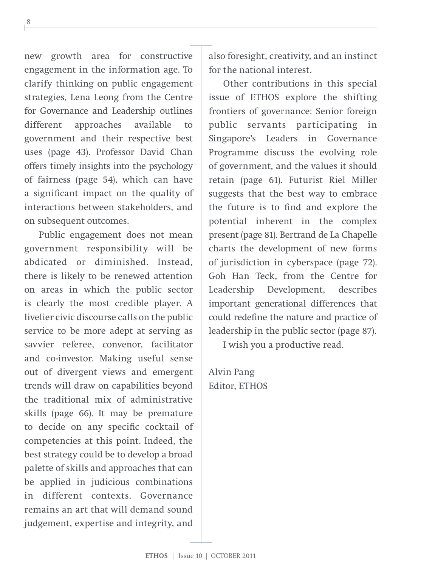new growth area for constructive engagement in the information age. To clarify thinking on public engagement strategies, Lena Leong from the Centre for Governance and Leadership outlines different approaches available to government and their respective best uses (page 43). Professor David Chan offers timely insights into the psychology of fairness (page 54), which can have a significant impact on the quality of interactions between stakeholders, and on subsequent outcomes.

Public engagement does not mean government responsibility will be abdicated or diminished. Instead, there is likely to be renewed attention on areas in which the public sector is clearly the most credible player. A livelier civic discourse calls on the public service to be more adept at serving as savvier referee, convenor, facilitator and co-investor. Making useful sense out of divergent views and emergent trends will draw on capabilities beyond the traditional mix of administrative skills (page 66). It may be premature to decide on any specific cocktail of competencies at this point. Indeed, the best strategy could be to develop a broad palette of skills and approaches that can be applied in judicious combinations in different contexts. Governance remains an art that will demand sound judgement, expertise and integrity, and

also foresight, creativity, and an instinct for the national interest.

Other contributions in this special issue of ETHOS explore the shifting frontiers of governance: Senior foreign public servants participating in Singapore's Leaders in Governance Programme discuss the evolving role of government, and the values it should retain (page 61). Futurist Riel Miller suggests that the best way to embrace the future is to find and explore the potential inherent in the complex present (page 81). Bertrand de La Chapelle charts the development of new forms of jurisdiction in cyberspace (page 72). Goh Han Teck, from the Centre for Leadership Development, describes important generational differences that could redefine the nature and practice of leadership in the public sector (page 87).

I wish you a productive read.

Alvin Pang Editor, ETHOS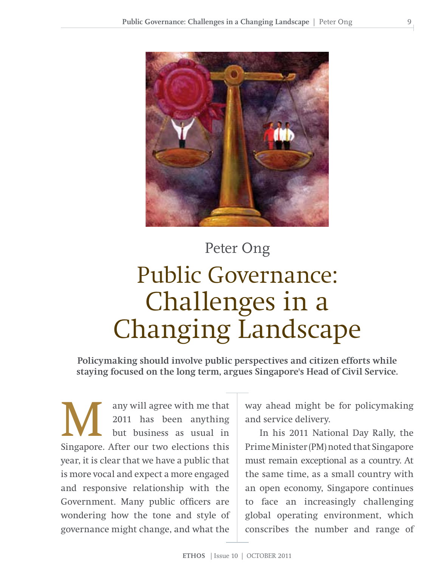

# Peter Ong Public Governance: Challenges in a Changing Landscape

**Policymaking should involve public perspectives and citizen efforts while staying focused on the long term, argues Singapore's Head of Civil Service.**

any will agree with me that<br>2011 has been anything<br>but business as usual in<br>Singapore After our two elections this 2011 has been anything but business as usual in Singapore. After our two elections this year, it is clear that we have a public that is more vocal and expect a more engaged and responsive relationship with the Government. Many public officers are wondering how the tone and style of governance might change, and what the

way ahead might be for policymaking and service delivery.

In his 2011 National Day Rally, the Prime Minister (PM) noted that Singapore must remain exceptional as a country. At the same time, as a small country with an open economy, Singapore continues to face an increasingly challenging global operating environment, which conscribes the number and range of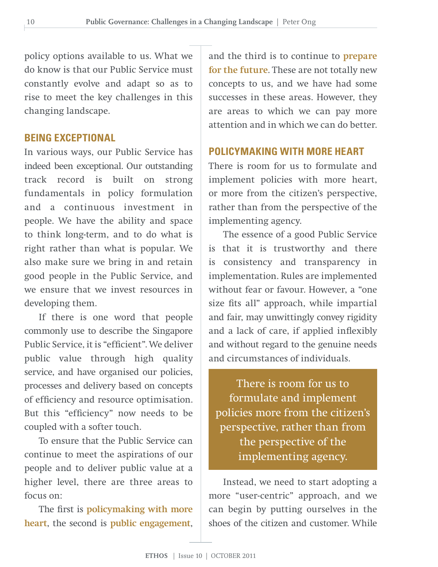policy options available to us. What we do know is that our Public Service must constantly evolve and adapt so as to rise to meet the key challenges in this changing landscape.

#### **BEING EXCEPTIONAL**

In various ways, our Public Service has indeed been exceptional. Our outstanding track record is built on strong fundamentals in policy formulation and a continuous investment in people. We have the ability and space to think long-term, and to do what is right rather than what is popular. We also make sure we bring in and retain good people in the Public Service, and we ensure that we invest resources in developing them.

If there is one word that people commonly use to describe the Singapore Public Service, it is "efficient". We deliver public value through high quality service, and have organised our policies, processes and delivery based on concepts of efficiency and resource optimisation. But this "efficiency" now needs to be coupled with a softer touch.

To ensure that the Public Service can continue to meet the aspirations of our people and to deliver public value at a higher level, there are three areas to focus on:

The first is **policymaking with more heart**, the second is **public engagement**, and the third is to continue to **prepare for the future**. These are not totally new concepts to us, and we have had some successes in these areas. However, they are areas to which we can pay more attention and in which we can do better.

#### **POLICYMAKING WITH MORE HEART**

There is room for us to formulate and implement policies with more heart, or more from the citizen's perspective, rather than from the perspective of the implementing agency.

The essence of a good Public Service is that it is trustworthy and there is consistency and transparency in implementation. Rules are implemented without fear or favour. However, a "one size fits all" approach, while impartial and fair, may unwittingly convey rigidity and a lack of care, if applied inflexibly and without regard to the genuine needs and circumstances of individuals.

There is room for us to formulate and implement policies more from the citizen's perspective, rather than from the perspective of the implementing agency.

Instead, we need to start adopting a more "user-centric" approach, and we can begin by putting ourselves in the shoes of the citizen and customer. While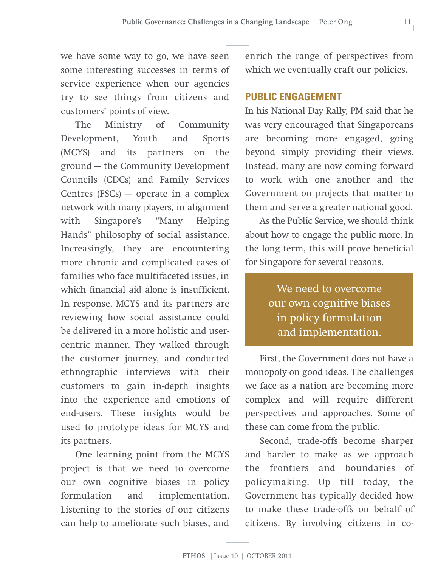we have some way to go, we have seen some interesting successes in terms of service experience when our agencies try to see things from citizens and customers' points of view.

The Ministry of Community Development, Youth and Sports (MCYS) and its partners on the ground — the Community Development Councils (CDCs) and Family Services Centres  $(FSCs)$  — operate in a complex network with many players, in alignment with Singapore's "Many Helping Hands" philosophy of social assistance. Increasingly, they are encountering more chronic and complicated cases of families who face multifaceted issues, in which financial aid alone is insufficient. In response, MCYS and its partners are reviewing how social assistance could be delivered in a more holistic and usercentric manner. They walked through the customer journey, and conducted ethnographic interviews with their customers to gain in-depth insights into the experience and emotions of end-users. These insights would be used to prototype ideas for MCYS and its partners.

One learning point from the MCYS project is that we need to overcome our own cognitive biases in policy formulation and implementation. Listening to the stories of our citizens can help to ameliorate such biases, and

enrich the range of perspectives from which we eventually craft our policies.

#### **PUBLIC ENGAGEMENT**

In his National Day Rally, PM said that he was very encouraged that Singaporeans are becoming more engaged, going beyond simply providing their views. Instead, many are now coming forward to work with one another and the Government on projects that matter to them and serve a greater national good.

As the Public Service, we should think about how to engage the public more. In the long term, this will prove beneficial for Singapore for several reasons.

> We need to overcome our own cognitive biases in policy formulation and implementation.

First, the Government does not have a monopoly on good ideas. The challenges we face as a nation are becoming more complex and will require different perspectives and approaches. Some of these can come from the public.

Second, trade-offs become sharper and harder to make as we approach the frontiers and boundaries of policymaking. Up till today, the Government has typically decided how to make these trade-offs on behalf of citizens. By involving citizens in co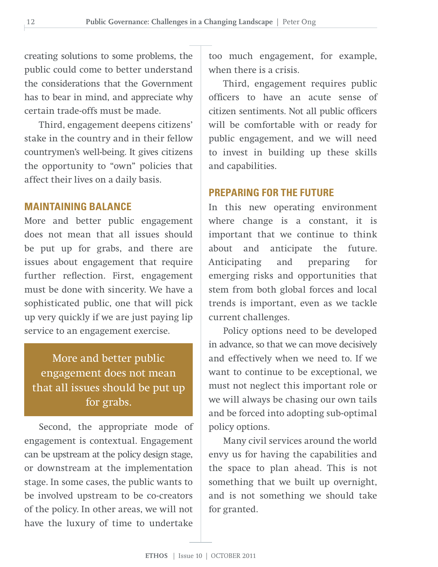creating solutions to some problems, the public could come to better understand the considerations that the Government has to bear in mind, and appreciate why certain trade-offs must be made.

Third, engagement deepens citizens' stake in the country and in their fellow countrymen's well-being. It gives citizens the opportunity to "own" policies that affect their lives on a daily basis.

#### **MAINTAINING BALANCE**

More and better public engagement does not mean that all issues should be put up for grabs, and there are issues about engagement that require further reflection. First, engagement must be done with sincerity. We have a sophisticated public, one that will pick up very quickly if we are just paying lip service to an engagement exercise.

More and better public engagement does not mean that all issues should be put up for grabs.

Second, the appropriate mode of engagement is contextual. Engagement can be upstream at the policy design stage, or downstream at the implementation stage. In some cases, the public wants to be involved upstream to be co-creators of the policy. In other areas, we will not have the luxury of time to undertake

too much engagement, for example, when there is a crisis.

Third, engagement requires public officers to have an acute sense of citizen sentiments. Not all public officers will be comfortable with or ready for public engagement, and we will need to invest in building up these skills and capabilities.

#### **PREPARING FOR THE FUTURE**

In this new operating environment where change is a constant, it is important that we continue to think about and anticipate the future. Anticipating and preparing for emerging risks and opportunities that stem from both global forces and local trends is important, even as we tackle current challenges.

Policy options need to be developed in advance, so that we can move decisively and effectively when we need to. If we want to continue to be exceptional, we must not neglect this important role or we will always be chasing our own tails and be forced into adopting sub-optimal policy options.

Many civil services around the world envy us for having the capabilities and the space to plan ahead. This is not something that we built up overnight, and is not something we should take for granted.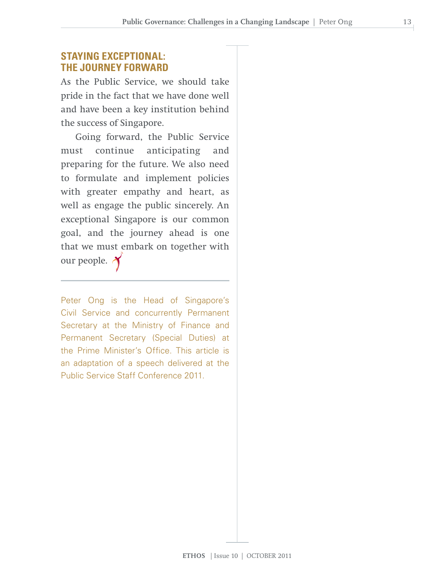#### **STAYING EXCEPTIONAL: THE JOURNEY FORWARD**

As the Public Service, we should take pride in the fact that we have done well and have been a key institution behind the success of Singapore.

Going forward, the Public Service must continue anticipating and preparing for the future. We also need to formulate and implement policies with greater empathy and heart, as well as engage the public sincerely. An exceptional Singapore is our common goal, and the journey ahead is one that we must embark on together with our people.

Peter Ong is the Head of Singapore's Civil Service and concurrently Permanent Secretary at the Ministry of Finance and Permanent Secretary (Special Duties) at the Prime Minister's Office. This article is an adaptation of a speech delivered at the Public Service Staff Conference 2011.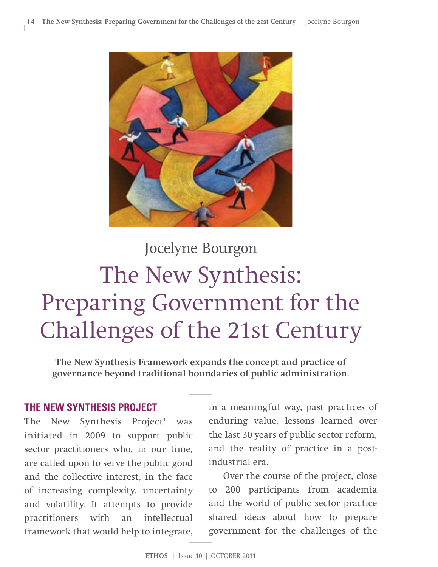

# Jocelyne Bourgon The New Synthesis: Preparing Government for the Challenges of the 21st Century

**The New Synthesis Framework expands the concept and practice of governance beyond traditional boundaries of public administration.**

#### **THE NEW SYNTHESIS PROJECT**

The New Synthesis Project<sup>1</sup> was initiated in 2009 to support public sector practitioners who, in our time, are called upon to serve the public good and the collective interest, in the face of increasing complexity, uncertainty and volatility. It attempts to provide practitioners with an intellectual framework that would help to integrate,

in a meaningful way, past practices of enduring value, lessons learned over the last 30 years of public sector reform, and the reality of practice in a postindustrial era.

Over the course of the project, close to 200 participants from academia and the world of public sector practice shared ideas about how to prepare government for the challenges of the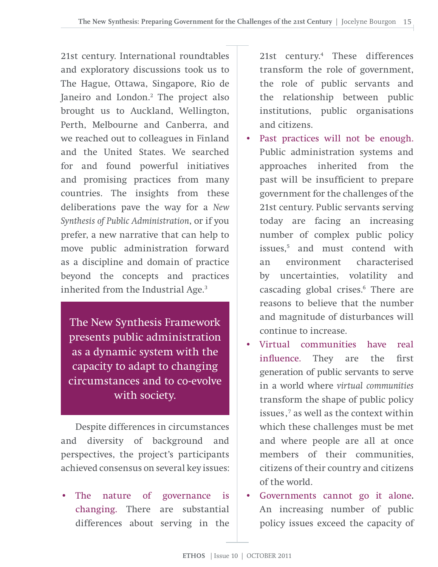21st century. International roundtables and exploratory discussions took us to The Hague, Ottawa, Singapore, Rio de Janeiro and London.<sup>2</sup> The project also brought us to Auckland, Wellington, Perth, Melbourne and Canberra, and we reached out to colleagues in Finland and the United States. We searched for and found powerful initiatives and promising practices from many countries. The insights from these deliberations pave the way for a *New Synthesis of Public Administration*, or if you prefer, a new narrative that can help to move public administration forward as a discipline and domain of practice beyond the concepts and practices inherited from the Industrial Age.3

The New Synthesis Framework presents public administration as a dynamic system with the capacity to adapt to changing circumstances and to co-evolve with society.

Despite differences in circumstances and diversity of background and perspectives, the project's participants achieved consensus on several key issues:

The nature of governance is changing. There are substantial differences about serving in the

21st century.4 These differences transform the role of government, the role of public servants and the relationship between public institutions, public organisations and citizens.

- Past practices will not be enough. Public administration systems and approaches inherited from the past will be insufficient to prepare government for the challenges of the 21st century. Public servants serving today are facing an increasing number of complex public policy issues,5 and must contend with an environment characterised by uncertainties, volatility and cascading global crises.<sup>6</sup> There are reasons to believe that the number and magnitude of disturbances will continue to increase.
- Virtual communities have real influence. They are the first generation of public servants to serve in a world where *virtual communities* transform the shape of public policy issues,<sup>7</sup> as well as the context within which these challenges must be met and where people are all at once members of their communities, citizens of their country and citizens of the world.
- Governments cannot go it alone. An increasing number of public policy issues exceed the capacity of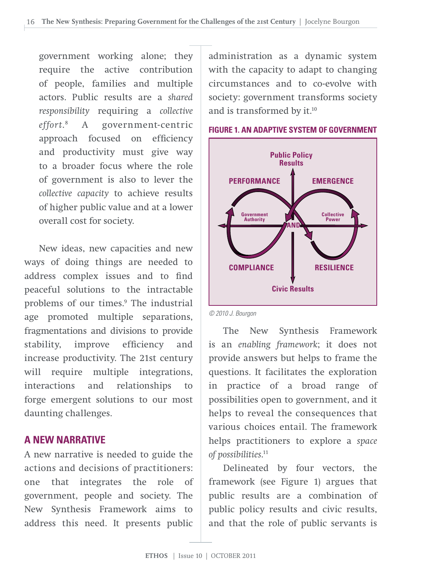government working alone; they require the active contribution of people, families and multiple actors. Public results are a *shared responsibility* requiring a *collective effor t*. 8 A government-centric approach focused on efficiency and productivity must give way to a broader focus where the role of government is also to lever the *collective capacity* to achieve results of higher public value and at a lower overall cost for society.

New ideas, new capacities and new ways of doing things are needed to address complex issues and to find peaceful solutions to the intractable problems of our times.<sup>9</sup> The industrial age promoted multiple separations, fragmentations and divisions to provide stability, improve efficiency and increase productivity. The 21st century will require multiple integrations, interactions and relationships to forge emergent solutions to our most daunting challenges.

#### **A NEW NARRATIVE**

A new narrative is needed to guide the actions and decisions of practitioners: one that integrates the role of government, people and society. The New Synthesis Framework aims to address this need. It presents public

administration as a dynamic system with the capacity to adapt to changing circumstances and to co-evolve with society: government transforms society and is transformed by it.<sup>10</sup>



#### **FIGURE 1. AN ADAPTIVE SYSTEM OF GOVERNMENT**

#### *© 2010 J. Bourgon*

The New Synthesis Framework is an *enabling framework*; it does not provide answers but helps to frame the questions. It facilitates the exploration in practice of a broad range of possibilities open to government, and it helps to reveal the consequences that various choices entail. The framework helps practitioners to explore a *space of possibilities*. 11

Delineated by four vectors, the framework (see Figure 1) argues that public results are a combination of public policy results and civic results, and that the role of public servants is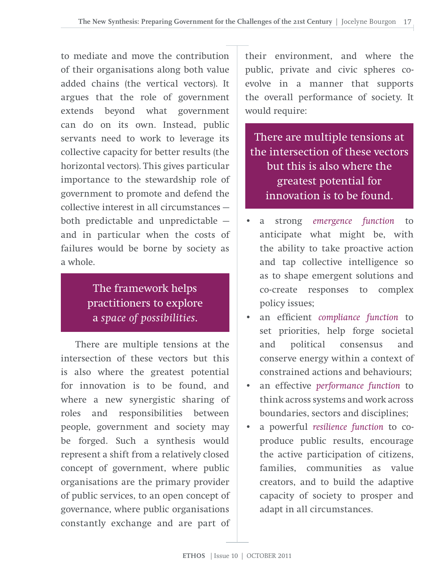to mediate and move the contribution of their organisations along both value added chains (the vertical vectors). It argues that the role of government extends beyond what government can do on its own. Instead, public servants need to work to leverage its collective capacity for better results (the horizontal vectors). This gives particular importance to the stewardship role of government to promote and defend the collective interest in all circumstances both predictable and unpredictable and in particular when the costs of failures would be borne by society as a whole.

#### The framework helps practitioners to explore a *space of possibilities*.

There are multiple tensions at the intersection of these vectors but this is also where the greatest potential for innovation is to be found, and where a new synergistic sharing of roles and responsibilities between people, government and society may be forged. Such a synthesis would represent a shift from a relatively closed concept of government, where public organisations are the primary provider of public services, to an open concept of governance, where public organisations constantly exchange and are part of their environment, and where the public, private and civic spheres coevolve in a manner that supports the overall performance of society. It would require:

There are multiple tensions at the intersection of these vectors but this is also where the greatest potential for innovation is to be found.

- a strong *emergence function* to anticipate what might be, with the ability to take proactive action and tap collective intelligence so as to shape emergent solutions and co-create responses to complex policy issues;
- an efficient *compliance function* to set priorities, help forge societal and political consensus and conserve energy within a context of constrained actions and behaviours;
- an effective *performance function* to think across systems and work across boundaries, sectors and disciplines;
- a powerful *resilience function* to coproduce public results, encourage the active participation of citizens, families, communities as value creators, and to build the adaptive capacity of society to prosper and adapt in all circumstances.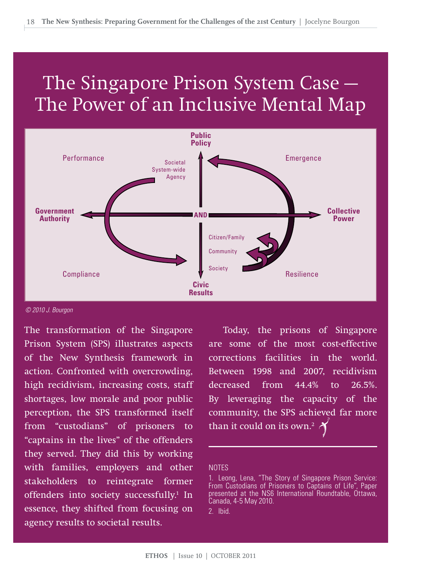### The Singapore Prison System Case — The Power of an Inclusive Mental Map



#### *© 2010 J. Bourgon*

The transformation of the Singapore Prison System (SPS) illustrates aspects of the New Synthesis framework in action. Confronted with overcrowding, high recidivism, increasing costs, staff shortages, low morale and poor public perception, the SPS transformed itself from "custodians" of prisoners to "captains in the lives" of the offenders they served. They did this by working with families, employers and other stakeholders to reintegrate former offenders into society successfully.<sup>1</sup> In essence, they shifted from focusing on agency results to societal results.

Today, the prisons of Singapore are some of the most cost-effective corrections facilities in the world. Between 1998 and 2007, recidivism decreased from 44.4% to 26.5%. By leveraging the capacity of the community, the SPS achieved far more than it could on its own.<sup>2</sup>

#### **NOTES**

1. Leong, Lena, "The Story of Singapore Prison Service: From Custodians of Prisoners to Captains of Life", Paper presented at the NS6 International Roundtable, Ottawa, Canada, 4-5 May 2010.

2. Ibid.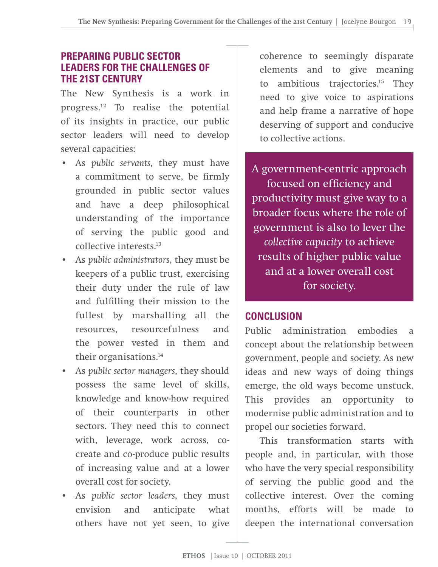#### **PREPARING PUBLIC SECTOR LEADERS FOR THE CHALLENGES OF THE 21ST CENTURY**

The New Synthesis is a work in progress.12 To realise the potential of its insights in practice, our public sector leaders will need to develop several capacities:

- As *public servants*, they must have a commitment to serve, be firmly grounded in public sector values and have a deep philosophical understanding of the importance of serving the public good and collective interests<sup>13</sup>
- As *public administrators*, they must be keepers of a public trust, exercising their duty under the rule of law and fulfilling their mission to the fullest by marshalling all the resources, resourcefulness and the power vested in them and their organisations.14
- As *public sector managers*, they should possess the same level of skills, knowledge and know-how required of their counterparts in other sectors. They need this to connect with, leverage, work across, cocreate and co-produce public results of increasing value and at a lower overall cost for society.
- As *public sector leaders*, they must envision and anticipate what others have not yet seen, to give

coherence to seemingly disparate elements and to give meaning to ambitious trajectories.<sup>15</sup> They need to give voice to aspirations and help frame a narrative of hope deserving of support and conducive to collective actions.

A government-centric approach focused on efficiency and productivity must give way to a broader focus where the role of government is also to lever the *collective capacity* to achieve results of higher public value and at a lower overall cost for society.

#### **CONCLUSION**

Public administration embodies a concept about the relationship between government, people and society. As new ideas and new ways of doing things emerge, the old ways become unstuck. This provides an opportunity to modernise public administration and to propel our societies forward.

This transformation starts with people and, in particular, with those who have the very special responsibility of serving the public good and the collective interest. Over the coming months, efforts will be made to deepen the international conversation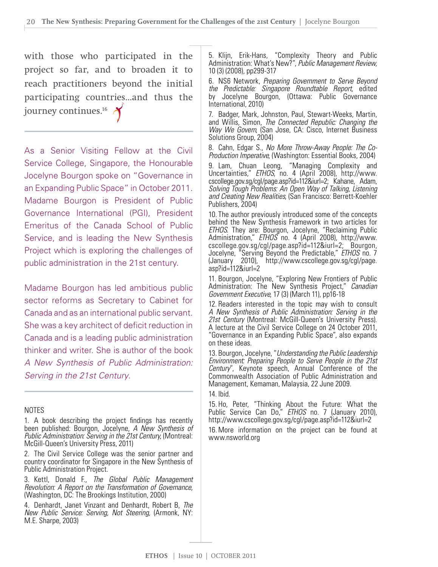with those who participated in the project so far, and to broaden it to reach practitioners beyond the initial participating countries…and thus the journey continues.<sup>16</sup>

As a Senior Visiting Fellow at the Civil Service College, Singapore, the Honourable Jocelyne Bourgon spoke on "Governance in an Expanding Public Space" in October 2011. Madame Bourgon is President of Public Governance International (PGI), President Emeritus of the Canada School of Public Service, and is leading the New Synthesis Project which is exploring the challenges of public administration in the 21st century.

Madame Bourgon has led ambitious public sector reforms as Secretary to Cabinet for Canada and as an international public servant. She was a key architect of deficit reduction in Canada and is a leading public administration thinker and writer. She is author of the book *A New Synthesis of Public Administration: Serving in the 21st Century*.

#### NOTES

1. A book describing the project findings has recently been published: Bourgon, Jocelyne, *A New Synthesis of Public Administration: Serving in the 21st Century,* (Montreal: McGill-Queen's University Press, 2011)

2. The Civil Service College was the senior partner and country coordinator for Singapore in the New Synthesis of Public Administration Project.

3. Kettl, Donald F., *The Global Public Management Revolution: A Report on the Transformation of Governance,*  (Washington, DC: The Brookings Institution, 2000)

4. Denhardt, Janet Vinzant and Denhardt, Robert B, *The New Public Service: Serving, Not Steering,* (Armonk, NY: M.E. Sharpe, 2003)

5. Klijn, Erik-Hans, "Complexity Theory and Public Administration: What's New?", *Public Management Review,* 10 (3) (2008), pp299-317

6. NS6 Network, *Preparing Government to Serve Beyond the Predictable: Singapore Roundtable Report,* edited by Jocelyne Bourgon, (Ottawa: Public Governance International, 2010)

7. Badger, Mark, Johnston, Paul, Stewart-Weeks, Martin, and Willis, Simon, *The Connected Republic: Changing the Way We Govern*, (San Jose, CA: Cisco, Internet Business Solutions Group, 2004)

8. Cahn, Edgar S., *No More Throw-Away People: The Co-Production Imperative*, (Washington: Essential Books, 2004)

9. Lam, Chuan Leong, "Managing Complexity and Uncertainties," *ETHOS*, no. 4 (April 2008), http://www. cscollege.gov.sg/cgl/page.asp?id=112&iurl=2; Kahane, Adam, *Solving Tough Problems: An Open Way of Talking, Listening and Creating New Realities*, (San Francisco: Berrett-Koehler Publishers, 2004)

10. The author previously introduced some of the concepts behind the New Synthesis Framework in two articles for *ETHOS*. They are: Bourgon, Jocelyne, "Reclaiming Public Administration," *ETHOS* no. 4 (April 2008), http://www. cscollege.gov.sg/cgl/page.asp?id=112&iurl=2; Bourgon, Jocelyne, "Serving Beyond the Predictable," *ETHOS* no. 7 (January 2010), http://www.cscollege.gov.sg/cgl/page. asp?id=112&iurl=2

11. Bourgon, Jocelyne, "Exploring New Frontiers of Public Administration: The New Synthesis Project," *Canadian Government Executive*, 17 (3) (March 11), pp16-18

12. Readers interested in the topic may wish to consult *A New Synthesis of Public Administration: Serving in the 21st Century* (Montreal: McGill-Queen's University Press). A lecture at the Civil Service College on 24 October 2011, "Governance in an Expanding Public Space", also expands on these ideas.

13. Bourgon, Jocelyne,"*Understanding the Public Leadership Environment: Preparing People to Serve People in the 21st Century*", Keynote speech, Annual Conference of the Commonwealth Association of Public Administration and Management, Kemaman, Malaysia, 22 June 2009.

14. Ibid.

15. Ho, Peter, "Thinking About the Future: What the Public Service Can Do," *ETHOS* no. 7 (January 2010), http://www.cscollege.gov.sg/cgl/page.asp?id=112&iurl=2

16. More information on the project can be found at www.nsworld.org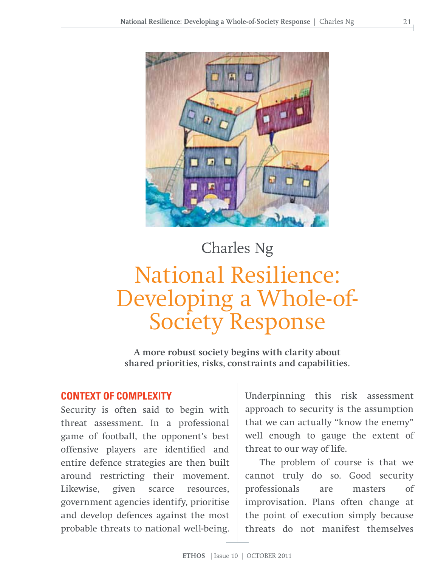

# Charles Ng National Resilience: Developing a Whole-of-Society Response

**A more robust society begins with clarity about shared priorities, risks, constraints and capabilities.**

#### **CONTEXT OF COMPLEXITY**

Security is often said to begin with threat assessment. In a professional game of football, the opponent's best offensive players are identified and entire defence strategies are then built around restricting their movement. Likewise, given scarce resources, government agencies identify, prioritise and develop defences against the most probable threats to national well-being.

Underpinning this risk assessment approach to security is the assumption that we can actually "know the enemy" well enough to gauge the extent of threat to our way of life.

The problem of course is that we cannot truly do so. Good security professionals are masters of improvisation. Plans often change at the point of execution simply because threats do not manifest themselves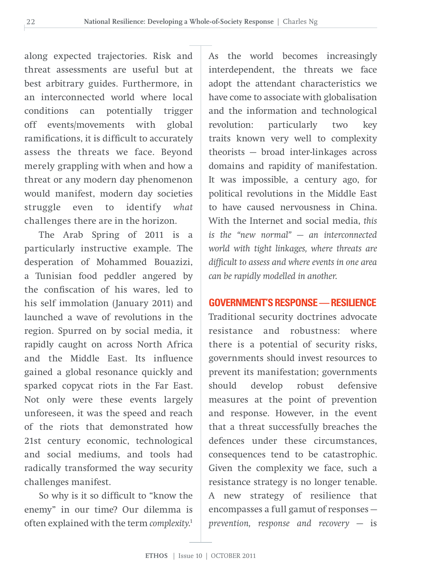along expected trajectories. Risk and threat assessments are useful but at best arbitrary guides. Furthermore, in an interconnected world where local conditions can potentially trigger off events/movements with global ramifications, it is difficult to accurately assess the threats we face. Beyond merely grappling with when and how a threat or any modern day phenomenon would manifest, modern day societies struggle even to identify *what* challenges there are in the horizon.

The Arab Spring of 2011 is a particularly instructive example. The desperation of Mohammed Bouazizi, a Tunisian food peddler angered by the confiscation of his wares, led to his self immolation (January 2011) and launched a wave of revolutions in the region. Spurred on by social media, it rapidly caught on across North Africa and the Middle East. Its influence gained a global resonance quickly and sparked copycat riots in the Far East. Not only were these events largely unforeseen, it was the speed and reach of the riots that demonstrated how 21st century economic, technological and social mediums, and tools had radically transformed the way security challenges manifest.

So why is it so difficult to "know the enemy" in our time? Our dilemma is often explained with the term *complexity*. 1

As the world becomes increasingly interdependent, the threats we face adopt the attendant characteristics we have come to associate with globalisation and the information and technological revolution: particularly two key traits known very well to complexity theorists — broad inter-linkages across domains and rapidity of manifestation. It was impossible, a century ago, for political revolutions in the Middle East to have caused nervousness in China. With the Internet and social media, *this is the "new normal" — an interconnected world with tight linkages, where threats are difficult to assess and where events in one area can be rapidly modelled in another*.

#### **GOVERNMENT'S RESPONSE — RESILIENCE**

Traditional security doctrines advocate resistance and robustness: where there is a potential of security risks, governments should invest resources to prevent its manifestation; governments should develop robust defensive measures at the point of prevention and response. However, in the event that a threat successfully breaches the defences under these circumstances, consequences tend to be catastrophic. Given the complexity we face, such a resistance strategy is no longer tenable. A new strategy of resilience that encompasses a full gamut of responses *prevention, response and recovery* — is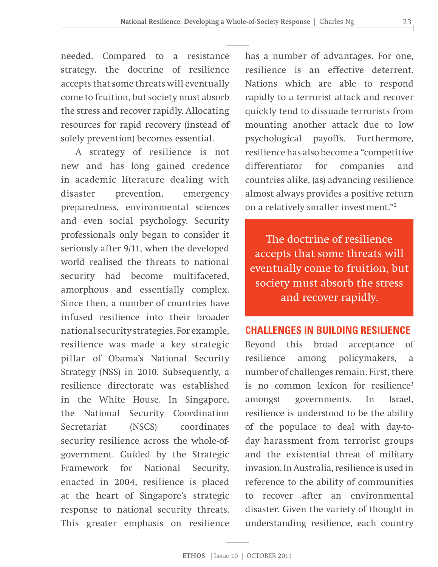needed. Compared to a resistance strategy, the doctrine of resilience accepts that some threats will eventually come to fruition, but society must absorb the stress and recover rapidly. Allocating resources for rapid recovery (instead of solely prevention) becomes essential.

A strategy of resilience is not new and has long gained credence in academic literature dealing with disaster prevention, emergency preparedness, environmental sciences and even social psychology. Security professionals only began to consider it seriously after 9/11, when the developed world realised the threats to national security had become multifaceted, amorphous and essentially complex. Since then, a number of countries have infused resilience into their broader national security strategies. For example, resilience was made a key strategic pillar of Obama's National Security Strategy (NSS) in 2010. Subsequently, a resilience directorate was established in the White House. In Singapore, the National Security Coordination Secretariat (NSCS) coordinates security resilience across the whole-ofgovernment. Guided by the Strategic Framework for National Security, enacted in 2004, resilience is placed at the heart of Singapore's strategic response to national security threats. This greater emphasis on resilience

has a number of advantages. For one, resilience is an effective deterrent. Nations which are able to respond rapidly to a terrorist attack and recover quickly tend to dissuade terrorists from mounting another attack due to low psychological payoffs. Furthermore, resilience has also become a "competitive differentiator for companies and countries alike, (as) advancing resilience almost always provides a positive return on a relatively smaller investment."2

The doctrine of resilience accepts that some threats will eventually come to fruition, but society must absorb the stress and recover rapidly.

#### **CHALLENGES IN BUILDING RESILIENCE**

Beyond this broad acceptance of resilience among policymakers, a number of challenges remain. First, there is no common lexicon for resilience<sup>3</sup> amongst governments. In Israel, resilience is understood to be the ability of the populace to deal with day-today harassment from terrorist groups and the existential threat of military invasion. In Australia, resilience is used in reference to the ability of communities to recover after an environmental disaster. Given the variety of thought in understanding resilience, each country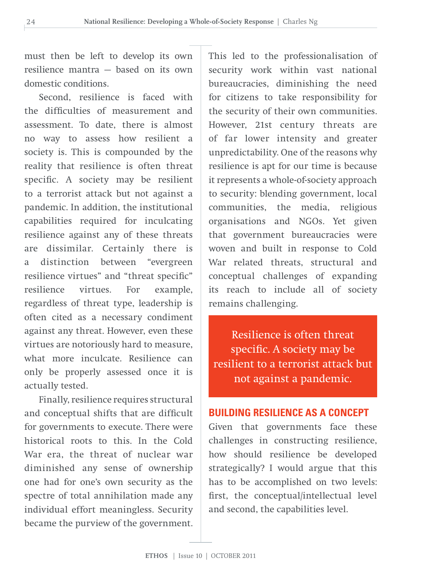must then be left to develop its own resilience mantra — based on its own domestic conditions.

Second, resilience is faced with the difficulties of measurement and assessment. To date, there is almost no way to assess how resilient a society is. This is compounded by the reality that resilience is often threat specific. A society may be resilient to a terrorist attack but not against a pandemic. In addition, the institutional capabilities required for inculcating resilience against any of these threats are dissimilar. Certainly there is a distinction between "evergreen resilience virtues" and "threat specific" resilience virtues. For example, regardless of threat type, leadership is often cited as a necessary condiment against any threat. However, even these virtues are notoriously hard to measure, what more inculcate. Resilience can only be properly assessed once it is actually tested.

Finally, resilience requires structural and conceptual shifts that are difficult for governments to execute. There were historical roots to this. In the Cold War era, the threat of nuclear war diminished any sense of ownership one had for one's own security as the spectre of total annihilation made any individual effort meaningless. Security became the purview of the government.

This led to the professionalisation of security work within vast national bureaucracies, diminishing the need for citizens to take responsibility for the security of their own communities. However, 21st century threats are of far lower intensity and greater unpredictability. One of the reasons why resilience is apt for our time is because it represents a whole-of-society approach to security: blending government, local communities, the media, religious organisations and NGOs. Yet given that government bureaucracies were woven and built in response to Cold War related threats, structural and conceptual challenges of expanding its reach to include all of society remains challenging.

Resilience is often threat specific. A society may be resilient to a terrorist attack but not against a pandemic.

#### **BUILDING RESILIENCE AS A CONCEPT**

Given that governments face these challenges in constructing resilience, how should resilience be developed strategically? I would argue that this has to be accomplished on two levels: first, the conceptual/intellectual level and second, the capabilities level.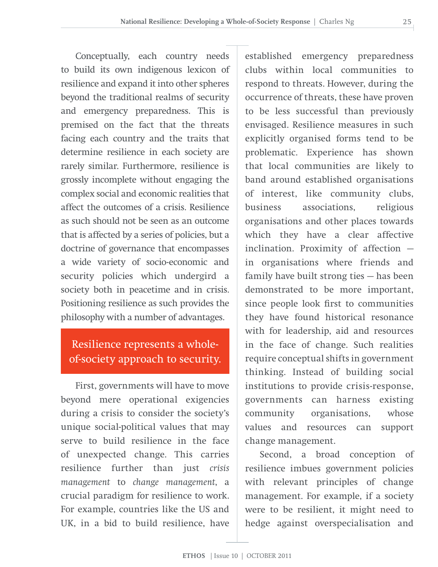Conceptually, each country needs to build its own indigenous lexicon of resilience and expand it into other spheres beyond the traditional realms of security and emergency preparedness. This is premised on the fact that the threats facing each country and the traits that determine resilience in each society are rarely similar. Furthermore, resilience is grossly incomplete without engaging the complex social and economic realities that affect the outcomes of a crisis. Resilience as such should not be seen as an outcome that is affected by a series of policies, but a doctrine of governance that encompasses a wide variety of socio-economic and security policies which undergird a society both in peacetime and in crisis. Positioning resilience as such provides the philosophy with a number of advantages.

#### Resilience represents a wholeof-society approach to security.

First, governments will have to move beyond mere operational exigencies during a crisis to consider the society's unique social-political values that may serve to build resilience in the face of unexpected change. This carries resilience further than just *crisis management* to *change management*, a crucial paradigm for resilience to work. For example, countries like the US and UK, in a bid to build resilience, have

established emergency preparedness clubs within local communities to respond to threats. However, during the occurrence of threats, these have proven to be less successful than previously envisaged. Resilience measures in such explicitly organised forms tend to be problematic. Experience has shown that local communities are likely to band around established organisations of interest, like community clubs, business associations, religious organisations and other places towards which they have a clear affective inclination. Proximity of affection in organisations where friends and family have built strong ties — has been demonstrated to be more important, since people look first to communities they have found historical resonance with for leadership, aid and resources in the face of change. Such realities require conceptual shifts in government thinking. Instead of building social institutions to provide crisis-response, governments can harness existing community organisations, whose values and resources can support change management.

Second, a broad conception of resilience imbues government policies with relevant principles of change management. For example, if a society were to be resilient, it might need to hedge against overspecialisation and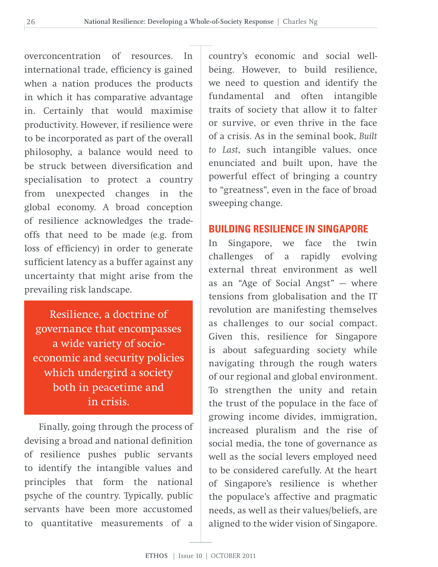overconcentration of resources. In international trade, efficiency is gained when a nation produces the products in which it has comparative advantage in. Certainly that would maximise productivity. However, if resilience were to be incorporated as part of the overall philosophy, a balance would need to be struck between diversification and specialisation to protect a country from unexpected changes in the global economy. A broad conception of resilience acknowledges the tradeoffs that need to be made (e.g. from loss of efficiency) in order to generate sufficient latency as a buffer against any uncertainty that might arise from the prevailing risk landscape.

Resilience, a doctrine of governance that encompasses a wide variety of socioeconomic and security policies which undergird a society both in peacetime and in crisis.

Finally, going through the process of devising a broad and national definition of resilience pushes public servants to identify the intangible values and principles that form the national psyche of the country. Typically, public servants have been more accustomed to quantitative measurements of a

country's economic and social wellbeing. However, to build resilience, we need to question and identify the fundamental and often intangible traits of society that allow it to falter or survive, or even thrive in the face of a crisis. As in the seminal book, *Built to Last*, such intangible values, once enunciated and built upon, have the powerful effect of bringing a country to "greatness", even in the face of broad sweeping change.

#### **BUILDING RESILIENCE IN SINGAPORE**

In Singapore, we face the twin challenges of a rapidly evolving external threat environment as well as an "Age of Social Angst" — where tensions from globalisation and the IT revolution are manifesting themselves as challenges to our social compact. Given this, resilience for Singapore is about safeguarding society while navigating through the rough waters of our regional and global environment. To strengthen the unity and retain the trust of the populace in the face of growing income divides, immigration, increased pluralism and the rise of social media, the tone of governance as well as the social levers employed need to be considered carefully. At the heart of Singapore's resilience is whether the populace's affective and pragmatic needs, as well as their values/beliefs, are aligned to the wider vision of Singapore.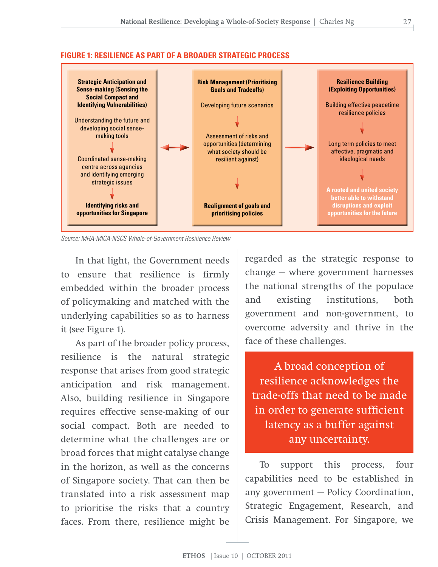#### **FIGURE 1: RESILIENCE AS PART OF A BROADER STRATEGIC PROCESS**



*Source: MHA-MICA-NSCS Whole-of-Government Resilience Review* 

In that light, the Government needs to ensure that resilience is firmly embedded within the broader process of policymaking and matched with the underlying capabilities so as to harness it (see Figure 1).

As part of the broader policy process, resilience is the natural strategic response that arises from good strategic anticipation and risk management. Also, building resilience in Singapore requires effective sense-making of our social compact. Both are needed to determine what the challenges are or broad forces that might catalyse change in the horizon, as well as the concerns of Singapore society. That can then be translated into a risk assessment map to prioritise the risks that a country faces. From there, resilience might be regarded as the strategic response to change — where government harnesses the national strengths of the populace and existing institutions, both government and non-government, to overcome adversity and thrive in the face of these challenges.

A broad conception of resilience acknowledges the trade-offs that need to be made in order to generate sufficient latency as a buffer against any uncertainty.

To support this process, four capabilities need to be established in any government — Policy Coordination, Strategic Engagement, Research, and Crisis Management. For Singapore, we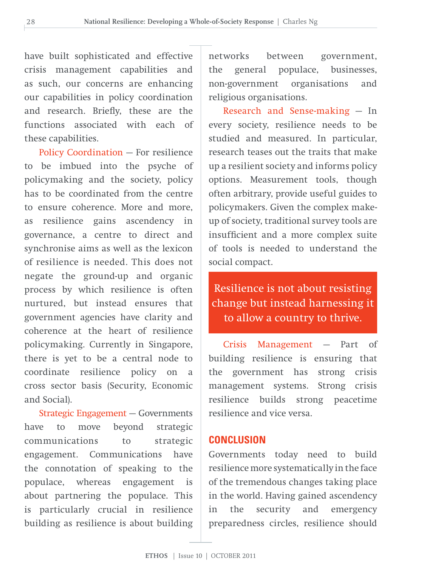have built sophisticated and effective crisis management capabilities and as such, our concerns are enhancing our capabilities in policy coordination and research. Briefly, these are the functions associated with each of these capabilities.

Policy Coordination — For resilience to be imbued into the psyche of policymaking and the society, policy has to be coordinated from the centre to ensure coherence. More and more, as resilience gains ascendency in governance, a centre to direct and synchronise aims as well as the lexicon of resilience is needed. This does not negate the ground-up and organic process by which resilience is often nurtured, but instead ensures that government agencies have clarity and coherence at the heart of resilience policymaking. Currently in Singapore, there is yet to be a central node to coordinate resilience policy on a cross sector basis (Security, Economic and Social).

Strategic Engagement — Governments have to move beyond strategic communications to strategic engagement. Communications have the connotation of speaking to the populace, whereas engagement is about partnering the populace. This is particularly crucial in resilience building as resilience is about building

networks between government, the general populace, businesses, non-government organisations and religious organisations.

Research and Sense-making — In every society, resilience needs to be studied and measured. In particular, research teases out the traits that make up a resilient society and informs policy options. Measurement tools, though often arbitrary, provide useful guides to policymakers. Given the complex makeup of society, traditional survey tools are insufficient and a more complex suite of tools is needed to understand the social compact.

Resilience is not about resisting change but instead harnessing it to allow a country to thrive.

Crisis Management — Part of building resilience is ensuring that the government has strong crisis management systems. Strong crisis resilience builds strong peacetime resilience and vice versa.

#### **CONCLUSION**

Governments today need to build resilience more systematically in the face of the tremendous changes taking place in the world. Having gained ascendency in the security and emergency preparedness circles, resilience should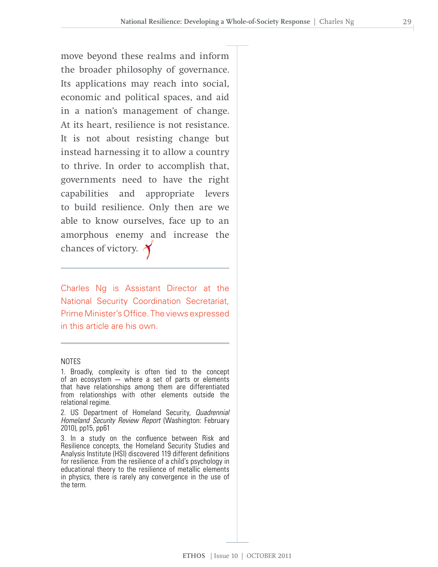move beyond these realms and inform the broader philosophy of governance. Its applications may reach into social, economic and political spaces, and aid in a nation's management of change. At its heart, resilience is not resistance. It is not about resisting change but instead harnessing it to allow a country to thrive. In order to accomplish that, governments need to have the right capabilities and appropriate levers to build resilience. Only then are we able to know ourselves, face up to an amorphous enemy and increase the chances of victory.

Charles Ng is Assistant Director at the National Security Coordination Secretariat, Prime Minister's Office. The views expressed in this article are his own.

#### NOTES

1. Broadly, complexity is often tied to the concept of an ecosystem — where a set of parts or elements that have relationships among them are differentiated from relationships with other elements outside the relational regime.

2. US Department of Homeland Security, *Quadrennial Homeland Security Review Report* (Washington: February 2010), pp15, pp61

3. In a study on the confluence between Risk and Resilience concepts, the Homeland Security Studies and Analysis Institute (HSI) discovered 119 different definitions for resilience. From the resilience of a child's psychology in educational theory to the resilience of metallic elements in physics, there is rarely any convergence in the use of the term.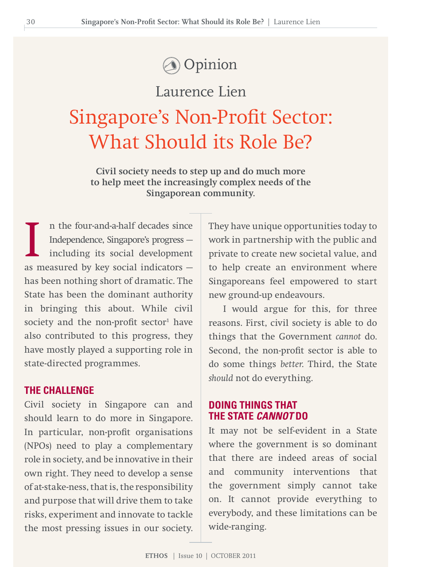### **Opinion**

Laurence Lien

## Singapore's Non-Profit Sector: What Should its Role Be?

**Civil society needs to step up and do much more to help meet the increasingly complex needs of the Singaporean community.**

In the four-and-a-half decades since<br>Independence, Singapore's progress —<br>including its social development<br>as measured by key social indicators n the four-and-a-half decades since Independence, Singapore's progress including its social development has been nothing short of dramatic. The State has been the dominant authority in bringing this about. While civil society and the non-profit sector $1$  have also contributed to this progress, they have mostly played a supporting role in state-directed programmes.

#### **THE CHALLENGE**

Civil society in Singapore can and should learn to do more in Singapore. In particular, non-profit organisations (NPOs) need to play a complementary role in society, and be innovative in their own right. They need to develop a sense of at-stake-ness, that is, the responsibility and purpose that will drive them to take risks, experiment and innovate to tackle the most pressing issues in our society. They have unique opportunities today to work in partnership with the public and private to create new societal value, and to help create an environment where Singaporeans feel empowered to start new ground-up endeavours.

I would argue for this, for three reasons. First, civil society is able to do things that the Government *cannot* do. Second, the non-profit sector is able to do some things *better*. Third, the State *should* not do everything.

#### **DOING THINGS THAT THE STATE** *CANNOT* **DO**

It may not be self-evident in a State where the government is so dominant that there are indeed areas of social and community interventions that the government simply cannot take on. It cannot provide everything to everybody, and these limitations can be wide-ranging.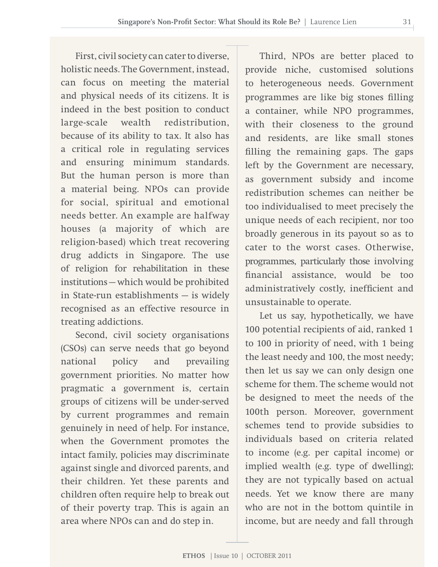First, civil society can cater to diverse, holistic needs. The Government, instead, can focus on meeting the material and physical needs of its citizens. It is indeed in the best position to conduct large-scale wealth redistribution, because of its ability to tax. It also has a critical role in regulating services and ensuring minimum standards. But the human person is more than a material being. NPOs can provide for social, spiritual and emotional needs better. An example are halfway houses (a majority of which are religion-based) which treat recovering drug addicts in Singapore. The use of religion for rehabilitation in these institutions — which would be prohibited in State-run establishments — is widely recognised as an effective resource in treating addictions.

Second, civil society organisations (CSOs) can serve needs that go beyond national policy and prevailing government priorities. No matter how pragmatic a government is, certain groups of citizens will be under-served by current programmes and remain genuinely in need of help. For instance, when the Government promotes the intact family, policies may discriminate against single and divorced parents, and their children. Yet these parents and children often require help to break out of their poverty trap. This is again an area where NPOs can and do step in.

Third, NPOs are better placed to provide niche, customised solutions to heterogeneous needs. Government programmes are like big stones filling a container, while NPO programmes, with their closeness to the ground and residents, are like small stones filling the remaining gaps. The gaps left by the Government are necessary, as government subsidy and income redistribution schemes can neither be too individualised to meet precisely the unique needs of each recipient, nor too broadly generous in its payout so as to cater to the worst cases. Otherwise, programmes, particularly those involving financial assistance, would be too administratively costly, inefficient and unsustainable to operate.

Let us say, hypothetically, we have 100 potential recipients of aid, ranked 1 to 100 in priority of need, with 1 being the least needy and 100, the most needy; then let us say we can only design one scheme for them. The scheme would not be designed to meet the needs of the 100th person. Moreover, government schemes tend to provide subsidies to individuals based on criteria related to income (e.g. per capital income) or implied wealth (e.g. type of dwelling); they are not typically based on actual needs. Yet we know there are many who are not in the bottom quintile in income, but are needy and fall through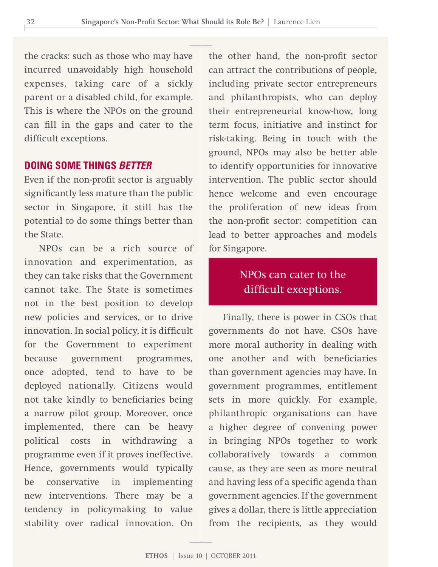the cracks: such as those who may have incurred unavoidably high household expenses, taking care of a sickly parent or a disabled child, for example. This is where the NPOs on the ground can fill in the gaps and cater to the difficult exceptions.

#### **DOING SOME THINGS** *BETTER*

Even if the non-profit sector is arguably significantly less mature than the public sector in Singapore, it still has the potential to do some things better than the State.

NPOs can be a rich source of innovation and experimentation, as they can take risks that the Government cannot take. The State is sometimes not in the best position to develop new policies and services, or to drive innovation. In social policy, it is difficult for the Government to experiment because government programmes, once adopted, tend to have to be deployed nationally. Citizens would not take kindly to beneficiaries being a narrow pilot group. Moreover, once implemented, there can be heavy political costs in withdrawing a programme even if it proves ineffective. Hence, governments would typically be conservative in implementing new interventions. There may be a tendency in policymaking to value stability over radical innovation. On

the other hand, the non-profit sector can attract the contributions of people, including private sector entrepreneurs and philanthropists, who can deploy their entrepreneurial know-how, long term focus, initiative and instinct for risk-taking. Being in touch with the ground, NPOs may also be better able to identify opportunities for innovative intervention. The public sector should hence welcome and even encourage the proliferation of new ideas from the non-profit sector: competition can lead to better approaches and models for Singapore.

#### NPOs can cater to the difficult exceptions.

Finally, there is power in CSOs that governments do not have. CSOs have more moral authority in dealing with one another and with beneficiaries than government agencies may have. In government programmes, entitlement sets in more quickly. For example, philanthropic organisations can have a higher degree of convening power in bringing NPOs together to work collaboratively towards a common cause, as they are seen as more neutral and having less of a specific agenda than government agencies. If the government gives a dollar, there is little appreciation from the recipients, as they would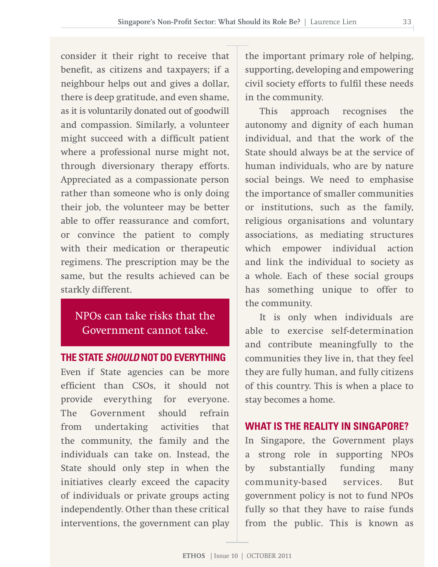consider it their right to receive that benefit, as citizens and taxpayers; if a neighbour helps out and gives a dollar, there is deep gratitude, and even shame, as it is voluntarily donated out of goodwill and compassion. Similarly, a volunteer might succeed with a difficult patient where a professional nurse might not, through diversionary therapy efforts. Appreciated as a compassionate person rather than someone who is only doing their job, the volunteer may be better able to offer reassurance and comfort, or convince the patient to comply with their medication or therapeutic regimens. The prescription may be the same, but the results achieved can be starkly different.

#### NPOs can take risks that the Government cannot take.

#### **THE STATE** *SHOULD* **NOT DO EVERYTHING**

Even if State agencies can be more efficient than CSOs, it should not provide everything for everyone. The Government should refrain from undertaking activities that the community, the family and the individuals can take on. Instead, the State should only step in when the initiatives clearly exceed the capacity of individuals or private groups acting independently. Other than these critical interventions, the government can play the important primary role of helping, supporting, developing and empowering civil society efforts to fulfil these needs in the community.

This approach recognises the autonomy and dignity of each human individual, and that the work of the State should always be at the service of human individuals, who are by nature social beings. We need to emphasise the importance of smaller communities or institutions, such as the family, religious organisations and voluntary associations, as mediating structures which empower individual action and link the individual to society as a whole. Each of these social groups has something unique to offer to the community.

It is only when individuals are able to exercise self-determination and contribute meaningfully to the communities they live in, that they feel they are fully human, and fully citizens of this country. This is when a place to stay becomes a home.

#### **WHAT IS THE REALITY IN SINGAPORE?**

In Singapore, the Government plays a strong role in supporting NPOs by substantially funding many community-based services. But government policy is not to fund NPOs fully so that they have to raise funds from the public. This is known as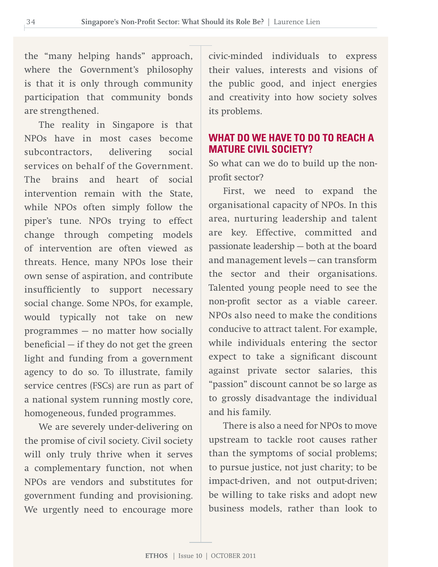the "many helping hands" approach, where the Government's philosophy is that it is only through community participation that community bonds are strengthened.

The reality in Singapore is that NPOs have in most cases become subcontractors, delivering social services on behalf of the Government. The brains and heart of social intervention remain with the State, while NPOs often simply follow the piper's tune. NPOs trying to effect change through competing models of intervention are often viewed as threats. Hence, many NPOs lose their own sense of aspiration, and contribute insufficiently to support necessary social change. Some NPOs, for example, would typically not take on new programmes — no matter how socially beneficial — if they do not get the green light and funding from a government agency to do so. To illustrate, family service centres (FSCs) are run as part of a national system running mostly core, homogeneous, funded programmes.

We are severely under-delivering on the promise of civil society. Civil society will only truly thrive when it serves a complementary function, not when NPOs are vendors and substitutes for government funding and provisioning. We urgently need to encourage more

civic-minded individuals to express their values, interests and visions of the public good, and inject energies and creativity into how society solves its problems.

#### **WHAT DO WE HAVE TO DO TO REACH A MATURE CIVIL SOCIETY?**

So what can we do to build up the nonprofit sector?

First, we need to expand the organisational capacity of NPOs. In this area, nurturing leadership and talent are key. Effective, committed and passionate leadership — both at the board and management levels — can transform the sector and their organisations. Talented young people need to see the non-profit sector as a viable career. NPOs also need to make the conditions conducive to attract talent. For example, while individuals entering the sector expect to take a significant discount against private sector salaries, this "passion" discount cannot be so large as to grossly disadvantage the individual and his family.

There is also a need for NPOs to move upstream to tackle root causes rather than the symptoms of social problems; to pursue justice, not just charity; to be impact-driven, and not output-driven; be willing to take risks and adopt new business models, rather than look to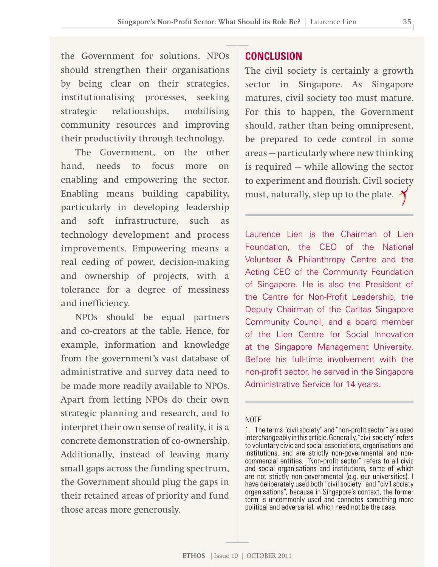the Government for solutions. NPOs should strengthen their organisations by being clear on their strategies, institutionalising processes, seeking strategic relationships, mobilising community resources and improving their productivity through technology.

The Government, on the other hand, needs to focus more on enabling and empowering the sector. Enabling means building capability, particularly in developing leadership and soft infrastructure, such as technology development and process improvements. Empowering means a real ceding of power, decision-making and ownership of projects, with a tolerance for a degree of messiness and inefficiency.

NPOs should be equal partners and co-creators at the table. Hence, for example, information and knowledge from the government's vast database of administrative and survey data need to be made more readily available to NPOs. Apart from letting NPOs do their own strategic planning and research, and to interpret their own sense of reality, it is a concrete demonstration of co-ownership. Additionally, instead of leaving many small gaps across the funding spectrum, the Government should plug the gaps in their retained areas of priority and fund those areas more generously.

#### **CONCLUSION**

The civil society is certainly a growth sector in Singapore. As Singapore matures, civil society too must mature. For this to happen, the Government should, rather than being omnipresent, be prepared to cede control in some areas — particularly where new thinking is required — while allowing the sector to experiment and flourish. Civil society must, naturally, step up to the plate.  $\lambda$ 

Laurence Lien is the Chairman of Lien Foundation, the CEO of the National Volunteer & Philanthropy Centre and the Acting CEO of the Community Foundation of Singapore. He is also the President of the Centre for Non-Profit Leadership, the Deputy Chairman of the Caritas Singapore Community Council, and a board member of the Lien Centre for Social Innovation at the Singapore Management University. Before his full-time involvement with the non-profit sector, he served in the Singapore Administrative Service for 14 years.

#### **NOTE**

<sup>1.</sup> The terms "civil society" and "non-profit sector" are used interchangeablyinthisarticle.Generally,"civilsociety"refers to voluntarycivic and social associations, organisations and institutions, and are strictly non-governmental and noncommercial entities. "Non-profit sector" refers to all civic and social organisations and institutions, some of which are not strictly non-governmental (e.g. our universities). I have deliberately used both "civil society" and "civil society organisations", because in Singapore's context, the former term is uncommonly used and connotes something more political and adversarial, which need not be the case.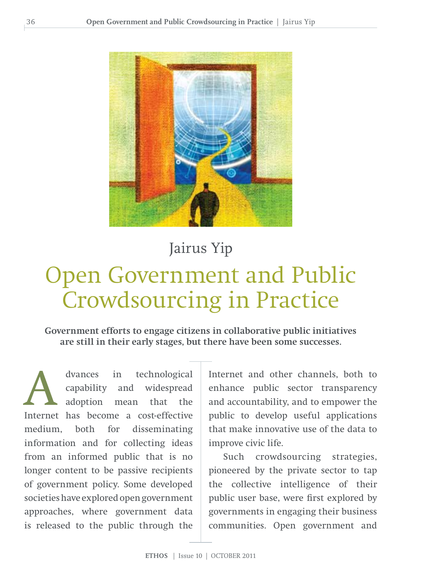

### Jairus Yip

# Open Government and Public Crowdsourcing in Practice

**Government efforts to engage citizens in collaborative public initiatives are still in their early stages, but there have been some successes.** 

dvances in technological<br>
capability and widespread<br>
adoption mean that the<br>
Internet has become a cost-effective capability and widespread adoption mean that the medium, both for disseminating information and for collecting ideas from an informed public that is no longer content to be passive recipients of government policy. Some developed societies have explored open government approaches, where government data is released to the public through the

Internet and other channels, both to enhance public sector transparency and accountability, and to empower the public to develop useful applications that make innovative use of the data to improve civic life.

Such crowdsourcing strategies, pioneered by the private sector to tap the collective intelligence of their public user base, were first explored by governments in engaging their business communities. Open government and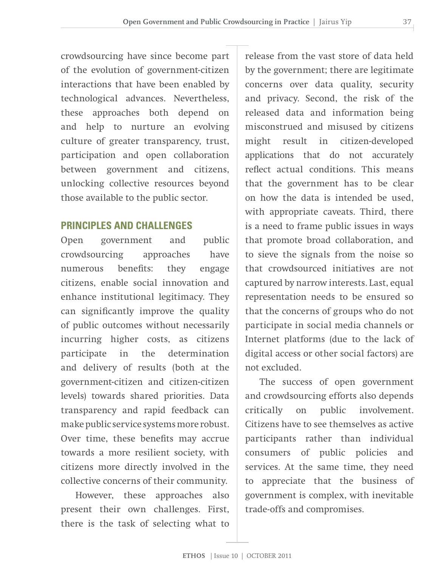crowdsourcing have since become part of the evolution of government-citizen interactions that have been enabled by technological advances. Nevertheless, these approaches both depend on and help to nurture an evolving culture of greater transparency, trust, participation and open collaboration between government and citizens, unlocking collective resources beyond those available to the public sector.

# **PRINCIPLES AND CHALLENGES**

Open government and public crowdsourcing approaches have numerous benefits: they engage citizens, enable social innovation and enhance institutional legitimacy. They can significantly improve the quality of public outcomes without necessarily incurring higher costs, as citizens participate in the determination and delivery of results (both at the government-citizen and citizen-citizen levels) towards shared priorities. Data transparency and rapid feedback can make public service systems more robust. Over time, these benefits may accrue towards a more resilient society, with citizens more directly involved in the collective concerns of their community.

However, these approaches also present their own challenges. First, there is the task of selecting what to

release from the vast store of data held by the government; there are legitimate concerns over data quality, security and privacy. Second, the risk of the released data and information being misconstrued and misused by citizens might result in citizen-developed applications that do not accurately reflect actual conditions. This means that the government has to be clear on how the data is intended be used, with appropriate caveats. Third, there is a need to frame public issues in ways that promote broad collaboration, and to sieve the signals from the noise so that crowdsourced initiatives are not captured by narrow interests. Last, equal representation needs to be ensured so that the concerns of groups who do not participate in social media channels or Internet platforms (due to the lack of digital access or other social factors) are not excluded.

The success of open government and crowdsourcing efforts also depends critically on public involvement. Citizens have to see themselves as active participants rather than individual consumers of public policies and services. At the same time, they need to appreciate that the business of government is complex, with inevitable trade-offs and compromises.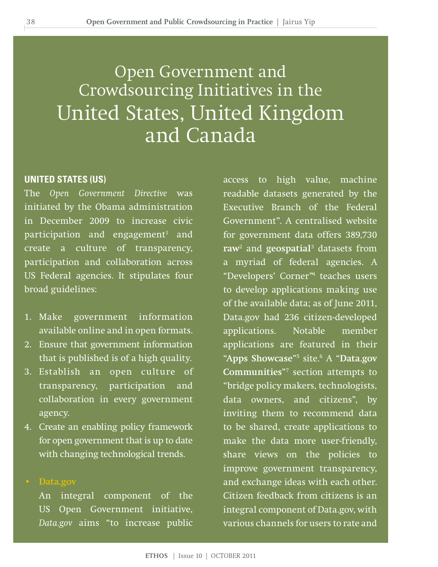# Open Government and Crowdsourcing Initiatives in the United States, United Kingdom and Canada

#### **United States (us)**

The *Open Government Directive* was initiated by the Obama administration in December 2009 to increase civic participation and engagement<sup>1</sup> and create a culture of transparency, participation and collaboration across US Federal agencies. It stipulates four broad guidelines:

- 1. Make government information available online and in open formats.
- 2. Ensure that government information that is published is of a high quality.
- 3. Establish an open culture of transparency, participation and collaboration in every government agency.
- 4. Create an enabling policy framework for open government that is up to date with changing technological trends.

#### **• Data.gov**

An integral component of the US Open Government initiative, *Data.gov* aims "to increase public access to high value, machine readable datasets generated by the Executive Branch of the Federal Government". A centralised website for government data offers 389,730 **raw**<sup>2</sup> and **geospatial**<sup>3</sup> datasets from a myriad of federal agencies. A "Developers' Corner"4 teaches users to develop applications making use of the available data; as of June 2011, Data.gov had 236 citizen-developed applications. Notable member applications are featured in their "**Apps Showcase**"5 site.6 A "**Data.gov Communities**"7 section attempts to "bridge policy makers, technologists, data owners, and citizens", by inviting them to recommend data to be shared, create applications to make the data more user-friendly, share views on the policies to improve government transparency, and exchange ideas with each other. Citizen feedback from citizens is an integral component of Data.gov, with various channels for users to rate and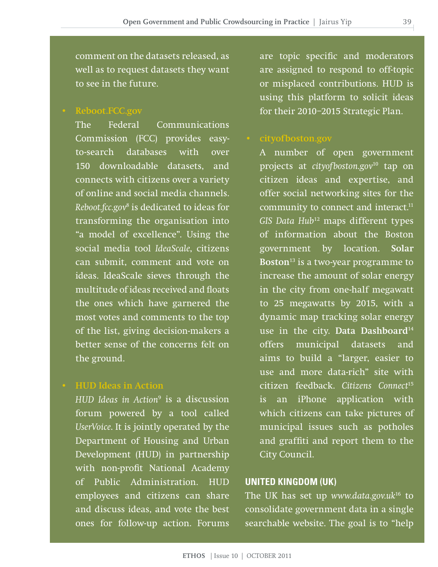comment on the datasets released, as well as to request datasets they want to see in the future.

**• Reboot.FCC.gov** 

The Federal Communications Commission (FCC) provides easyto-search databases with over 150 downloadable datasets, and connects with citizens over a variety of online and social media channels. *Reboot.fcc.gov*<sup>8</sup> is dedicated to ideas for transforming the organisation into "a model of excellence". Using the social media tool *IdeaScale*, citizens can submit, comment and vote on ideas. IdeaScale sieves through the multitude of ideas received and floats the ones which have garnered the most votes and comments to the top of the list, giving decision-makers a better sense of the concerns felt on the ground.

**• HUD Ideas in Action** 

*HUD Ideas in Action*<sup>9</sup> is a discussion forum powered by a tool called *UserVoice*. It is jointly operated by the Department of Housing and Urban Development (HUD) in partnership with non-profit National Academy of Public Administration. HUD employees and citizens can share and discuss ideas, and vote the best ones for follow-up action. Forums

are topic specific and moderators are assigned to respond to off-topic or misplaced contributions. HUD is using this platform to solicit ideas for their 2010–2015 Strategic Plan.

A number of open government projects at *cityofboston.gov*10 tap on citizen ideas and expertise, and offer social networking sites for the community to connect and interact.<sup>11</sup> *GIS Data Hub*12 maps different types of information about the Boston government by location. **Solar Boston**13 is a two-year programme to increase the amount of solar energy in the city from one-half megawatt to 25 megawatts by 2015, with a dynamic map tracking solar energy use in the city. **Data Dashboard**<sup>14</sup> offers municipal datasets and aims to build a "larger, easier to use and more data-rich" site with citizen feedback. *Citizens Connect*<sup>15</sup> is an iPhone application with which citizens can take pictures of municipal issues such as potholes and graffiti and report them to the City Council.

# **United Kingdom (Uk)**

The UK has set up *www.data.gov.uk*16 to consolidate government data in a single searchable website. The goal is to "help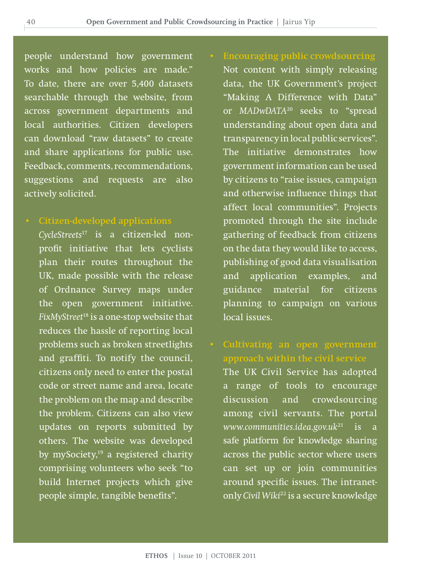people understand how government works and how policies are made." To date, there are over 5,400 datasets searchable through the website, from across government departments and local authorities. Citizen developers can download "raw datasets" to create and share applications for public use. Feedback, comments, recommendations, suggestions and requests are also actively solicited.

**• Citizen-developed applications**

*CycleStreets*17 is a citizen-led nonprofit initiative that lets cyclists plan their routes throughout the UK, made possible with the release of Ordnance Survey maps under the open government initiative. *FixMyStreet*18 is a one-stop website that reduces the hassle of reporting local problems such as broken streetlights and graffiti. To notify the council, citizens only need to enter the postal code or street name and area, locate the problem on the map and describe the problem. Citizens can also view updates on reports submitted by others. The website was developed by mySociety, $19$  a registered charity comprising volunteers who seek "to build Internet projects which give people simple, tangible benefits".

Not content with simply releasing data, the UK Government's project "Making A Difference with Data" or *MADwDATA*20 seeks to "spread understanding about open data and transparency in local public services". The initiative demonstrates how government information can be used by citizens to "raise issues, campaign and otherwise influence things that affect local communities". Projects promoted through the site include gathering of feedback from citizens on the data they would like to access, publishing of good data visualisation and application examples, and guidance material for citizens planning to campaign on various local issues.

**approach within the civil service**

The UK Civil Service has adopted a range of tools to encourage discussion and crowdsourcing among civil servants. The portal *www.communities.idea.gov.uk*21 is a safe platform for knowledge sharing across the public sector where users can set up or join communities around specific issues. The intranetonly *Civil Wiki*22 is a secure knowledge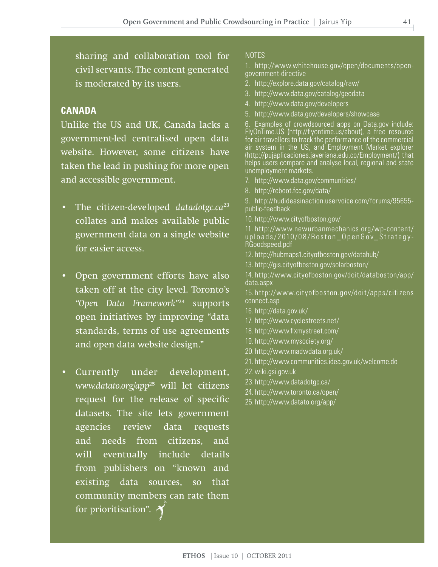sharing and collaboration tool for civil servants. The content generated is moderated by its users.

# **Canada**

Unlike the US and UK, Canada lacks a government-led centralised open data website. However, some citizens have taken the lead in pushing for more open and accessible government.

- The citizen-developed *datadotgc.ca*<sup>23</sup> collates and makes available public government data on a single website for easier access.
- Open government efforts have also taken off at the city level. Toronto's *"Open Data Framework"*24 supports open initiatives by improving "data standards, terms of use agreements and open data website design."
- Currently under development, *www.datato.org/app*25 will let citizens request for the release of specific datasets. The site lets government agencies review data requests and needs from citizens, and will eventually include details from publishers on "known and existing data sources, so that community members can rate them for prioritisation".

#### **NOTES**

1. http://www.whitehouse.gov/open/documents/opengovernment-directive

- 2. http://explore.data.gov/catalog/raw/
- 3. http://www.data.gov/catalog/geodata
- 4. http://www.data.gov/developers
- 5. http://www.data.gov/developers/showcase

6. Examples of crowdsourced apps on Data.gov include: FlyOnTime.US (http://flyontime.us/about), a free resource for air travellers to track the performance of the commercial air system in the US, and Employment Market explorer (http://pujaplicaciones.javeriana.edu.co/Employment/) that helps users compare and analyse local, regional and state unemployment markets.

- 7. http://www.data.gov/communities/
- 8. http://reboot.fcc.gov/data/

9. http://hudideasinaction.uservoice.com/forums/95655 public-feedback

10. http://www.cityofboston.gov/

11. http://www.newurbanmechanics.org/wp-content/ uploads/2010/08/Boston\_OpenGov\_Strategy-RGoodspeed.pdf

- 12. http://hubmaps1.cityofboston.gov/datahub/
- 13. http://gis.cityofboston.gov/solarboston/
- 14. http://www.cityofboston.gov/doit/databoston/app/ data.aspx

15. http://www.cit yofboston.gov/doit /apps/citizens connect.asp

- 16. http://data.gov.uk/
- 17. http://www.cyclestreets.net/
- 18. http://www.fixmystreet.com/
- 19. http://www.mysociety.org/
- 20. http://www.madwdata.org.uk/
- 21. http://www.communities.idea.gov.uk/welcome.do
- 22. wiki.gsi.gov.uk
- 23. http://www.datadotgc.ca/
- 24. http://www.toronto.ca/open/
- 25. http://www.datato.org/app/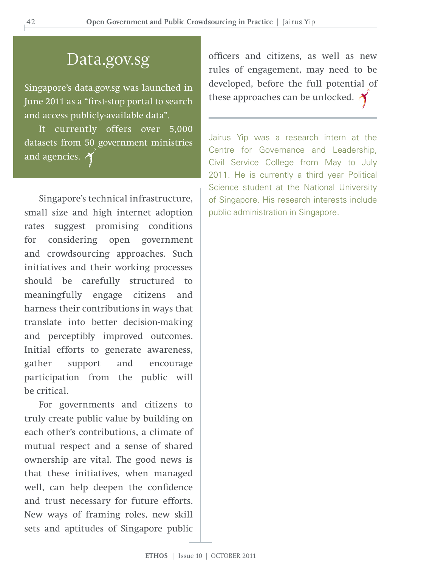# Data.gov.sg

Singapore's data.gov.sg was launched in June 2011 as a "first-stop portal to search and access publicly-available data".

It currently offers over 5,000 datasets from 50 government ministries and agencies.  $\lambda$ 

Singapore's technical infrastructure, small size and high internet adoption rates suggest promising conditions for considering open government and crowdsourcing approaches. Such initiatives and their working processes should be carefully structured to meaningfully engage citizens and harness their contributions in ways that translate into better decision-making and perceptibly improved outcomes. Initial efforts to generate awareness, gather support and encourage participation from the public will be critical.

For governments and citizens to truly create public value by building on each other's contributions, a climate of mutual respect and a sense of shared ownership are vital. The good news is that these initiatives, when managed well, can help deepen the confidence and trust necessary for future efforts. New ways of framing roles, new skill sets and aptitudes of Singapore public

officers and citizens, as well as new rules of engagement, may need to be developed, before the full potential of these approaches can be unlocked.  $\lambda$ 

Jairus Yip was a research intern at the Centre for Governance and Leadership, Civil Service College from May to July 2011. He is currently a third year Political Science student at the National University of Singapore. His research interests include public administration in Singapore.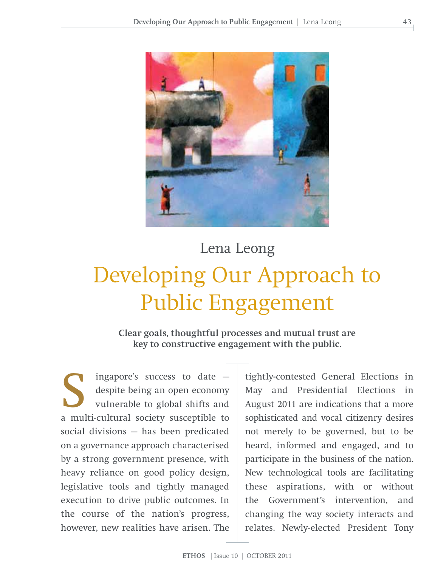

# Developing Our Approach to Public Engagement Lena Leong

**Clear goals, thoughtful processes and mutual trust are key to constructive engagement with the public.**

ingapore's success to date  $$ despite being an open economy vulnerable to global shifts and a multi-cultural society susceptible to social divisions — has been predicated on a governance approach characterised by a strong government presence, with heavy reliance on good policy design, legislative tools and tightly managed execution to drive public outcomes. In the course of the nation's progress, however, new realities have arisen. The

tightly-contested General Elections in May and Presidential Elections in August 2011 are indications that a more sophisticated and vocal citizenry desires not merely to be governed, but to be heard, informed and engaged, and to participate in the business of the nation. New technological tools are facilitating these aspirations, with or without the Government's intervention, and changing the way society interacts and relates. Newly-elected President Tony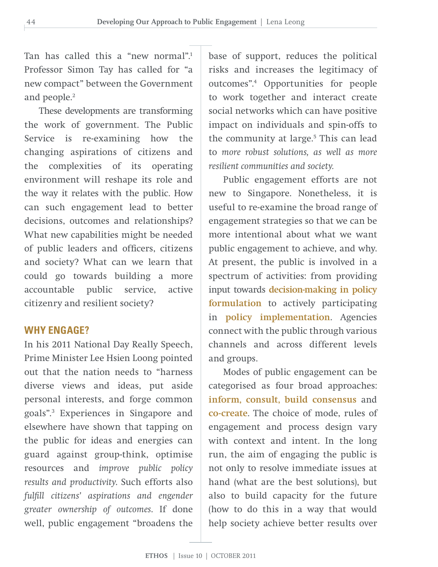Tan has called this a "new normal".1 Professor Simon Tay has called for "a new compact" between the Government and people.<sup>2</sup>

These developments are transforming the work of government. The Public Service is re-examining how the changing aspirations of citizens and the complexities of its operating environment will reshape its role and the way it relates with the public. How can such engagement lead to better decisions, outcomes and relationships? What new capabilities might be needed of public leaders and officers, citizens and society? What can we learn that could go towards building a more accountable public service, active citizenry and resilient society?

### **WHY ENGAGE?**

In his 2011 National Day Really Speech, Prime Minister Lee Hsien Loong pointed out that the nation needs to "harness diverse views and ideas, put aside personal interests, and forge common goals".3 Experiences in Singapore and elsewhere have shown that tapping on the public for ideas and energies can guard against group-think, optimise resources and *improve public policy results and productivity*. Such efforts also *fulfill citizens' aspirations and engender greater ownership of outcomes*. If done well, public engagement "broadens the

base of support, reduces the political risks and increases the legitimacy of outcomes".4 Opportunities for people to work together and interact create social networks which can have positive impact on individuals and spin-offs to the community at large.<sup>5</sup> This can lead to *more robust solutions, as well as more resilient communities and society.*

Public engagement efforts are not new to Singapore. Nonetheless, it is useful to re-examine the broad range of engagement strategies so that we can be more intentional about what we want public engagement to achieve, and why. At present, the public is involved in a spectrum of activities: from providing input towards **decision-making in policy formulation** to actively participating in **policy implementation**. Agencies connect with the public through various channels and across different levels and groups.

Modes of public engagement can be categorised as four broad approaches: **inform, consult, build consensus** and **co-create**. The choice of mode, rules of engagement and process design vary with context and intent. In the long run, the aim of engaging the public is not only to resolve immediate issues at hand (what are the best solutions), but also to build capacity for the future (how to do this in a way that would help society achieve better results over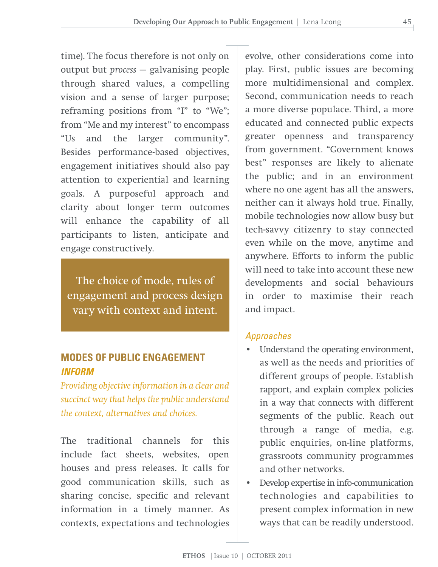time). The focus therefore is not only on output but *process* — galvanising people through shared values, a compelling vision and a sense of larger purpose; reframing positions from "I" to "We"; from "Me and my interest" to encompass "Us and the larger community". Besides performance-based objectives, engagement initiatives should also pay attention to experiential and learning goals. A purposeful approach and clarity about longer term outcomes will enhance the capability of all participants to listen, anticipate and engage constructively.

The choice of mode, rules of engagement and process design vary with context and intent.

# **MODES OF PUBLIC ENGAGEMENT** *INFORM*

*Providing objectiveinformation in a clear and succinct way that helps the public understand the context, alternatives and choices.*

The traditional channels for this include fact sheets, websites, open houses and press releases. It calls for good communication skills, such as sharing concise, specific and relevant information in a timely manner. As contexts, expectations and technologies evolve, other considerations come into play. First, public issues are becoming more multidimensional and complex. Second, communication needs to reach a more diverse populace. Third, a more educated and connected public expects greater openness and transparency from government. "Government knows best" responses are likely to alienate the public; and in an environment where no one agent has all the answers, neither can it always hold true. Finally, mobile technologies now allow busy but tech-savvy citizenry to stay connected even while on the move, anytime and anywhere. Efforts to inform the public will need to take into account these new developments and social behaviours in order to maximise their reach and impact.

## *Approaches*

- Understand the operating environment, as well as the needs and priorities of different groups of people. Establish rapport, and explain complex policies in a way that connects with different segments of the public. Reach out through a range of media, e.g. public enquiries, on-line platforms, grassroots community programmes and other networks.
- Develop expertise in info-communication technologies and capabilities to present complex information in new ways that can be readily understood.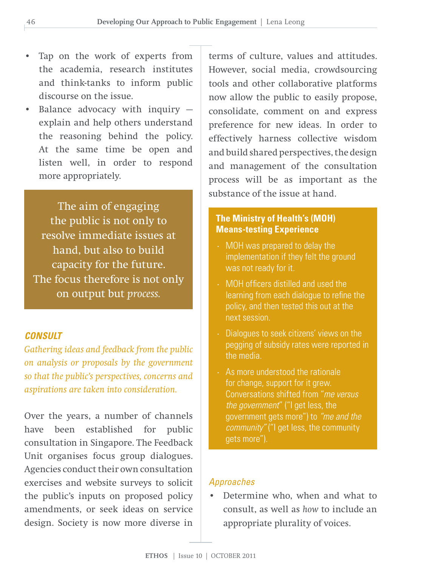- Tap on the work of experts from the academia, research institutes and think-tanks to inform public discourse on the issue.
- Balance advocacy with inquiry explain and help others understand the reasoning behind the policy. At the same time be open and listen well, in order to respond more appropriately.

The aim of engaging the public is not only to resolve immediate issues at hand, but also to build capacity for the future. The focus therefore is not only on output but *process.*

# *CONSULT*

*Gathering ideas and feedback from the public on analysis or proposals by the government so that the public's perspectives, concerns and aspirations are taken into consideration.*

Over the years, a number of channels have been established for public consultation in Singapore. The Feedback Unit organises focus group dialogues. Agencies conduct their own consultation exercises and website surveys to solicit the public's inputs on proposed policy amendments, or seek ideas on service design. Society is now more diverse in

terms of culture, values and attitudes. However, social media, crowdsourcing tools and other collaborative platforms now allow the public to easily propose, consolidate, comment on and express preference for new ideas. In order to effectively harness collective wisdom and build shared perspectives, the design and management of the consultation process will be as important as the substance of the issue at hand.

# **The Ministry of Health's (MOH) Means-testing Experience**

- $\cdot$  MOH was prepared to delay the implementation if they felt the ground was not ready for it.
- · MOH officers distilled and used the learning from each dialogue to refine the policy, and then tested this out at the next session.
- $\cdot$  Dialogues to seek citizens' views on the pegging of subsidy rates were reported in the media.
- $\cdot$  As more understood the rationale for change, support for it grew. Conversations shifted from "*me versus the government*" ("I get less, the government gets more") to *"me and the community"* ("I get less, the community gets more").

### *Approaches*

• Determine who, when and what to consult, as well as *how* to include an appropriate plurality of voices.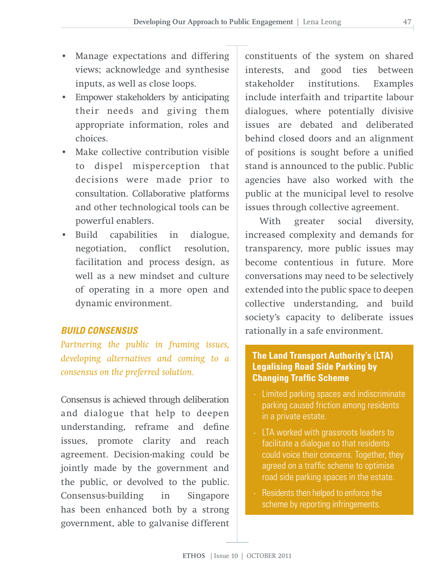- Manage expectations and differing views; acknowledge and synthesise inputs, as well as close loops.
- Empower stakeholders by anticipating their needs and giving them appropriate information, roles and choices.
- Make collective contribution visible to dispel misperception that decisions were made prior to consultation. Collaborative platforms and other technological tools can be powerful enablers.
- Build capabilities in dialogue, negotiation, conflict resolution, facilitation and process design, as well as a new mindset and culture of operating in a more open and dynamic environment.

## *BUILD CONSENSUS*

*Partnering the public in framing issues, developing alternatives and coming to a consensus on the preferred solution.*

Consensus is achieved through deliberation and dialogue that help to deepen understanding, reframe and define issues, promote clarity and reach agreement. Decision-making could be jointly made by the government and the public, or devolved to the public. Consensus-building in Singapore has been enhanced both by a strong government, able to galvanise different constituents of the system on shared interests, and good ties between stakeholder institutions. Examples include interfaith and tripartite labour dialogues, where potentially divisive issues are debated and deliberated behind closed doors and an alignment of positions is sought before a unified stand is announced to the public. Public agencies have also worked with the public at the municipal level to resolve issues through collective agreement.

With greater social diversity, increased complexity and demands for transparency, more public issues may become contentious in future. More conversations may need to be selectively extended into the public space to deepen collective understanding, and build society's capacity to deliberate issues rationally in a safe environment.

# **The Land Transport Authority's (LTA) Legalising Road Side Parking by Changing Traffic Scheme**

- · Limited parking spaces and indiscriminate parking caused friction among residents in a private estate.
- · LTA worked with grassroots leaders to facilitate a dialogue so that residents could voice their concerns. Together, they agreed on a traffic scheme to optimise road side parking spaces in the estate.
- Residents then helped to enforce the scheme by reporting infringements.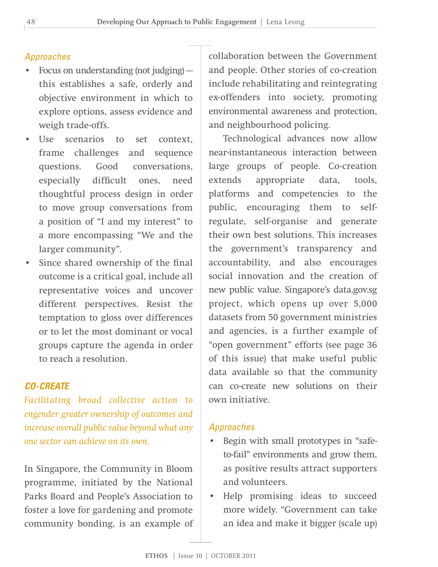# *Approaches*

- Focus on understanding (not judging) this establishes a safe, orderly and objective environment in which to explore options, assess evidence and weigh trade-offs.
- Use scenarios to set context, frame challenges and sequence questions. Good conversations, especially difficult ones, need thoughtful process design in order to move group conversations from a position of "I and my interest" to a more encompassing "We and the larger community".
- Since shared ownership of the final outcome is a critical goal, include all representative voices and uncover different perspectives. Resist the temptation to gloss over differences or to let the most dominant or vocal groups capture the agenda in order to reach a resolution.

# *CO-CREATE*

*Facilitating broad collective action to engender greater ownership of outcomes and increase overall public value beyond what any one sector can achieve on its own.*

In Singapore, the Community in Bloom programme, initiated by the National Parks Board and People's Association to foster a love for gardening and promote community bonding, is an example of

collaboration between the Government and people. Other stories of co-creation include rehabilitating and reintegrating ex-offenders into society, promoting environmental awareness and protection, and neighbourhood policing.

Technological advances now allow near-instantaneous interaction between large groups of people. Co-creation extends appropriate data, tools, platforms and competencies to the public, encouraging them to selfregulate, self-organise and generate their own best solutions. This increases the government's transparency and accountability, and also encourages social innovation and the creation of new public value. Singapore's data.gov.sg project, which opens up over 5,000 datasets from 50 government ministries and agencies, is a further example of "open government" efforts (see page 36 of this issue) that make useful public data available so that the community can co-create new solutions on their own initiative.

# *Approaches*

- Begin with small prototypes in "safeto-fail" environments and grow them, as positive results attract supporters and volunteers.
- Help promising ideas to succeed more widely. "Government can take an idea and make it bigger (scale up)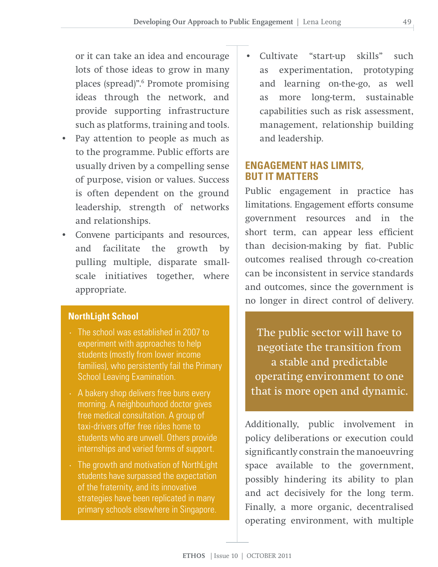or it can take an idea and encourage lots of those ideas to grow in many places (spread)".6 Promote promising ideas through the network, and provide supporting infrastructure such as platforms, training and tools.

- Pay attention to people as much as to the programme. Public efforts are usually driven by a compelling sense of purpose, vision or values. Success is often dependent on the ground leadership, strength of networks and relationships.
- Convene participants and resources, and facilitate the growth by pulling multiple, disparate smallscale initiatives together, where appropriate.

## **NorthLight School**

- · The school was established in 2007 to experiment with approaches to help students (mostly from lower income families), who persistently fail the Primary School Leaving Examination.
- $\cdot$  A bakery shop delivers free buns every morning. A neighbourhood doctor gives free medical consultation. A group of taxi-drivers offer free rides home to students who are unwell. Others provide internships and varied forms of support.
- $\cdot$  The growth and motivation of NorthLight students have surpassed the expectation of the fraternity, and its innovative strategies have been replicated in many primary schools elsewhere in Singapore.

• Cultivate "start-up skills" such as experimentation, prototyping and learning on-the-go, as well as more long-term, sustainable capabilities such as risk assessment, management, relationship building and leadership.

# **ENGAGEMENT HAS LIMITS, BUT IT MATTERS**

Public engagement in practice has limitations. Engagement efforts consume government resources and in the short term, can appear less efficient than decision-making by fiat. Public outcomes realised through co-creation can be inconsistent in service standards and outcomes, since the government is no longer in direct control of delivery.

The public sector will have to negotiate the transition from a stable and predictable operating environment to one that is more open and dynamic.

Additionally, public involvement in policy deliberations or execution could significantly constrain the manoeuvring space available to the government, possibly hindering its ability to plan and act decisively for the long term. Finally, a more organic, decentralised operating environment, with multiple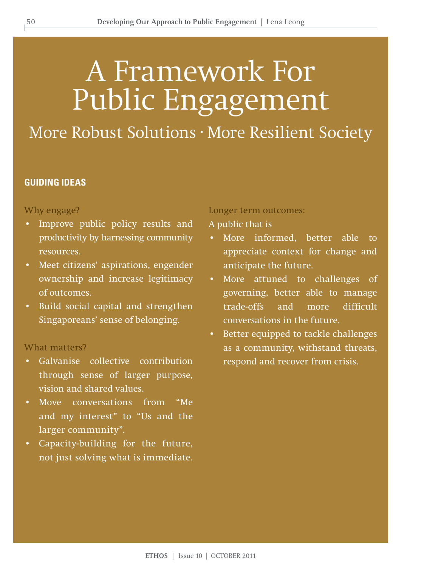# A Framework For Public Engagement

More Robust Solutions · More Resilient Society

#### **GUIDING IDEAS**

#### Why engage?

- Improve public policy results and productivity by harnessing community resources.
- Meet citizens' aspirations, engender ownership and increase legitimacy of outcomes.
- Build social capital and strengthen Singaporeans' sense of belonging.

#### What matters?

- Galvanise collective contribution through sense of larger purpose, vision and shared values.
- Move conversations from "Me and my interest" to "Us and the larger community".
- Capacity-building for the future, not just solving what is immediate.

Longer term outcomes:

A public that is

- More informed, better able to appreciate context for change and anticipate the future.
- More attuned to challenges of governing, better able to manage trade-offs and more difficult conversations in the future.
- Better equipped to tackle challenges as a community, withstand threats, respond and recover from crisis.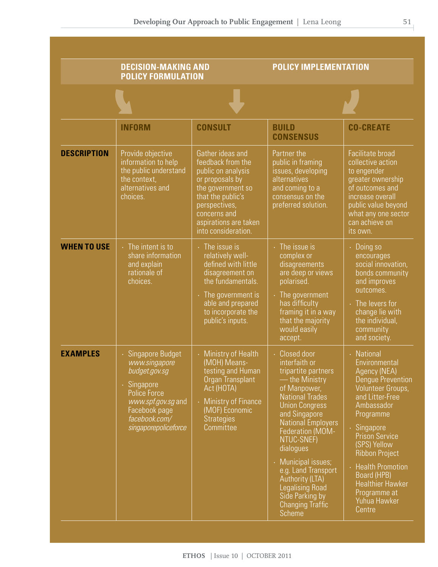|                    | <b>DECISION-MAKING AND</b><br><b>POLICY FORMULATION</b>                                                                                                           |                                                                                                                                                                                                           | <b>POLICY IMPLEMENTATION</b>                                                                                                                                                                                                                                                                                                                                                             |                                                                                                                                                                                                                                                                                                                                        |
|--------------------|-------------------------------------------------------------------------------------------------------------------------------------------------------------------|-----------------------------------------------------------------------------------------------------------------------------------------------------------------------------------------------------------|------------------------------------------------------------------------------------------------------------------------------------------------------------------------------------------------------------------------------------------------------------------------------------------------------------------------------------------------------------------------------------------|----------------------------------------------------------------------------------------------------------------------------------------------------------------------------------------------------------------------------------------------------------------------------------------------------------------------------------------|
|                    |                                                                                                                                                                   |                                                                                                                                                                                                           |                                                                                                                                                                                                                                                                                                                                                                                          |                                                                                                                                                                                                                                                                                                                                        |
|                    | <b>INFORM</b>                                                                                                                                                     | <b>CONSULT</b>                                                                                                                                                                                            | <b>BUILD</b><br><b>CONSENSUS</b>                                                                                                                                                                                                                                                                                                                                                         | <b>CO-CREATE</b>                                                                                                                                                                                                                                                                                                                       |
| <b>DESCRIPTION</b> | Provide objective<br>information to help<br>the public understand<br>the context,<br>alternatives and<br>choices.                                                 | Gather ideas and<br>feedback from the<br>public on analysis<br>or proposals by<br>the government so<br>that the public's<br>perspectives,<br>concerns and<br>aspirations are taken<br>into consideration. | Partner the<br>public in framing<br>issues, developing<br>alternatives<br>and coming to a<br>consensus on the<br>preferred solution.                                                                                                                                                                                                                                                     | Facilitate broad<br>collective action<br>to engender<br>greater ownership<br>of outcomes and<br>increase overall<br>public value beyond<br>what any one sector<br>can achieve on<br>its own.                                                                                                                                           |
| <b>WHEN TO USE</b> | $\cdot$ The intent is to<br>share information<br>and explain<br>rationale of<br>choices.                                                                          | $\cdot$ The issue is<br>relatively well-<br>defined with little<br>disagreement on<br>the fundamentals.<br>$\cdot$ The government is<br>able and prepared<br>to incorporate the<br>public's inputs.       | The issue is<br>complex or<br>disagreements<br>are deep or views<br>polarised.<br>The government<br>has difficulty<br>framing it in a way<br>that the majority<br>would easily<br>accept.                                                                                                                                                                                                | Doing so<br>encourages<br>social innovation,<br>bonds community<br>and improves<br>outcomes.<br>The levers for<br>change lie with<br>the individual,<br>community<br>and society.                                                                                                                                                      |
| <b>EXAMPLES</b>    | Singapore Budget<br>www.singapore<br>budget.gov.sg<br>· Singapore<br>Police Force<br>www.spf.gov.sg and<br>Facebook page<br>facebook.com/<br>singaporepolicetorce | Ministry of Health<br>(MOH) Means-<br>testing and Human<br>Organ Transplant<br>Act (HOTA)<br><b>Ministry of Finance</b><br>(MOF) Economic<br><b>Strategies</b><br>Committee                               | Closed door<br>interfaith or<br>tripartite partners<br>— the Ministry<br>of Manpower,<br><b>National Trades</b><br><b>Union Congress</b><br>and Singapore<br><b>National Employers</b><br>Federation (MOM-<br>NTUC-SNEF)<br>dialogues<br>· Municipal issues;<br>e.g. Land Transport<br>Authority (LTA)<br><b>Legalising Road</b><br>Side Parking by<br><b>Changing Traffic</b><br>Scheme | National<br>Environmental<br>Agency (NEA)<br><b>Dengue Prevention</b><br>Volunteer Groups,<br>and Litter-Free<br>Ambassador<br>Programme<br>Singapore<br><b>Prison Service</b><br>(SPS) Yellow<br><b>Ribbon Project</b><br><b>Health Promotion</b><br>Board (HPB)<br><b>Healthier Hawker</b><br>Programme at<br>Yuhua Hawker<br>Centre |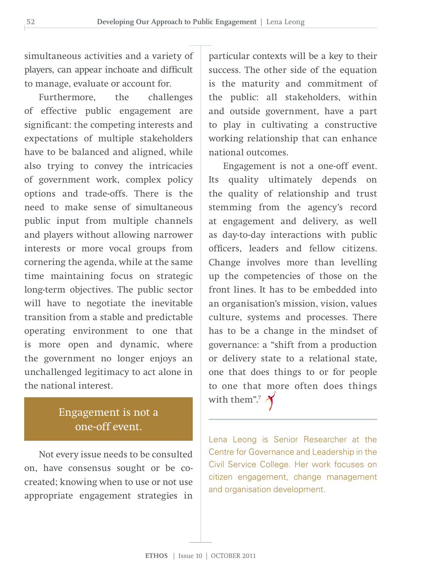simultaneous activities and a variety of players, can appear inchoate and difficult to manage, evaluate or account for.

Furthermore, the challenges of effective public engagement are significant: the competing interests and expectations of multiple stakeholders have to be balanced and aligned, while also trying to convey the intricacies of government work, complex policy options and trade-offs. There is the need to make sense of simultaneous public input from multiple channels and players without allowing narrower interests or more vocal groups from cornering the agenda, while at the same time maintaining focus on strategic long-term objectives. The public sector will have to negotiate the inevitable transition from a stable and predictable operating environment to one that is more open and dynamic, where the government no longer enjoys an unchallenged legitimacy to act alone in the national interest.

# Engagement is not a one-off event.

Not every issue needs to be consulted on, have consensus sought or be cocreated; knowing when to use or not use appropriate engagement strategies in

particular contexts will be a key to their success. The other side of the equation is the maturity and commitment of the public: all stakeholders, within and outside government, have a part to play in cultivating a constructive working relationship that can enhance national outcomes.

Engagement is not a one-off event. Its quality ultimately depends on the quality of relationship and trust stemming from the agency's record at engagement and delivery, as well as day-to-day interactions with public officers, leaders and fellow citizens. Change involves more than levelling up the competencies of those on the front lines. It has to be embedded into an organisation's mission, vision, values culture, systems and processes. There has to be a change in the mindset of governance: a "shift from a production or delivery state to a relational state, one that does things to or for people to one that more often does things with them".<sup>7</sup>

Lena Leong is Senior Researcher at the Centre for Governance and Leadership in the Civil Service College. Her work focuses on citizen engagement, change management and organisation development.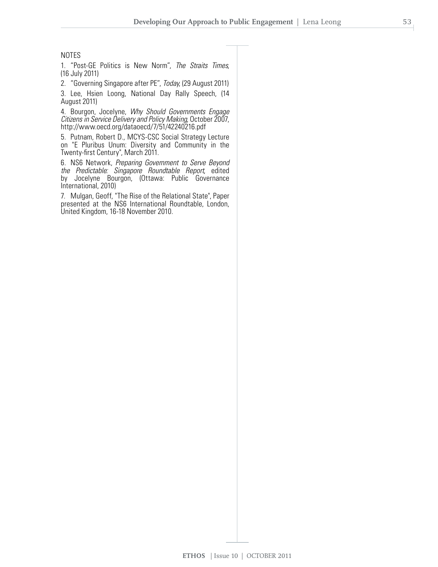#### NOTES

1. "Post-GE Politics is New Norm", *The Straits Times*, (16 July 2011)

2. "Governing Singapore after PE", *Today*, (29 August 2011)

3. Lee, Hsien Loong, National Day Rally Speech, (14 August 2011)

4. Bourgon, Jocelyne, *Why Should Governments Engage Citizens in Service Delivery and Policy Making*, October 2007, http://www.oecd.org/dataoecd/7/51/42240216.pdf

5. Putnam, Robert D., MCYS-CSC Social Strategy Lecture on "E Pluribus Unum: Diversity and Community in the Twenty-first Century", March 2011.

6. NS6 Network, *Preparing Government to Serve Beyond the Predictable: Singapore Roundtable Report*, edited by Jocelyne Bourgon, (Ottawa: Public Governance International, 2010)

7. Mulgan, Geoff, "The Rise of the Relational State", Paper presented at the NS6 International Roundtable, London, United Kingdom, 16-18 November 2010.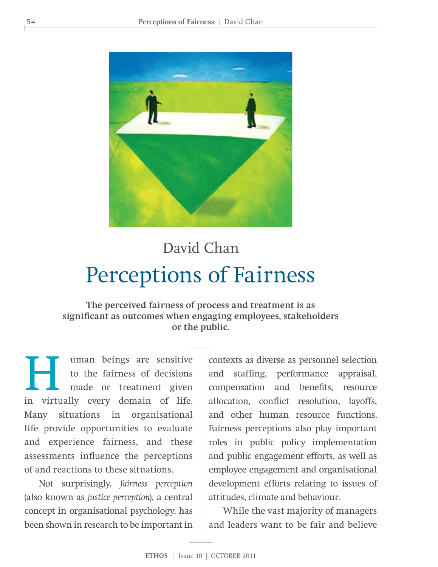

# Perceptions of Fairness David Chan

**The perceived fairness of process and treatment is as significant as outcomes when engaging employees, stakeholders or the public.**

I uman beings are sensitive<br>to the fairness of decisions<br>made or treatment given<br>in virtually every domain of life to the fairness of decisions made or treatment given in virtually every domain of life. Many situations in organisational life provide opportunities to evaluate and experience fairness, and these assessments influence the perceptions of and reactions to these situations.

Not surprisingly, *fairness perception* (also known as *justice perception*), a central concept in organisational psychology, has been shown in research to be important in contexts as diverse as personnel selection and staffing, performance appraisal, compensation and benefits, resource allocation, conflict resolution, layoffs, and other human resource functions. Fairness perceptions also play important roles in public policy implementation and public engagement efforts, as well as employee engagement and organisational development efforts relating to issues of attitudes, climate and behaviour.

While the vast majority of managers and leaders want to be fair and believe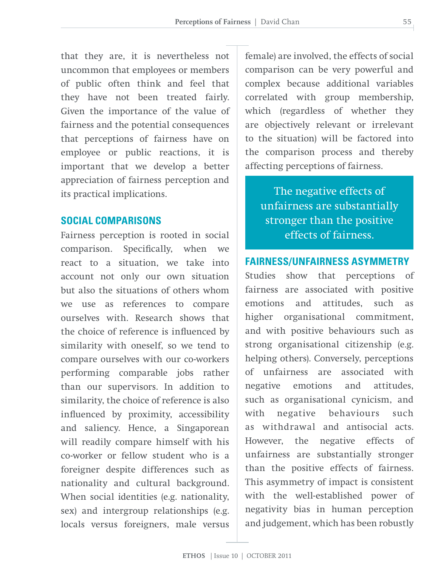that they are, it is nevertheless not uncommon that employees or members of public often think and feel that they have not been treated fairly. Given the importance of the value of fairness and the potential consequences that perceptions of fairness have on employee or public reactions, it is important that we develop a better appreciation of fairness perception and its practical implications.

# **Social Comparisons**

Fairness perception is rooted in social comparison. Specifically, when we react to a situation, we take into account not only our own situation but also the situations of others whom we use as references to compare ourselves with. Research shows that the choice of reference is influenced by similarity with oneself, so we tend to compare ourselves with our co-workers performing comparable jobs rather than our supervisors. In addition to similarity, the choice of reference is also influenced by proximity, accessibility and saliency. Hence, a Singaporean will readily compare himself with his co-worker or fellow student who is a foreigner despite differences such as nationality and cultural background. When social identities (e.g. nationality, sex) and intergroup relationships (e.g. locals versus foreigners, male versus

female) are involved, the effects of social comparison can be very powerful and complex because additional variables correlated with group membership, which (regardless of whether they are objectively relevant or irrelevant to the situation) will be factored into the comparison process and thereby affecting perceptions of fairness.

The negative effects of unfairness are substantially stronger than the positive effects of fairness.

### **Fairness/Unfairness Asymmetry**

Studies show that perceptions of fairness are associated with positive emotions and attitudes, such as higher organisational commitment, and with positive behaviours such as strong organisational citizenship (e.g. helping others). Conversely, perceptions of unfairness are associated with negative emotions and attitudes, such as organisational cynicism, and with negative behaviours such as withdrawal and antisocial acts. However, the negative effects of unfairness are substantially stronger than the positive effects of fairness. This asymmetry of impact is consistent with the well-established power of negativity bias in human perception and judgement, which has been robustly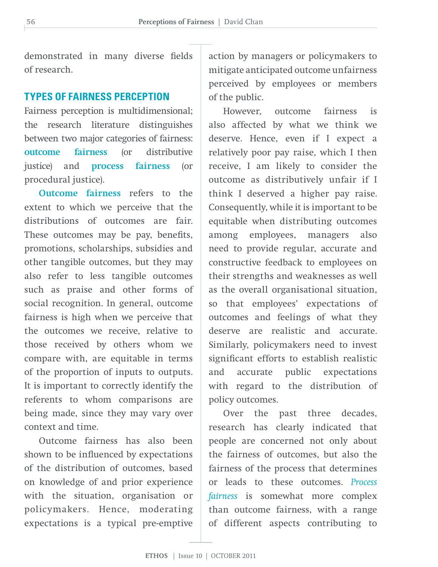demonstrated in many diverse fields of research.

# **Types of Fairness Perception**

Fairness perception is multidimensional; the research literature distinguishes between two major categories of fairness: **outcome fairness** (or distributive justice) and **process fairness** (or procedural justice).

**Outcome fairness** refers to the extent to which we perceive that the distributions of outcomes are fair. These outcomes may be pay, benefits, promotions, scholarships, subsidies and other tangible outcomes, but they may also refer to less tangible outcomes such as praise and other forms of social recognition. In general, outcome fairness is high when we perceive that the outcomes we receive, relative to those received by others whom we compare with, are equitable in terms of the proportion of inputs to outputs. It is important to correctly identify the referents to whom comparisons are being made, since they may vary over context and time.

Outcome fairness has also been shown to be influenced by expectations of the distribution of outcomes, based on knowledge of and prior experience with the situation, organisation or policymakers. Hence, moderating expectations is a typical pre-emptive

action by managers or policymakers to mitigate anticipated outcome unfairness perceived by employees or members of the public.

However, outcome fairness is also affected by what we think we deserve. Hence, even if I expect a relatively poor pay raise, which I then receive, I am likely to consider the outcome as distributively unfair if I think I deserved a higher pay raise. Consequently, while it is important to be equitable when distributing outcomes among employees, managers also need to provide regular, accurate and constructive feedback to employees on their strengths and weaknesses as well as the overall organisational situation, so that employees' expectations of outcomes and feelings of what they deserve are realistic and accurate. Similarly, policymakers need to invest significant efforts to establish realistic and accurate public expectations with regard to the distribution of policy outcomes.

Over the past three decades, research has clearly indicated that people are concerned not only about the fairness of outcomes, but also the fairness of the process that determines or leads to these outcomes. *Process fairness* is somewhat more complex than outcome fairness, with a range of different aspects contributing to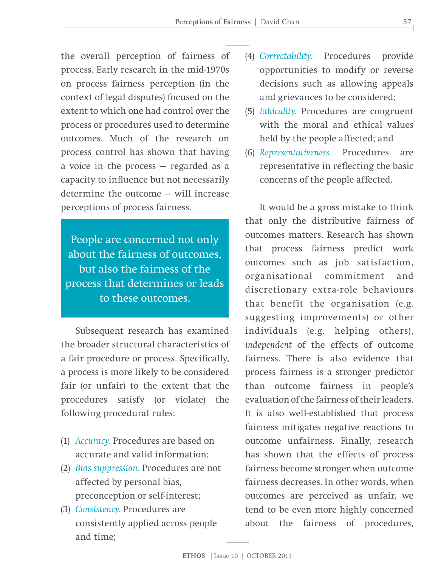the overall perception of fairness of process. Early research in the mid-1970s on process fairness perception (in the context of legal disputes) focused on the extent to which one had control over the process or procedures used to determine outcomes. Much of the research on process control has shown that having a voice in the process — regarded as a capacity to influence but not necessarily determine the outcome — will increase perceptions of process fairness.

People are concerned not only about the fairness of outcomes, but also the fairness of the process that determines or leads to these outcomes.

Subsequent research has examined the broader structural characteristics of a fair procedure or process. Specifically, a process is more likely to be considered fair (or unfair) to the extent that the procedures satisfy (or violate) the following procedural rules:

- (1) *Accuracy.* Procedures are based on accurate and valid information;
- (2) *Bias suppression.* Procedures are not affected by personal bias, preconception or self-interest;
- (3) *Consistency.* Procedures are consistently applied across people and time;
- (4) *Correctability.* Procedures provide opportunities to modify or reverse decisions such as allowing appeals and grievances to be considered;
- (5) *Ethicality.* Procedures are congruent with the moral and ethical values held by the people affected; and
- (6) *Representativeness.* Procedures are representative in reflecting the basic concerns of the people affected.

It would be a gross mistake to think that only the distributive fairness of outcomes matters. Research has shown that process fairness predict work outcomes such as job satisfaction, organisational commitment and discretionary extra-role behaviours that benefit the organisation (e.g. suggesting improvements) or other individuals (e.g. helping others), *independent* of the effects of outcome fairness. There is also evidence that process fairness is a stronger predictor than outcome fairness in people's evaluation of the fairness of their leaders. It is also well-established that process fairness mitigates negative reactions to outcome unfairness. Finally, research has shown that the effects of process fairness become stronger when outcome fairness decreases. In other words, when outcomes are perceived as unfair, we tend to be even more highly concerned about the fairness of procedures,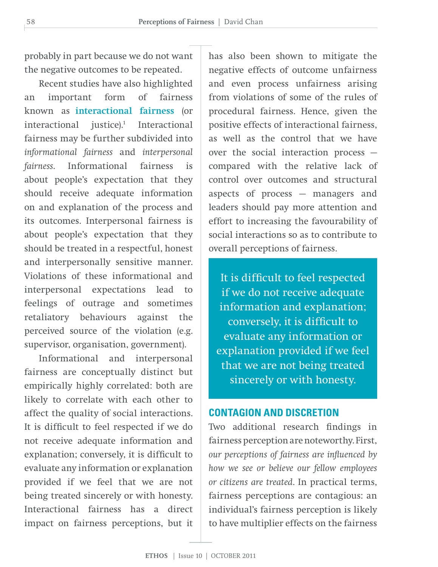probably in part because we do not want the negative outcomes to be repeated.

Recent studies have also highlighted an important form of fairness known as **interactional fairness** (or interactional justice).<sup>1</sup> Interactional fairness may be further subdivided into *informational fairness* and *interpersonal fairness*. Informational fairness is about people's expectation that they should receive adequate information on and explanation of the process and its outcomes. Interpersonal fairness is about people's expectation that they should be treated in a respectful, honest and interpersonally sensitive manner. Violations of these informational and interpersonal expectations lead to feelings of outrage and sometimes retaliatory behaviours against the perceived source of the violation (e.g. supervisor, organisation, government).

Informational and interpersonal fairness are conceptually distinct but empirically highly correlated: both are likely to correlate with each other to affect the quality of social interactions. It is difficult to feel respected if we do not receive adequate information and explanation; conversely, it is difficult to evaluate any information or explanation provided if we feel that we are not being treated sincerely or with honesty. Interactional fairness has a direct impact on fairness perceptions, but it has also been shown to mitigate the negative effects of outcome unfairness and even process unfairness arising from violations of some of the rules of procedural fairness. Hence, given the positive effects of interactional fairness, as well as the control that we have over the social interaction process compared with the relative lack of control over outcomes and structural aspects of process — managers and leaders should pay more attention and effort to increasing the favourability of social interactions so as to contribute to overall perceptions of fairness.

It is difficult to feel respected if we do not receive adequate information and explanation; conversely, it is difficult to evaluate any information or explanation provided if we feel that we are not being treated sincerely or with honesty.

### **Contagion and Discretion**

Two additional research findings in fairness perception are noteworthy. First, *our perceptions of fairness are influenced by how we see or believe our fellow employees or citizens are treated*. In practical terms, fairness perceptions are contagious: an individual's fairness perception is likely to have multiplier effects on the fairness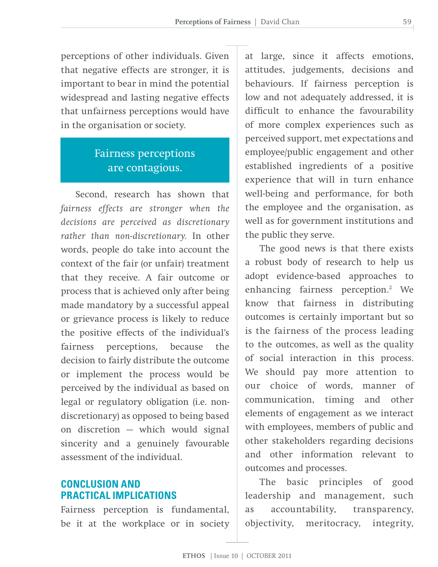perceptions of other individuals. Given that negative effects are stronger, it is important to bear in mind the potential widespread and lasting negative effects that unfairness perceptions would have in the organisation or society.

# Fairness perceptions are contagious.

Second, research has shown that *fairness effects are stronger when the decisions are perceived as discretionary rather than non-discretionary.* In other words, people do take into account the context of the fair (or unfair) treatment that they receive. A fair outcome or process that is achieved only after being made mandatory by a successful appeal or grievance process is likely to reduce the positive effects of the individual's fairness perceptions, because the decision to fairly distribute the outcome or implement the process would be perceived by the individual as based on legal or regulatory obligation (i.e. nondiscretionary) as opposed to being based on discretion — which would signal sincerity and a genuinely favourable assessment of the individual.

# **Conclusion and Practical Implications**

Fairness perception is fundamental, be it at the workplace or in society

at large, since it affects emotions, attitudes, judgements, decisions and behaviours. If fairness perception is low and not adequately addressed, it is difficult to enhance the favourability of more complex experiences such as perceived support, met expectations and employee/public engagement and other established ingredients of a positive experience that will in turn enhance well-being and performance, for both the employee and the organisation, as well as for government institutions and the public they serve.

The good news is that there exists a robust body of research to help us adopt evidence-based approaches to enhancing fairness perception.<sup>2</sup> We know that fairness in distributing outcomes is certainly important but so is the fairness of the process leading to the outcomes, as well as the quality of social interaction in this process. We should pay more attention to our choice of words, manner of communication, timing and other elements of engagement as we interact with employees, members of public and other stakeholders regarding decisions and other information relevant to outcomes and processes.

The basic principles of good leadership and management, such as accountability, transparency, objectivity, meritocracy, integrity,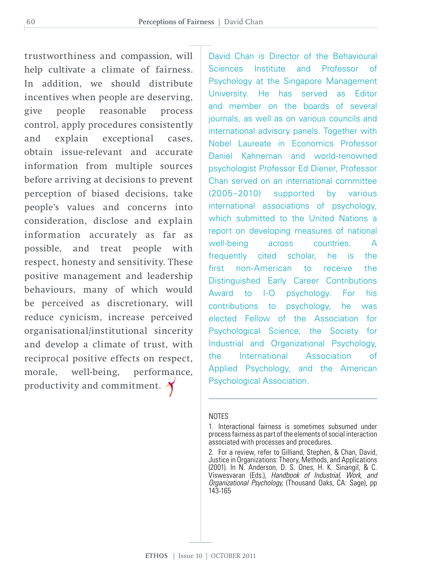trustworthiness and compassion, will help cultivate a climate of fairness. In addition, we should distribute incentives when people are deserving, give people reasonable process control, apply procedures consistently and explain exceptional cases, obtain issue-relevant and accurate information from multiple sources before arriving at decisions to prevent perception of biased decisions, take people's values and concerns into consideration, disclose and explain information accurately as far as possible, and treat people with respect, honesty and sensitivity. These positive management and leadership behaviours, many of which would be perceived as discretionary, will reduce cynicism, increase perceived organisational/institutional sincerity and develop a climate of trust, with reciprocal positive effects on respect, morale, well-being, performance, productivity and commitment.

David Chan is Director of the Behavioural Sciences Institute and Professor of Psychology at the Singapore Management University. He has served as Editor and member on the boards of several journals, as well as on various councils and international advisory panels. Together with Nobel Laureate in Economics Professor Daniel Kahneman and world-renowned psychologist Professor Ed Diener, Professor Chan served on an international committee (2005–2010) supported by various international associations of psychology, which submitted to the United Nations a report on developing measures of national well-being across countries. A frequently cited scholar, he is the first non-American to receive the Distinguished Early Career Contributions Award to I-O psychology. For his contributions to psychology, he was elected Fellow of the Association for Psychological Science, the Society for Industrial and Organizational Psychology, the International Association of Applied Psychology, and the American Psychological Association.

#### **NOTES**

<sup>1.</sup> Interactional fairness is sometimes subsumed under process fairness as part of the elements of social interaction associated with processes and procedures.

<sup>2.</sup> For a review, refer to Gilliand, Stephen, & Chan, David, Justice in Organizations: Theory, Methods, and Applications (2001). In N. Anderson, D. S. Ones, H. K. Sinangil, & C. Viswesvaran (Eds.), *Handbook of Industrial, Work, and Organizational Psychology,* (Thousand Oaks, CA: Sage), pp 143-165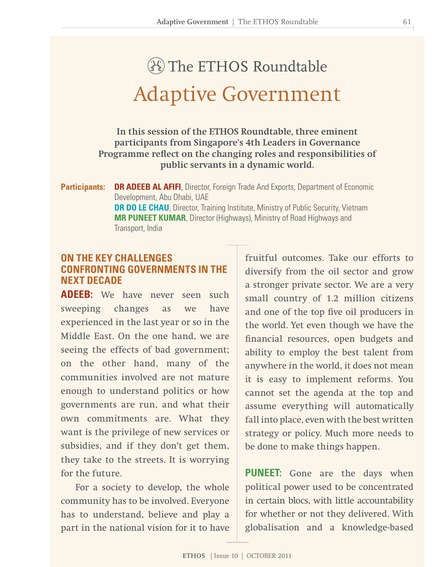# Adaptive Government The ETHOS Roundtable

**In this session of the ETHOS Roundtable, three eminent participants from Singapore's 4th Leaders in Governance Programme reflect on the changing roles and responsibilities of public servants in a dynamic world.** 

**Participants: DR ADEEB AL AFIFI**, Director, Foreign Trade And Exports, Department of Economic Development, Abu Dhabi, UAE **DR DO LE CHAU**, Director, Training Institute, Ministry of Public Security, Vietnam **MR PUNEET KUMAR, Director (Highways), Ministry of Road Highways and**  Transport, India

# **ON THE KEY CHALLENGES CONFRONTING GOVERNMENTS IN THE NEXT DECADE**

**ADEEB:** We have never seen such sweeping changes as we have experienced in the last year or so in the Middle East. On the one hand, we are seeing the effects of bad government; on the other hand, many of the communities involved are not mature enough to understand politics or how governments are run, and what their own commitments are. What they want is the privilege of new services or subsidies, and if they don't get them, they take to the streets. It is worrying for the future.

For a society to develop, the whole community has to be involved. Everyone has to understand, believe and play a part in the national vision for it to have

fruitful outcomes. Take our efforts to diversify from the oil sector and grow a stronger private sector. We are a very small country of 1.2 million citizens and one of the top five oil producers in the world. Yet even though we have the financial resources, open budgets and ability to employ the best talent from anywhere in the world, it does not mean it is easy to implement reforms. You cannot set the agenda at the top and assume everything will automatically fall into place, even with the best written strategy or policy. Much more needs to be done to make things happen.

**PUNEET:** Gone are the days when political power used to be concentrated in certain blocs, with little accountability for whether or not they delivered. With globalisation and a knowledge-based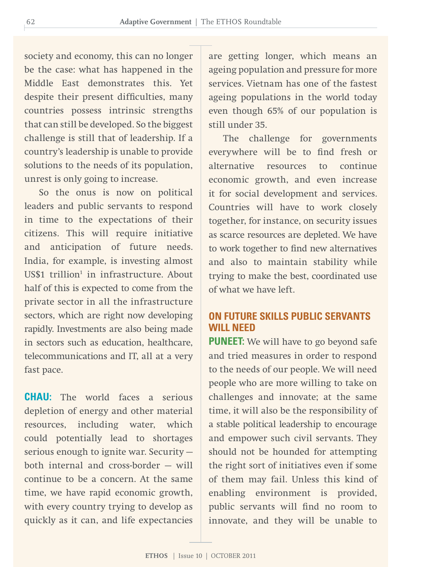society and economy, this can no longer be the case: what has happened in the Middle East demonstrates this. Yet despite their present difficulties, many countries possess intrinsic strengths that can still be developed. So the biggest challenge is still that of leadership. If a country's leadership is unable to provide solutions to the needs of its population, unrest is only going to increase.

So the onus is now on political leaders and public servants to respond in time to the expectations of their citizens. This will require initiative and anticipation of future needs. India, for example, is investing almost US\$1 trillion<sup>1</sup> in infrastructure. About half of this is expected to come from the private sector in all the infrastructure sectors, which are right now developing rapidly. Investments are also being made in sectors such as education, healthcare, telecommunications and IT, all at a very fast pace.

**CHAU:** The world faces a serious depletion of energy and other material resources, including water, which could potentially lead to shortages serious enough to ignite war. Security both internal and cross-border — will continue to be a concern. At the same time, we have rapid economic growth, with every country trying to develop as quickly as it can, and life expectancies

are getting longer, which means an ageing population and pressure for more services. Vietnam has one of the fastest ageing populations in the world today even though 65% of our population is still under 35.

The challenge for governments everywhere will be to find fresh or alternative resources to continue economic growth, and even increase it for social development and services. Countries will have to work closely together, for instance, on security issues as scarce resources are depleted. We have to work together to find new alternatives and also to maintain stability while trying to make the best, coordinated use of what we have left.

# **ON future SKILLS PUBLIC SERVANTS WILL NEED**

**PUNEET:** We will have to go beyond safe and tried measures in order to respond to the needs of our people. We will need people who are more willing to take on challenges and innovate; at the same time, it will also be the responsibility of a stable political leadership to encourage and empower such civil servants. They should not be hounded for attempting the right sort of initiatives even if some of them may fail. Unless this kind of enabling environment is provided, public servants will find no room to innovate, and they will be unable to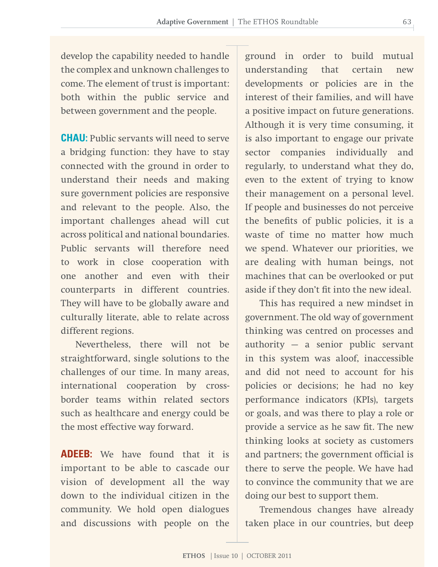develop the capability needed to handle the complex and unknown challenges to come. The element of trust is important: both within the public service and between government and the people.

**CHAU:** Public servants will need to serve a bridging function: they have to stay connected with the ground in order to understand their needs and making sure government policies are responsive and relevant to the people. Also, the important challenges ahead will cut across political and national boundaries. Public servants will therefore need to work in close cooperation with one another and even with their counterparts in different countries. They will have to be globally aware and culturally literate, able to relate across different regions.

Nevertheless, there will not be straightforward, single solutions to the challenges of our time. In many areas, international cooperation by crossborder teams within related sectors such as healthcare and energy could be the most effective way forward.

**ADEEB:** We have found that it is important to be able to cascade our vision of development all the way down to the individual citizen in the community. We hold open dialogues and discussions with people on the

ground in order to build mutual understanding that certain new developments or policies are in the interest of their families, and will have a positive impact on future generations. Although it is very time consuming, it is also important to engage our private sector companies individually and regularly, to understand what they do, even to the extent of trying to know their management on a personal level. If people and businesses do not perceive the benefits of public policies, it is a waste of time no matter how much we spend. Whatever our priorities, we are dealing with human beings, not machines that can be overlooked or put aside if they don't fit into the new ideal.

This has required a new mindset in government. The old way of government thinking was centred on processes and authority — a senior public servant in this system was aloof, inaccessible and did not need to account for his policies or decisions; he had no key performance indicators (KPIs), targets or goals, and was there to play a role or provide a service as he saw fit. The new thinking looks at society as customers and partners; the government official is there to serve the people. We have had to convince the community that we are doing our best to support them.

Tremendous changes have already taken place in our countries, but deep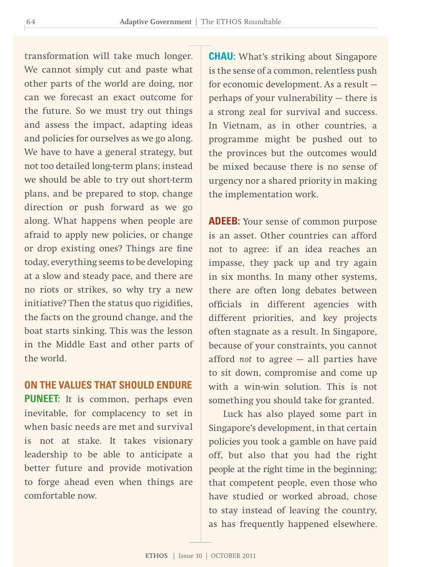transformation will take much longer. We cannot simply cut and paste what other parts of the world are doing, nor can we forecast an exact outcome for the future. So we must try out things and assess the impact, adapting ideas and policies for ourselves as we go along. We have to have a general strategy, but not too detailed long-term plans; instead we should be able to try out short-term plans, and be prepared to stop, change direction or push forward as we go along. What happens when people are afraid to apply new policies, or change or drop existing ones? Things are fine today, everything seems to be developing at a slow and steady pace, and there are no riots or strikes, so why try a new initiative? Then the status quo rigidifies, the facts on the ground change, and the boat starts sinking. This was the lesson in the Middle East and other parts of the world.

### **ON THE VALUES THAT SHOULD ENDURE**

**PUNEET:** It is common, perhaps even inevitable, for complacency to set in when basic needs are met and survival is not at stake. It takes visionary leadership to be able to anticipate a better future and provide motivation to forge ahead even when things are comfortable now.

**CHAU:** What's striking about Singapore is the sense of a common, relentless push for economic development. As a result perhaps of your vulnerability — there is a strong zeal for survival and success. In Vietnam, as in other countries, a programme might be pushed out to the provinces but the outcomes would be mixed because there is no sense of urgency nor a shared priority in making the implementation work.

**ADEEB:** Your sense of common purpose is an asset. Other countries can afford not to agree: if an idea reaches an impasse, they pack up and try again in six months. In many other systems, there are often long debates between officials in different agencies with different priorities, and key projects often stagnate as a result. In Singapore, because of your constraints, you cannot afford *not* to agree — all parties have to sit down, compromise and come up with a win-win solution. This is not something you should take for granted.

Luck has also played some part in Singapore's development, in that certain policies you took a gamble on have paid off, but also that you had the right people at the right time in the beginning; that competent people, even those who have studied or worked abroad, chose to stay instead of leaving the country, as has frequently happened elsewhere.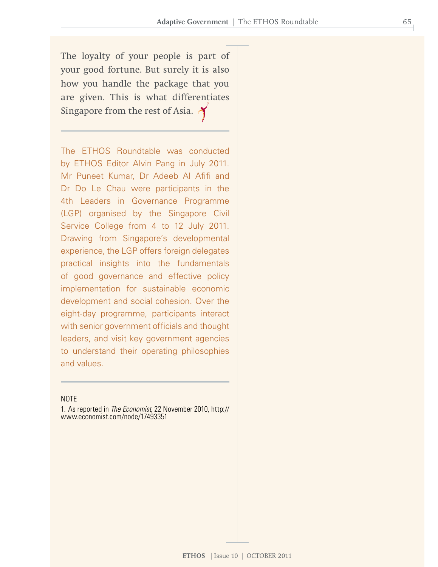The loyalty of your people is part of your good fortune. But surely it is also how you handle the package that you are given. This is what differentiates Singapore from the rest of Asia.

The ETHOS Roundtable was conducted by ETHOS Editor Alvin Pang in July 2011. Mr Puneet Kumar, Dr Adeeb Al Afifi and Dr Do Le Chau were participants in the 4th Leaders in Governance Programme (LGP) organised by the Singapore Civil Service College from 4 to 12 July 2011. Drawing from Singapore's developmental experience, the LGP offers foreign delegates practical insights into the fundamentals of good governance and effective policy implementation for sustainable economic development and social cohesion. Over the eight-day programme, participants interact with senior government officials and thought leaders, and visit key government agencies to understand their operating philosophies and values.

#### **NOTE**

1. As reported in *The Economist*, 22 November 2010, http:// www.economist.com/node/17493351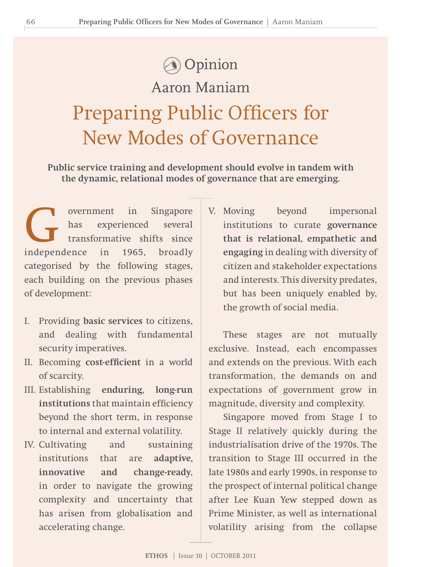# **Opinion**

# Aaron Maniam

Preparing Public Officers for New Modes of Governance

**Public service training and development should evolve in tandem with the dynamic, relational modes of governance that are emerging.**

overnment in Singapore<br>has experienced several<br>transformative shifts since<br>independence in 1965 broadly has experienced several transformative shifts since independence in 1965, broadly categorised by the following stages, each building on the previous phases of development:

- I. Providing **basic services** to citizens, and dealing with fundamental security imperatives.
- II. Becoming **cost-efficient** in a world of scarcity.
- III. Establishing **enduring, long-run institutions** that maintain efficiency beyond the short term, in response to internal and external volatility.
- IV. Cultivating and sustaining institutions that are **adaptive, innovative and change-ready**, in order to navigate the growing complexity and uncertainty that has arisen from globalisation and accelerating change.

V. Moving beyond impersonal institutions to curate **governance that is relational, empathetic and engaging** in dealing with diversity of citizen and stakeholder expectations and interests. This diversity predates, but has been uniquely enabled by, the growth of social media.

These stages are not mutually exclusive. Instead, each encompasses and extends on the previous. With each transformation, the demands on and expectations of government grow in magnitude, diversity and complexity.

Singapore moved from Stage I to Stage II relatively quickly during the industrialisation drive of the 1970s. The transition to Stage III occurred in the late 1980s and early 1990s, in response to the prospect of internal political change after Lee Kuan Yew stepped down as Prime Minister, as well as international volatility arising from the collapse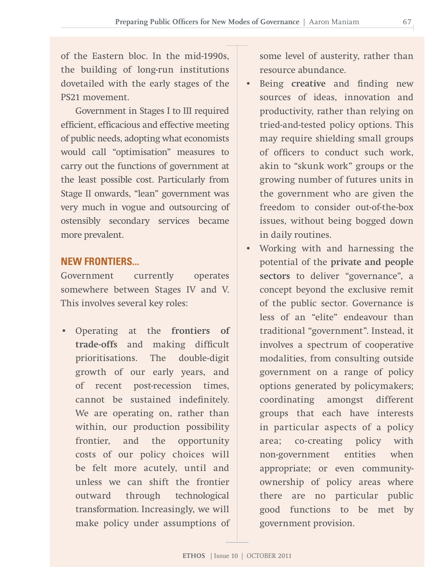of the Eastern bloc. In the mid-1990s, the building of long-run institutions dovetailed with the early stages of the PS21 movement.

Government in Stages I to III required efficient, efficacious and effective meeting of public needs, adopting what economists would call "optimisation" measures to carry out the functions of government at the least possible cost. Particularly from Stage II onwards, "lean" government was very much in vogue and outsourcing of ostensibly secondary services became more prevalent.

# **NEW FRONTIERS...**

Government currently operates somewhere between Stages IV and V. This involves several key roles:

• Operating at the **frontiers of trade-offs** and making difficult prioritisations. The double-digit growth of our early years, and of recent post-recession times, cannot be sustained indefinitely. We are operating on, rather than within, our production possibility frontier, and the opportunity costs of our policy choices will be felt more acutely, until and unless we can shift the frontier outward through technological transformation. Increasingly, we will make policy under assumptions of some level of austerity, rather than resource abundance.

- Being **creative** and finding new sources of ideas, innovation and productivity, rather than relying on tried-and-tested policy options. This may require shielding small groups of officers to conduct such work, akin to "skunk work" groups or the growing number of futures units in the government who are given the freedom to consider out-of-the-box issues, without being bogged down in daily routines.
- Working with and harnessing the potential of the **private and people sectors** to deliver "governance", a concept beyond the exclusive remit of the public sector. Governance is less of an "elite" endeavour than traditional "government". Instead, it involves a spectrum of cooperative modalities, from consulting outside government on a range of policy options generated by policymakers; coordinating amongst different groups that each have interests in particular aspects of a policy area; co-creating policy with non-government entities when appropriate; or even communityownership of policy areas where there are no particular public good functions to be met by government provision.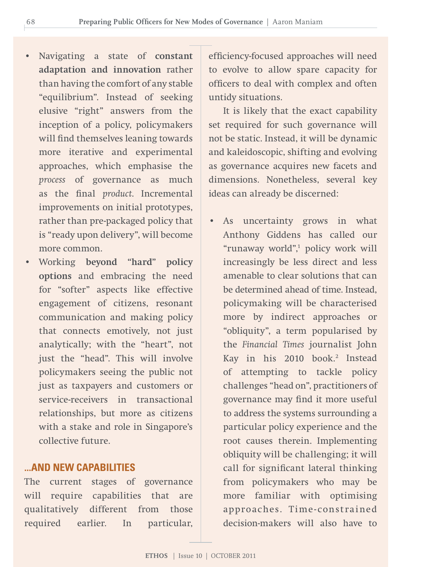- Navigating a state of **constant adaptation and innovation** rather than having the comfort of any stable "equilibrium". Instead of seeking elusive "right" answers from the inception of a policy, policymakers will find themselves leaning towards more iterative and experimental approaches, which emphasise the *process* of governance as much as the final *product*. Incremental improvements on initial prototypes, rather than pre-packaged policy that is "ready upon delivery", will become more common.
- Working **beyond "hard" policy options** and embracing the need for "softer" aspects like effective engagement of citizens, resonant communication and making policy that connects emotively, not just analytically; with the "heart", not just the "head". This will involve policymakers seeing the public not just as taxpayers and customers or service-receivers in transactional relationships, but more as citizens with a stake and role in Singapore's collective future.

### **...AND NEW CAPABILITIES**

The current stages of governance will require capabilities that are qualitatively different from those required earlier. In particular,

efficiency-focused approaches will need to evolve to allow spare capacity for officers to deal with complex and often untidy situations.

It is likely that the exact capability set required for such governance will not be static. Instead, it will be dynamic and kaleidoscopic, shifting and evolving as governance acquires new facets and dimensions. Nonetheless, several key ideas can already be discerned:

As uncertainty grows in what Anthony Giddens has called our "runaway world",1 policy work will increasingly be less direct and less amenable to clear solutions that can be determined ahead of time. Instead, policymaking will be characterised more by indirect approaches or "obliquity", a term popularised by the *Financial Times* journalist John Kay in his 2010 book.<sup>2</sup> Instead of attempting to tackle policy challenges "head on", practitioners of governance may find it more useful to address the systems surrounding a particular policy experience and the root causes therein. Implementing obliquity will be challenging; it will call for significant lateral thinking from policymakers who may be more familiar with optimising approaches. Time-constrained decision-makers will also have to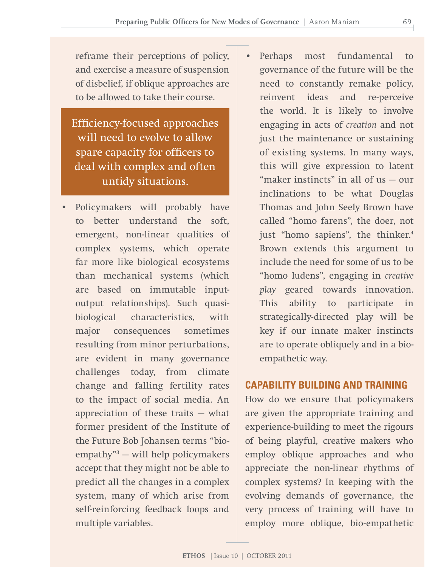reframe their perceptions of policy, and exercise a measure of suspension of disbelief, if oblique approaches are to be allowed to take their course.

Efficiency-focused approaches will need to evolve to allow spare capacity for officers to deal with complex and often untidy situations.

- Policymakers will probably have to better understand the soft, emergent, non-linear qualities of complex systems, which operate far more like biological ecosystems than mechanical systems (which are based on immutable inputoutput relationships). Such quasibiological characteristics, with major consequences sometimes resulting from minor perturbations, are evident in many governance challenges today, from climate change and falling fertility rates to the impact of social media. An appreciation of these traits — what former president of the Institute of the Future Bob Johansen terms "bioempathy"3 — will help policymakers accept that they might not be able to predict all the changes in a complex system, many of which arise from self-reinforcing feedback loops and multiple variables.
- Perhaps most fundamental to governance of the future will be the need to constantly remake policy, reinvent ideas and re-perceive the world. It is likely to involve engaging in acts of *creation* and not just the maintenance or sustaining of existing systems. In many ways, this will give expression to latent "maker instincts" in all of us — our inclinations to be what Douglas Thomas and John Seely Brown have called "homo farens", the doer, not just "homo sapiens", the thinker.<sup>4</sup> Brown extends this argument to include the need for some of us to be "homo ludens", engaging in *creative play* geared towards innovation. This ability to participate in strategically-directed play will be key if our innate maker instincts are to operate obliquely and in a bioempathetic way.

## **CAPABILITY BUILDING AND TRAINING**

How do we ensure that policymakers are given the appropriate training and experience-building to meet the rigours of being playful, creative makers who employ oblique approaches and who appreciate the non-linear rhythms of complex systems? In keeping with the evolving demands of governance, the very process of training will have to employ more oblique, bio-empathetic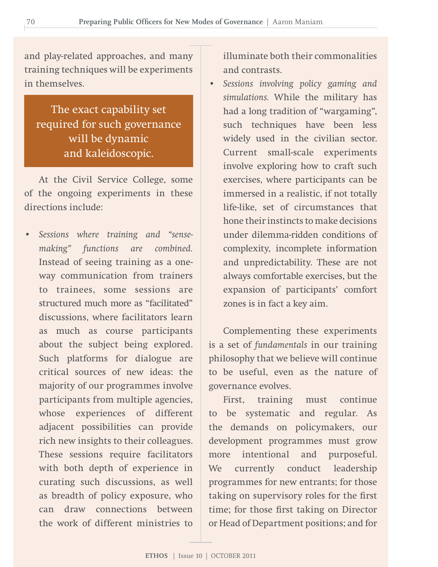and play-related approaches, and many training techniques will be experiments in themselves.

The exact capability set required for such governance will be dynamic and kaleidoscopic.

At the Civil Service College, some of the ongoing experiments in these directions include:

• *Sessions where training and "sensemaking" functions are combined.* Instead of seeing training as a oneway communication from trainers to trainees, some sessions are structured much more as "facilitated" discussions, where facilitators learn as much as course participants about the subject being explored. Such platforms for dialogue are critical sources of new ideas: the majority of our programmes involve participants from multiple agencies, whose experiences of different adjacent possibilities can provide rich new insights to their colleagues. These sessions require facilitators with both depth of experience in curating such discussions, as well as breadth of policy exposure, who can draw connections between the work of different ministries to

illuminate both their commonalities and contrasts.

• *Sessions involving policy gaming and simulations.* While the military has had a long tradition of "wargaming", such techniques have been less widely used in the civilian sector. Current small-scale experiments involve exploring how to craft such exercises, where participants can be immersed in a realistic, if not totally life-like, set of circumstances that hone their instincts to make decisions under dilemma-ridden conditions of complexity, incomplete information and unpredictability. These are not always comfortable exercises, but the expansion of participants' comfort zones is in fact a key aim.

Complementing these experiments is a set of *fundamentals* in our training philosophy that we believe will continue to be useful, even as the nature of governance evolves.

First, training must continue to be systematic and regular. As the demands on policymakers, our development programmes must grow more intentional and purposeful. We currently conduct leadership programmes for new entrants; for those taking on supervisory roles for the first time; for those first taking on Director or Head of Department positions; and for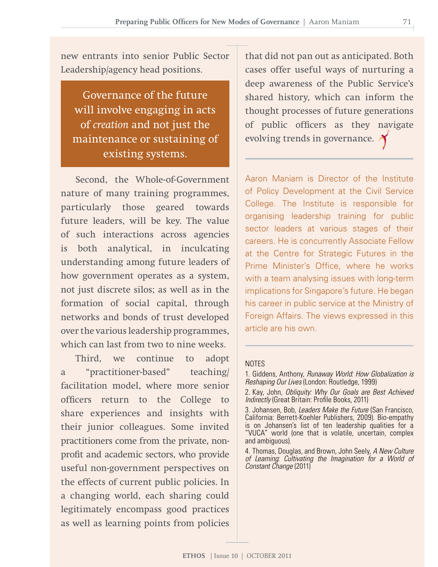new entrants into senior Public Sector Leadership/agency head positions.

Governance of the future will involve engaging in acts of *creation* and not just the maintenance or sustaining of existing systems.

Second, the Whole-of-Government nature of many training programmes, particularly those geared towards future leaders, will be key. The value of such interactions across agencies is both analytical, in inculcating understanding among future leaders of how government operates as a system, not just discrete silos; as well as in the formation of social capital, through networks and bonds of trust developed over the various leadership programmes, which can last from two to nine weeks.

Third, we continue to adopt a "practitioner-based" teaching/ facilitation model, where more senior officers return to the College to share experiences and insights with their junior colleagues. Some invited practitioners come from the private, nonprofit and academic sectors, who provide useful non-government perspectives on the effects of current public policies. In a changing world, each sharing could legitimately encompass good practices as well as learning points from policies

that did not pan out as anticipated. Both cases offer useful ways of nurturing a deep awareness of the Public Service's shared history, which can inform the thought processes of future generations of public officers as they navigate evolving trends in governance.

Aaron Maniam is Director of the Institute of Policy Development at the Civil Service College. The Institute is responsible for organising leadership training for public sector leaders at various stages of their careers. He is concurrently Associate Fellow at the Centre for Strategic Futures in the Prime Minister's Office, where he works with a team analysing issues with long-term implications for Singapore's future. He began his career in public service at the Ministry of Foreign Affairs. The views expressed in this article are his own.

#### **NOTES**

1. Giddens, Anthony, *Runaway World: How Globalization is Reshaping Our Lives* (London: Routledge, 1999)

<sup>2.</sup> Kay, John, Obliquity: Why Our Goals are Best Achieved *Indirectly* (Great Britain: Profile Books, 2011)

<sup>3.</sup> Johansen, Bob, *Leaders Make the Future* (San Francisco, California: Berrett-Koehler Publishers, 2009). Bio-empathy is on Johansen's list of ten leadership qualities for a "VUCA" world (one that is volatile, uncertain, complex and ambiguous).

<sup>4.</sup> Thomas, Douglas, and Brown, John Seely, *A New Culture of Learning: Cultivating the Imagination for a World of Constant Change* (2011)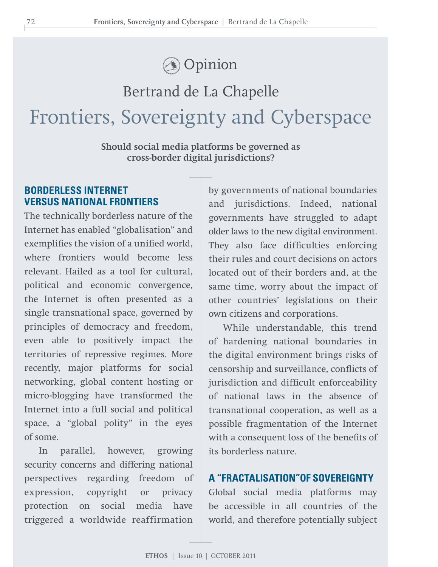# **Opinion**

# Bertrand de La Chapelle Frontiers, Sovereignty and Cyberspace

**Should social media platforms be governed as cross-border digital jurisdictions?**

# **BORDERLESS INTERNET VERSUS NATIONAL FRONTIERS**

The technically borderless nature of the Internet has enabled "globalisation" and exemplifies the vision of a unified world, where frontiers would become less relevant. Hailed as a tool for cultural, political and economic convergence, the Internet is often presented as a single transnational space, governed by principles of democracy and freedom, even able to positively impact the territories of repressive regimes. More recently, major platforms for social networking, global content hosting or micro-blogging have transformed the Internet into a full social and political space, a "global polity" in the eyes of some.

In parallel, however, growing security concerns and differing national perspectives regarding freedom of expression, copyright or privacy protection on social media have triggered a worldwide reaffirmation

by governments of national boundaries and jurisdictions. Indeed, national governments have struggled to adapt older laws to the new digital environment. They also face difficulties enforcing their rules and court decisions on actors located out of their borders and, at the same time, worry about the impact of other countries' legislations on their own citizens and corporations.

While understandable, this trend of hardening national boundaries in the digital environment brings risks of censorship and surveillance, conflicts of jurisdiction and difficult enforceability of national laws in the absence of transnational cooperation, as well as a possible fragmentation of the Internet with a consequent loss of the benefits of its borderless nature.

# **A "FRACTALISATION"OF SOVEREIGNTY**

Global social media platforms may be accessible in all countries of the world, and therefore potentially subject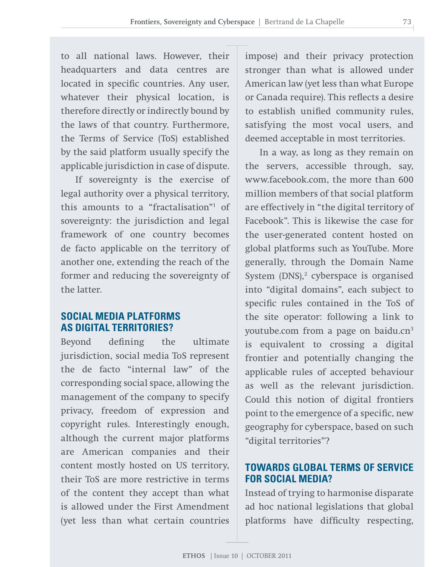to all national laws. However, their headquarters and data centres are located in specific countries. Any user, whatever their physical location, is therefore directly or indirectly bound by the laws of that country. Furthermore, the Terms of Service (ToS) established by the said platform usually specify the applicable jurisdiction in case of dispute.

If sovereignty is the exercise of legal authority over a physical territory, this amounts to a "fractalisation"1 of sovereignty: the jurisdiction and legal framework of one country becomes de facto applicable on the territory of another one, extending the reach of the former and reducing the sovereignty of the latter.

# **SOCIAL MEDIA PLATFORMS AS DIGITAL TERRITORIES?**

Beyond defining the ultimate jurisdiction, social media ToS represent the de facto "internal law" of the corresponding social space, allowing the management of the company to specify privacy, freedom of expression and copyright rules. Interestingly enough, although the current major platforms are American companies and their content mostly hosted on US territory, their ToS are more restrictive in terms of the content they accept than what is allowed under the First Amendment (yet less than what certain countries

impose) and their privacy protection stronger than what is allowed under American law (yet less than what Europe or Canada require). This reflects a desire to establish unified community rules, satisfying the most vocal users, and deemed acceptable in most territories.

In a way, as long as they remain on the servers, accessible through, say, www.facebook.com, the more than 600 million members of that social platform are effectively in "the digital territory of Facebook". This is likewise the case for the user-generated content hosted on global platforms such as YouTube. More generally, through the Domain Name System (DNS),<sup>2</sup> cyberspace is organised into "digital domains", each subject to specific rules contained in the ToS of the site operator: following a link to youtube.com from a page on baidu.cn<sup>3</sup> is equivalent to crossing a digital frontier and potentially changing the applicable rules of accepted behaviour as well as the relevant jurisdiction. Could this notion of digital frontiers point to the emergence of a specific, new geography for cyberspace, based on such "digital territories"?

# **TOWARDS GLOBAL TERMS OF SERVICE FOR SOCIAL MEDIA?**

Instead of trying to harmonise disparate ad hoc national legislations that global platforms have difficulty respecting,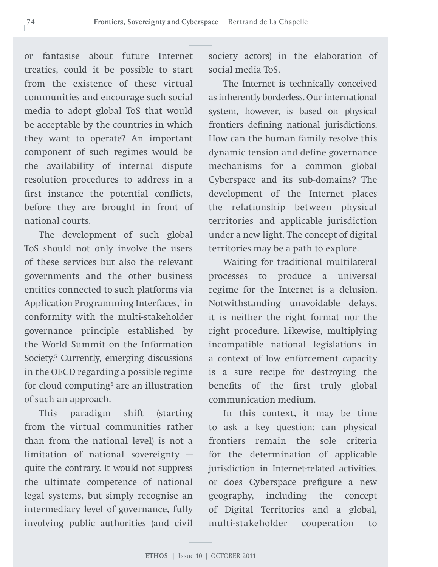or fantasise about future Internet treaties, could it be possible to start from the existence of these virtual communities and encourage such social media to adopt global ToS that would be acceptable by the countries in which they want to operate? An important component of such regimes would be the availability of internal dispute resolution procedures to address in a first instance the potential conflicts, before they are brought in front of national courts.

The development of such global ToS should not only involve the users of these services but also the relevant governments and the other business entities connected to such platforms via Application Programming Interfaces,<sup>4</sup> in conformity with the multi-stakeholder governance principle established by the World Summit on the Information Society.<sup>5</sup> Currently, emerging discussions in the OECD regarding a possible regime for cloud computing<sup>6</sup> are an illustration of such an approach.

This paradigm shift (starting from the virtual communities rather than from the national level) is not a limitation of national sovereignty quite the contrary. It would not suppress the ultimate competence of national legal systems, but simply recognise an intermediary level of governance, fully involving public authorities (and civil

society actors) in the elaboration of social media ToS.

The Internet is technically conceived as inherently borderless. Our international system, however, is based on physical frontiers defining national jurisdictions. How can the human family resolve this dynamic tension and define governance mechanisms for a common global Cyberspace and its sub-domains? The development of the Internet places the relationship between physical territories and applicable jurisdiction under a new light. The concept of digital territories may be a path to explore.

Waiting for traditional multilateral processes to produce a universal regime for the Internet is a delusion. Notwithstanding unavoidable delays, it is neither the right format nor the right procedure. Likewise, multiplying incompatible national legislations in a context of low enforcement capacity is a sure recipe for destroying the benefits of the first truly global communication medium.

In this context, it may be time to ask a key question: can physical frontiers remain the sole criteria for the determination of applicable jurisdiction in Internet-related activities, or does Cyberspace prefigure a new geography, including the concept of Digital Territories and a global, multi-stakeholder cooperation to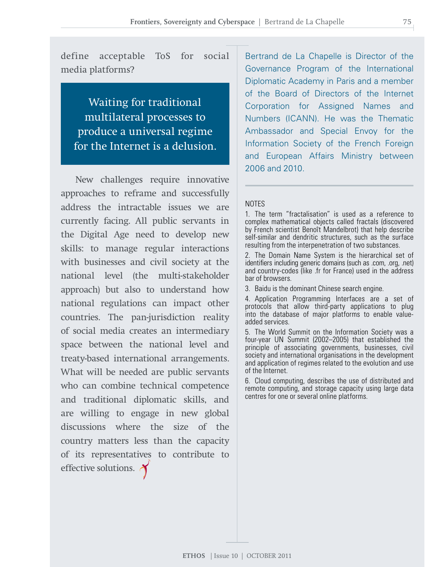define acceptable ToS for social media platforms?

Waiting for traditional multilateral processes to produce a universal regime for the Internet is a delusion.

New challenges require innovative approaches to reframe and successfully address the intractable issues we are currently facing. All public servants in the Digital Age need to develop new skills: to manage regular interactions with businesses and civil society at the national level (the multi-stakeholder approach) but also to understand how national regulations can impact other countries. The pan-jurisdiction reality of social media creates an intermediary space between the national level and treaty-based international arrangements. What will be needed are public servants who can combine technical competence and traditional diplomatic skills, and are willing to engage in new global discussions where the size of the country matters less than the capacity of its representatives to contribute to effective solutions.

Bertrand de La Chapelle is Director of the Governance Program of the International Diplomatic Academy in Paris and a member of the Board of Directors of the Internet Corporation for Assigned Names and Numbers (ICANN). He was the Thematic Ambassador and Special Envoy for the Information Society of the French Foreign and European Affairs Ministry between 2006 and 2010.

### **NOTES**

1. The term "fractalisation" is used as a reference to complex mathematical objects called fractals (discovered by French scientist Benoît Mandelbrot) that help describe self-similar and dendritic structures, such as the surface resulting from the interpenetration of two substances.

2. The Domain Name System is the hierarchical set of identifiers including generic domains (such as .com, .org, .net) and country-codes (like .fr for France) used in the address bar of browsers.

3. Baidu is the dominant Chinese search engine.

4. Application Programming Interfaces are a set of protocols that allow third-party applications to plug into the database of major platforms to enable valueadded services.

5. The World Summit on the Information Society was a four-year UN Summit (2002–2005) that established the principle of associating governments, businesses, civil society and international organisations in the development and application of regimes related to the evolution and use of the Internet.

6. Cloud computing, describes the use of distributed and remote computing, and storage capacity using large data centres for one or several online platforms.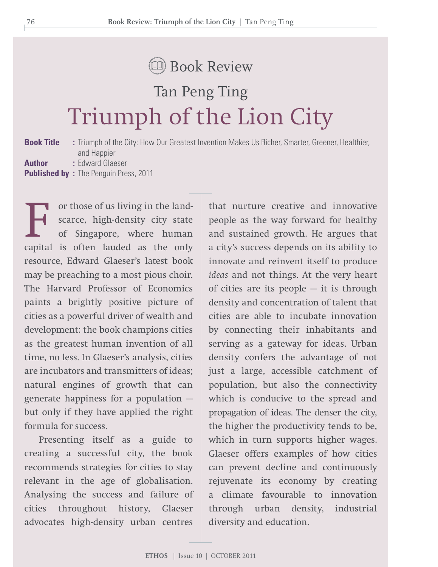# Book Review

# Tan Peng Ting Triumph of the Lion City

**Book Title :** Triumph of the City: How Our Greatest Invention Makes Us Richer, Smarter, Greener, Healthier, and Happier **Author :** Edward Glaeser **Published by :** The Penguin Press, 2011

or those of us living in the landscarce, high-density city state of Singapore, where human capital is often lauded as the only resource, Edward Glaeser's latest book may be preaching to a most pious choir. The Harvard Professor of Economics paints a brightly positive picture of cities as a powerful driver of wealth and development: the book champions cities as the greatest human invention of all time, no less. In Glaeser's analysis, cities are incubators and transmitters of ideas; natural engines of growth that can generate happiness for a population but only if they have applied the right formula for success.

Presenting itself as a guide to creating a successful city, the book recommends strategies for cities to stay relevant in the age of globalisation. Analysing the success and failure of cities throughout history, Glaeser advocates high-density urban centres

that nurture creative and innovative people as the way forward for healthy and sustained growth. He argues that a city's success depends on its ability to innovate and reinvent itself to produce *ideas* and not things. At the very heart of cities are its people  $-$  it is through density and concentration of talent that cities are able to incubate innovation by connecting their inhabitants and serving as a gateway for ideas. Urban density confers the advantage of not just a large, accessible catchment of population, but also the connectivity which is conducive to the spread and propagation of ideas. The denser the city, the higher the productivity tends to be, which in turn supports higher wages. Glaeser offers examples of how cities can prevent decline and continuously rejuvenate its economy by creating a climate favourable to innovation through urban density, industrial diversity and education.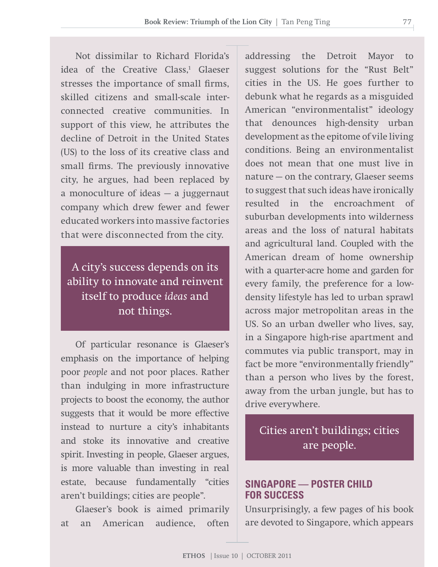Not dissimilar to Richard Florida's idea of the Creative Class,<sup>1</sup> Glaeser stresses the importance of small firms, skilled citizens and small-scale interconnected creative communities. In support of this view, he attributes the decline of Detroit in the United States (US) to the loss of its creative class and small firms. The previously innovative city, he argues, had been replaced by a monoculture of ideas — a juggernaut company which drew fewer and fewer educated workers into massive factories that were disconnected from the city.

A city's success depends on its ability to innovate and reinvent itself to produce *ideas* and not things.

Of particular resonance is Glaeser's emphasis on the importance of helping poor *people* and not poor places. Rather than indulging in more infrastructure projects to boost the economy, the author suggests that it would be more effective instead to nurture a city's inhabitants and stoke its innovative and creative spirit. Investing in people, Glaeser argues, is more valuable than investing in real estate, because fundamentally "cities aren't buildings; cities are people".

Glaeser's book is aimed primarily at an American audience, often

addressing the Detroit Mayor to suggest solutions for the "Rust Belt" cities in the US. He goes further to debunk what he regards as a misguided American "environmentalist" ideology that denounces high-density urban development as the epitome of vile living conditions. Being an environmentalist does not mean that one must live in nature — on the contrary, Glaeser seems to suggest that such ideas have ironically resulted in the encroachment of suburban developments into wilderness areas and the loss of natural habitats and agricultural land. Coupled with the American dream of home ownership with a quarter-acre home and garden for every family, the preference for a lowdensity lifestyle has led to urban sprawl across major metropolitan areas in the US. So an urban dweller who lives, say, in a Singapore high-rise apartment and commutes via public transport, may in fact be more "environmentally friendly" than a person who lives by the forest, away from the urban jungle, but has to drive everywhere.

Cities aren't buildings; cities are people.

# **SINGAPORE — POSTER CHILD FOR SUCCESS**

Unsurprisingly, a few pages of his book are devoted to Singapore, which appears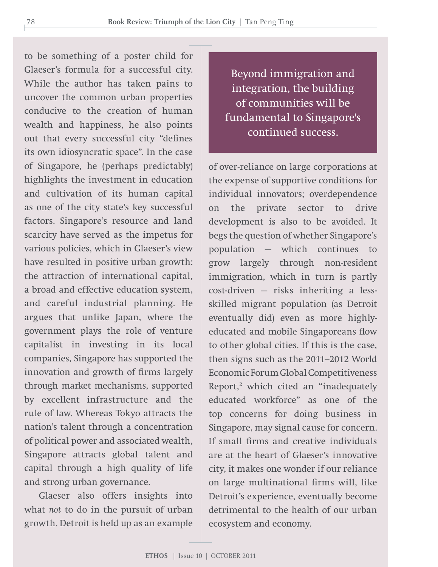to be something of a poster child for Glaeser's formula for a successful city. While the author has taken pains to uncover the common urban properties conducive to the creation of human wealth and happiness, he also points out that every successful city "defines its own idiosyncratic space". In the case of Singapore, he (perhaps predictably) highlights the investment in education and cultivation of its human capital as one of the city state's key successful factors. Singapore's resource and land scarcity have served as the impetus for various policies, which in Glaeser's view have resulted in positive urban growth: the attraction of international capital, a broad and effective education system, and careful industrial planning. He argues that unlike Japan, where the government plays the role of venture capitalist in investing in its local companies, Singapore has supported the innovation and growth of firms largely through market mechanisms, supported by excellent infrastructure and the rule of law. Whereas Tokyo attracts the nation's talent through a concentration of political power and associated wealth, Singapore attracts global talent and capital through a high quality of life and strong urban governance.

Glaeser also offers insights into what *not* to do in the pursuit of urban growth. Detroit is held up as an example

Beyond immigration and integration, the building of communities will be fundamental to Singapore's continued success.

of over-reliance on large corporations at the expense of supportive conditions for individual innovators; overdependence on the private sector to drive development is also to be avoided. It begs the question of whether Singapore's population — which continues to grow largely through non-resident immigration, which in turn is partly cost-driven — risks inheriting a lessskilled migrant population (as Detroit eventually did) even as more highlyeducated and mobile Singaporeans flow to other global cities. If this is the case, then signs such as the 2011–2012 World Economic Forum Global Competitiveness Report,<sup>2</sup> which cited an "inadequately educated workforce" as one of the top concerns for doing business in Singapore, may signal cause for concern. If small firms and creative individuals are at the heart of Glaeser's innovative city, it makes one wonder if our reliance on large multinational firms will, like Detroit's experience, eventually become detrimental to the health of our urban ecosystem and economy.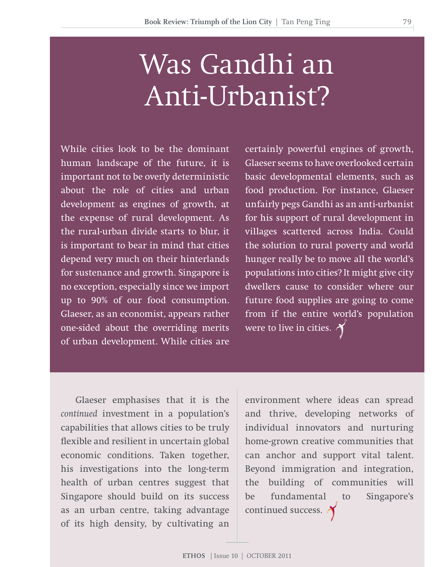# Was Gandhi an Anti-Urbanist?

While cities look to be the dominant human landscape of the future, it is important not to be overly deterministic about the role of cities and urban development as engines of growth, at the expense of rural development. As the rural-urban divide starts to blur, it is important to bear in mind that cities depend very much on their hinterlands for sustenance and growth. Singapore is no exception, especially since we import up to 90% of our food consumption. Glaeser, as an economist, appears rather one-sided about the overriding merits of urban development. While cities are

certainly powerful engines of growth, Glaeser seems to have overlooked certain basic developmental elements, such as food production. For instance, Glaeser unfairly pegs Gandhi as an anti-urbanist for his support of rural development in villages scattered across India. Could the solution to rural poverty and world hunger really be to move all the world's populations into cities? It might give city dwellers cause to consider where our future food supplies are going to come from if the entire world's population were to live in cities.  $\lambda$ 

Glaeser emphasises that it is the *continued* investment in a population's capabilities that allows cities to be truly flexible and resilient in uncertain global economic conditions. Taken together, his investigations into the long-term health of urban centres suggest that Singapore should build on its success as an urban centre, taking advantage of its high density, by cultivating an

environment where ideas can spread and thrive, developing networks of individual innovators and nurturing home-grown creative communities that can anchor and support vital talent. Beyond immigration and integration, the building of communities will be fundamental to Singapore's continued success.  $\lambda$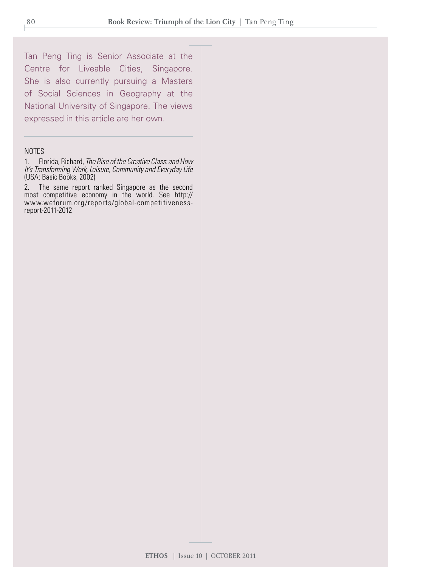Tan Peng Ting is Senior Associate at the Centre for Liveable Cities, Singapore. She is also currently pursuing a Masters of Social Sciences in Geography at the National University of Singapore. The views expressed in this article are her own.

#### NOTES

1. Florida, Richard, *The Rise of the Creative Class: and How It's Transforming Work, Leisure, Community and Everyday Life*  (USA: Basic Books, 2002)

2. The same report ranked Singapore as the second most competitive economy in the world. See http:// www.weforum.org/reports/global-competitivenessreport-2011-2012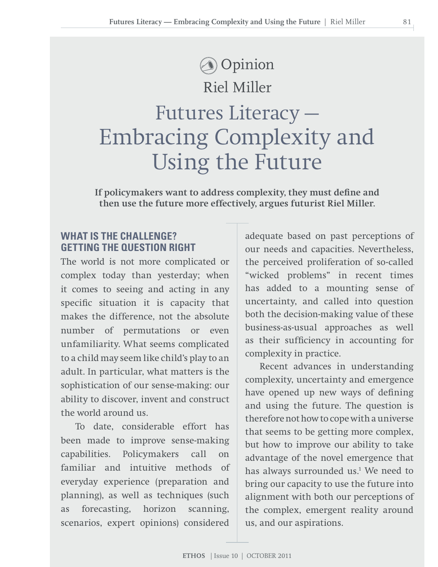# Riel Miller Futures Literacy — Embracing Complexity and Using the Future **Opinion**

**If policymakers want to address complexity, they must define and then use the future more effectively, argues futurist Riel Miller.** 

# **What is the Challenge? Getting the Question Right**

The world is not more complicated or complex today than yesterday; when it comes to seeing and acting in any specific situation it is capacity that makes the difference, not the absolute number of permutations or even unfamiliarity. What seems complicated to a child may seem like child's play to an adult. In particular, what matters is the sophistication of our sense-making: our ability to discover, invent and construct the world around us.

To date, considerable effort has been made to improve sense-making capabilities. Policymakers call on familiar and intuitive methods of everyday experience (preparation and planning), as well as techniques (such as forecasting, horizon scanning, scenarios, expert opinions) considered

adequate based on past perceptions of our needs and capacities. Nevertheless, the perceived proliferation of so-called "wicked problems" in recent times has added to a mounting sense of uncertainty, and called into question both the decision-making value of these business-as-usual approaches as well as their sufficiency in accounting for complexity in practice.

Recent advances in understanding complexity, uncertainty and emergence have opened up new ways of defining and using the future. The question is therefore not how to cope with a universe that seems to be getting more complex, but how to improve our ability to take advantage of the novel emergence that has always surrounded us.<sup>1</sup> We need to bring our capacity to use the future into alignment with both our perceptions of the complex, emergent reality around us, and our aspirations.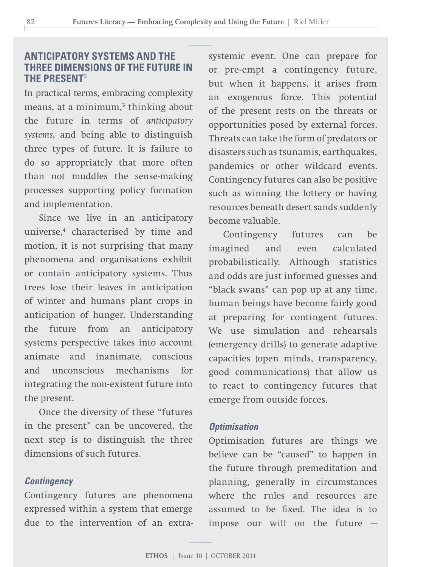# **Anticipatory Systems and the Three Dimensions of the Future in the Present**<sup>2</sup>

In practical terms, embracing complexity means, at a minimum, $^3$  thinking about the future in terms of *anticipatory systems*, and being able to distinguish three types of future. It is failure to do so appropriately that more often than not muddles the sense-making processes supporting policy formation and implementation.

Since we live in an anticipatory universe,4 characterised by time and motion, it is not surprising that many phenomena and organisations exhibit or contain anticipatory systems. Thus trees lose their leaves in anticipation of winter and humans plant crops in anticipation of hunger. Understanding the future from an anticipatory systems perspective takes into account animate and inanimate, conscious and unconscious mechanisms for integrating the non-existent future into the present.

Once the diversity of these "futures in the present" can be uncovered, the next step is to distinguish the three dimensions of such futures.

### *Contingency*

Contingency futures are phenomena expressed within a system that emerge due to the intervention of an extra-

systemic event. One can prepare for or pre-empt a contingency future, but when it happens, it arises from an exogenous force. This potential of the present rests on the threats or opportunities posed by external forces. Threats can take the form of predators or disasters such as tsunamis, earthquakes, pandemics or other wildcard events. Contingency futures can also be positive such as winning the lottery or having resources beneath desert sands suddenly become valuable.

Contingency futures can be imagined and even calculated probabilistically. Although statistics and odds are just informed guesses and "black swans" can pop up at any time, human beings have become fairly good at preparing for contingent futures. We use simulation and rehearsals (emergency drills) to generate adaptive capacities (open minds, transparency, good communications) that allow us to react to contingency futures that emerge from outside forces.

### *Optimisation*

Optimisation futures are things we believe can be "caused" to happen in the future through premeditation and planning, generally in circumstances where the rules and resources are assumed to be fixed. The idea is to impose our will on the future —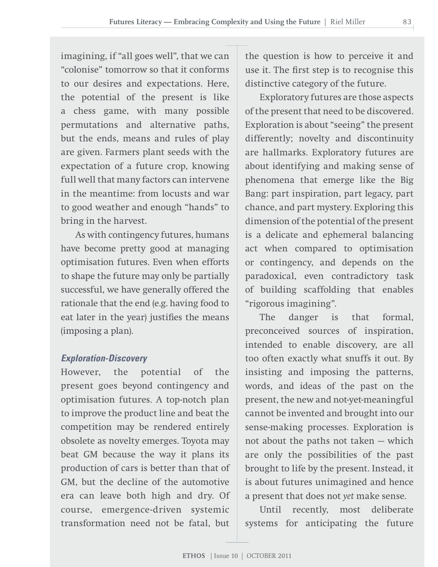imagining, if "all goes well", that we can "colonise" tomorrow so that it conforms to our desires and expectations. Here, the potential of the present is like a chess game, with many possible permutations and alternative paths, but the ends, means and rules of play are given. Farmers plant seeds with the expectation of a future crop, knowing full well that many factors can intervene in the meantime: from locusts and war to good weather and enough "hands" to bring in the harvest.

As with contingency futures, humans have become pretty good at managing optimisation futures. Even when efforts to shape the future may only be partially successful, we have generally offered the rationale that the end (e.g. having food to eat later in the year) justifies the means (imposing a plan).

### *Exploration-Discovery*

However, the potential of the present goes beyond contingency and optimisation futures. A top-notch plan to improve the product line and beat the competition may be rendered entirely obsolete as novelty emerges. Toyota may beat GM because the way it plans its production of cars is better than that of GM, but the decline of the automotive era can leave both high and dry. Of course, emergence-driven systemic transformation need not be fatal, but

the question is how to perceive it and use it. The first step is to recognise this distinctive category of the future.

Exploratory futures are those aspects of the present that need to be discovered. Exploration is about "seeing" the present differently; novelty and discontinuity are hallmarks. Exploratory futures are about identifying and making sense of phenomena that emerge like the Big Bang: part inspiration, part legacy, part chance, and part mystery. Exploring this dimension of the potential of the present is a delicate and ephemeral balancing act when compared to optimisation or contingency, and depends on the paradoxical, even contradictory task of building scaffolding that enables "rigorous imagining".

The danger is that formal, preconceived sources of inspiration, intended to enable discovery, are all too often exactly what snuffs it out. By insisting and imposing the patterns, words, and ideas of the past on the present, the new and not-yet-meaningful cannot be invented and brought into our sense-making processes. Exploration is not about the paths not taken — which are only the possibilities of the past brought to life by the present. Instead, it is about futures unimagined and hence a present that does not *yet* make sense.

Until recently, most deliberate systems for anticipating the future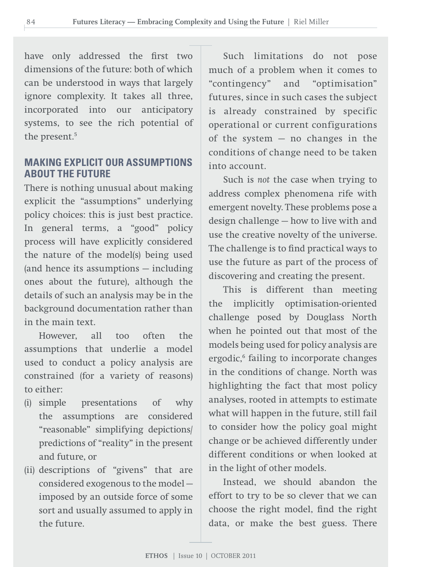have only addressed the first two dimensions of the future: both of which can be understood in ways that largely ignore complexity. It takes all three, incorporated into our anticipatory systems, to see the rich potential of the present.<sup>5</sup>

# **Making explicit our assumptions about the future**

There is nothing unusual about making explicit the "assumptions" underlying policy choices: this is just best practice. In general terms, a "good" policy process will have explicitly considered the nature of the model(s) being used (and hence its assumptions — including ones about the future), although the details of such an analysis may be in the background documentation rather than in the main text.

However, all too often the assumptions that underlie a model used to conduct a policy analysis are constrained (for a variety of reasons) to either:

- (i) simple presentations of why the assumptions are considered "reasonable" simplifying depictions/ predictions of "reality" in the present and future, or
- (ii) descriptions of "givens" that are considered exogenous to the model imposed by an outside force of some sort and usually assumed to apply in the future.

Such limitations do not pose much of a problem when it comes to "contingency" and "optimisation" futures, since in such cases the subject is already constrained by specific operational or current configurations of the system  $-$  no changes in the conditions of change need to be taken into account.

Such is *not* the case when trying to address complex phenomena rife with emergent novelty. These problems pose a design challenge — how to live with and use the creative novelty of the universe. The challenge is to find practical ways to use the future as part of the process of discovering and creating the present.

This is different than meeting the implicitly optimisation-oriented challenge posed by Douglass North when he pointed out that most of the models being used for policy analysis are ergodic,<sup>6</sup> failing to incorporate changes in the conditions of change. North was highlighting the fact that most policy analyses, rooted in attempts to estimate what will happen in the future, still fail to consider how the policy goal might change or be achieved differently under different conditions or when looked at in the light of other models.

Instead, we should abandon the effort to try to be so clever that we can choose the right model, find the right data, or make the best guess. There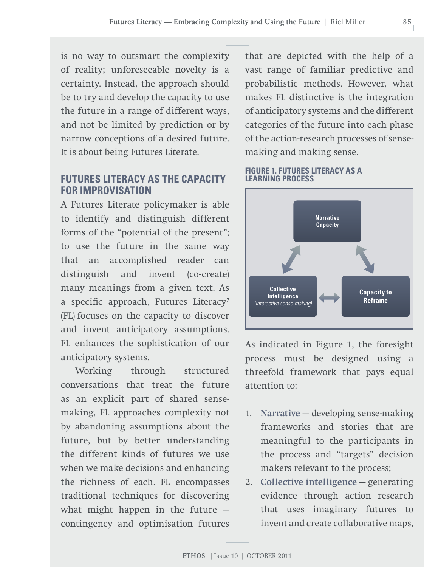is no way to outsmart the complexity of reality; unforeseeable novelty is a certainty. Instead, the approach should be to try and develop the capacity to use the future in a range of different ways, and not be limited by prediction or by narrow conceptions of a desired future. It is about being Futures Literate.

## **Futures Literacy as the Capacity for Improvisation**

A Futures Literate policymaker is able to identify and distinguish different forms of the "potential of the present"; to use the future in the same way that an accomplished reader can distinguish and invent (co-create) many meanings from a given text. As a specific approach, Futures Literacy<sup>7</sup> (FL) focuses on the capacity to discover and invent anticipatory assumptions. FL enhances the sophistication of our anticipatory systems.

Working through structured conversations that treat the future as an explicit part of shared sensemaking, FL approaches complexity not by abandoning assumptions about the future, but by better understanding the different kinds of futures we use when we make decisions and enhancing the richness of each. FL encompasses traditional techniques for discovering what might happen in the future contingency and optimisation futures

that are depicted with the help of a vast range of familiar predictive and probabilistic methods. However, what makes FL distinctive is the integration of anticipatory systems and the different categories of the future into each phase of the action-research processes of sensemaking and making sense.

### **FIGURE 1. futures literacy as a learning process**



As indicated in Figure 1, the foresight process must be designed using a threefold framework that pays equal attention to:

- 1. **Narrative** developing sense-making frameworks and stories that are meaningful to the participants in the process and "targets" decision makers relevant to the process;
- 2. **Collective intelligence** generating evidence through action research that uses imaginary futures to invent and create collaborative maps,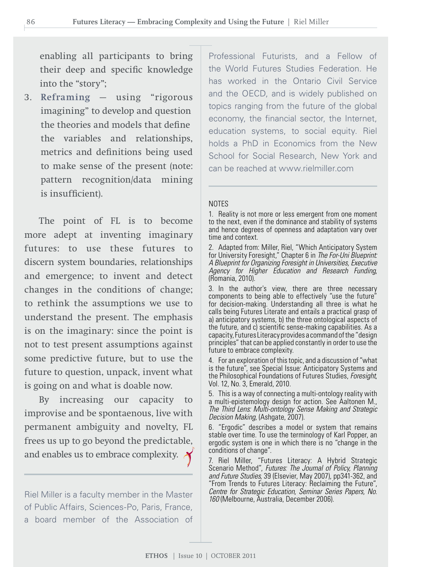enabling all participants to bring their deep and specific knowledge into the "story";

3. **Reframing** — using "rigorous imagining" to develop and question the theories and models that define the variables and relationships, metrics and definitions being used to make sense of the present (note: pattern recognition/data mining is insufficient).

The point of FL is to become more adept at inventing imaginary futures: to use these futures to discern system boundaries, relationships and emergence; to invent and detect changes in the conditions of change; to rethink the assumptions we use to understand the present. The emphasis is on the imaginary: since the point is not to test present assumptions against some predictive future, but to use the future to question, unpack, invent what is going on and what is doable now.

By increasing our capacity to improvise and be spontaenous, live with permanent ambiguity and novelty, FL frees us up to go beyond the predictable, and enables us to embrace complexity.  $\lambda$ 

Riel Miller is a faculty member in the Master of Public Affairs, Sciences-Po, Paris, France, a board member of the Association of

Professional Futurists, and a Fellow of the World Futures Studies Federation. He has worked in the Ontario Civil Service and the OECD, and is widely published on topics ranging from the future of the global economy, the financial sector, the Internet, education systems, to social equity. Riel holds a PhD in Economics from the New School for Social Research, New York and can be reached at www.rielmiller.com

### NOTES

1. Reality is not more or less emergent from one moment to the next, even if the dominance and stability of systems and hence degrees of openness and adaptation vary over time and context.

2. Adapted from: Miller, Riel, "Which Anticipatory System for University Foresight," Chapter 6 in *The For-Uni Blueprint: A Blueprint for Organizing Foresight in Universities, Executive Agency for Higher Education and Research Funding*, (Romania, 2010).

3. In the author's view, there are three necessary components to being able to effectively "use the future" for decision-making. Understanding all three is what he calls being Futures Literate and entails a practical grasp of a) anticipatory systems, b) the three ontological aspects of the future, and c) scientific sense-making capabilities. As a capacity,FuturesLiteracy provides a command ofthe "design principles" that can be applied constantly in order to use the future to embrace complexity.

4. For an exploration of this topic, and a discussion of "what is the future", see Special Issue: Anticipatory Systems and the Philosophical Foundations of Futures Studies, *Foresight*, Vol. 12, No. 3, Emerald, 2010.

5. This is a way of connecting a multi-ontology reality with a multi-epistemology design for action. See Aaltonen M., *The Third Lens: Multi-ontology Sense Making and Strategic Decision Making,* (Ashgate, 2007).

6. "Ergodic" describes a model or system that remains stable over time. To use the terminology of Karl Popper, an ergodic system is one in which there is no "change in the conditions of change".

7. Riel Miller, "Futures Literacy: A Hybrid Strategic Scenario Method", *Futures: The Journal of Policy, Planning and Future Studies*, 39 (Elsevier, May 2007), pp341-362, and "From Trends to Futures Literacy: Reclaiming the Future", *Centre for Strategic Education, Seminar Series Papers, No. 160* (Melbourne, Australia, December 2006).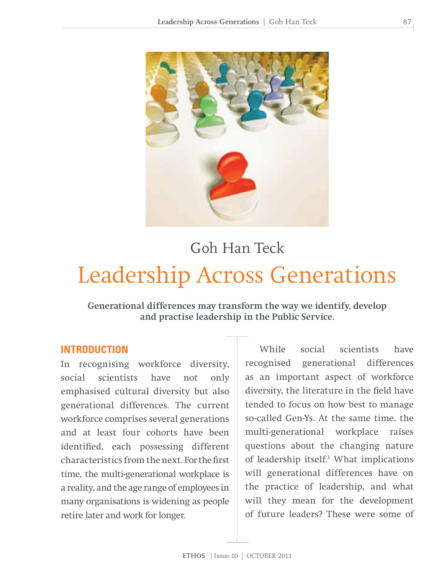

# Goh Han Teck

# Leadership Across Generations

**Generational differences may transform the way we identify, develop and practise leadership in the Public Service.**

## **INTRODUCTION**

In recognising workforce diversity, social scientists have not only emphasised cultural diversity but also generational differences. The current workforce comprises several generations and at least four cohorts have been identified, each possessing different characteristics from the next. For the first time, the multi-generational workplace is a reality, and the age range of employees in many organisations is widening as people retire later and work for longer.

While social scientists have recognised generational differences as an important aspect of workforce diversity, the literature in the field have tended to focus on how best to manage so-called Gen-Ys. At the same time, the multi-generational workplace raises questions about the changing nature of leadership itself.<sup>1</sup> What implications will generational differences have on the practice of leadership, and what will they mean for the development of future leaders? These were some of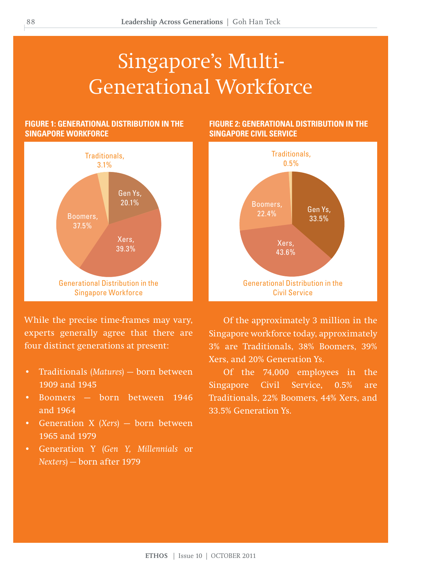# Singapore's Multi-Generational Workforce

### **Figure 1: Generational Distribution in the Singapore Workforce**



While the precise time-frames may vary, experts generally agree that there are four distinct generations at present:

- Traditionals (*Matures*) born between 1909 and 1945
- Boomers born between 1946 and 1964
- Generation X (*Xers*) born between 1965 and 1979
- Generation Y (*Gen Y, Millennials* or *Nexters*) — born after 1979

### **Figure 2: Generational Distribution in the Singapore Civil Service**



Of the approximately 3 million in the Singapore workforce today, approximately 3% are Traditionals, 38% Boomers, 39% Xers, and 20% Generation Ys.

Of the 74,000 employees in the Singapore Civil Service, 0.5% are Traditionals, 22% Boomers, 44% Xers, and 33.5% Generation Ys.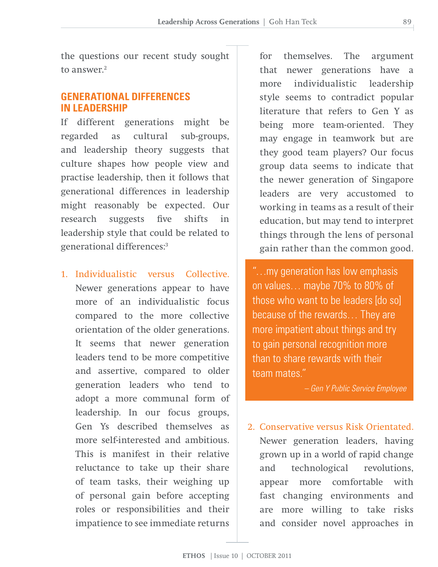the questions our recent study sought to answer<sup>2</sup>

## **GENERATIONAL DIFFERENCES IN LEADERSHIP**

If different generations might be regarded as cultural sub-groups, and leadership theory suggests that culture shapes how people view and practise leadership, then it follows that generational differences in leadership might reasonably be expected. Our research suggests five shifts in leadership style that could be related to generational differences:3

1. Individualistic versus Collective. Newer generations appear to have more of an individualistic focus compared to the more collective orientation of the older generations. It seems that newer generation leaders tend to be more competitive and assertive, compared to older generation leaders who tend to adopt a more communal form of leadership. In our focus groups, Gen Ys described themselves as more self-interested and ambitious. This is manifest in their relative reluctance to take up their share of team tasks, their weighing up of personal gain before accepting roles or responsibilities and their impatience to see immediate returns

for themselves. The argument that newer generations have a more individualistic leadership style seems to contradict popular literature that refers to Gen Y as being more team-oriented. They may engage in teamwork but are they good team players? Our focus group data seems to indicate that the newer generation of Singapore leaders are very accustomed to working in teams as a result of their education, but may tend to interpret things through the lens of personal gain rather than the common good.

"…my generation has low emphasis on values… maybe 70% to 80% of those who want to be leaders [do so] because of the rewards… They are more impatient about things and try to gain personal recognition more than to share rewards with their team mates."

*– Gen Y Public Service Employee*

 2. Conservative versus Risk Orientated. Newer generation leaders, having grown up in a world of rapid change and technological revolutions, appear more comfortable with fast changing environments and are more willing to take risks and consider novel approaches in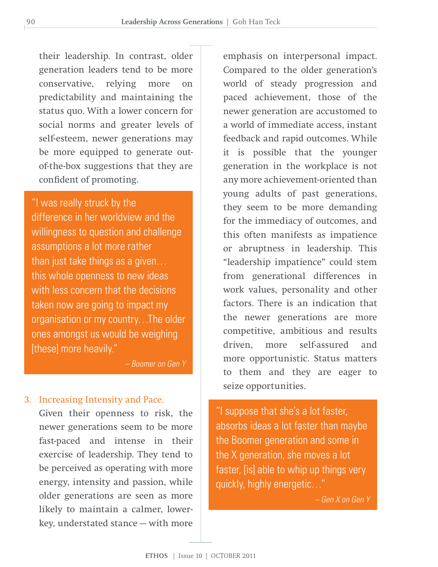their leadership. In contrast, older generation leaders tend to be more conservative, relying more on predictability and maintaining the status quo. With a lower concern for social norms and greater levels of self-esteem, newer generations may be more equipped to generate outof-the-box suggestions that they are confident of promoting.

"I was really struck by the difference in her worldview and the willingness to question and challenge assumptions a lot more rather than just take things as a given… this whole openness to new ideas with less concern that the decisions taken now are going to impact my organisation or my country…The older ones amongst us would be weighing [these] more heavily."

*– Boomer on Gen Y*

### 3. Increasing Intensity and Pace.

Given their openness to risk, the newer generations seem to be more fast-paced and intense in their exercise of leadership. They tend to be perceived as operating with more energy, intensity and passion, while older generations are seen as more likely to maintain a calmer, lowerkey, understated stance — with more

emphasis on interpersonal impact. Compared to the older generation's world of steady progression and paced achievement, those of the newer generation are accustomed to a world of immediate access, instant feedback and rapid outcomes. While it is possible that the younger generation in the workplace is not any more achievement-oriented than young adults of past generations, they seem to be more demanding for the immediacy of outcomes, and this often manifests as impatience or abruptness in leadership. This "leadership impatience" could stem from generational differences in work values, personality and other factors. There is an indication that the newer generations are more competitive, ambitious and results driven, more self-assured and more opportunistic. Status matters to them and they are eager to seize opportunities.

"I suppose that she's a lot faster, absorbs ideas a lot faster than maybe the Boomer generation and some in the X generation, she moves a lot faster, [is] able to whip up things very quickly, highly energetic…"

*– Gen X on Gen Y*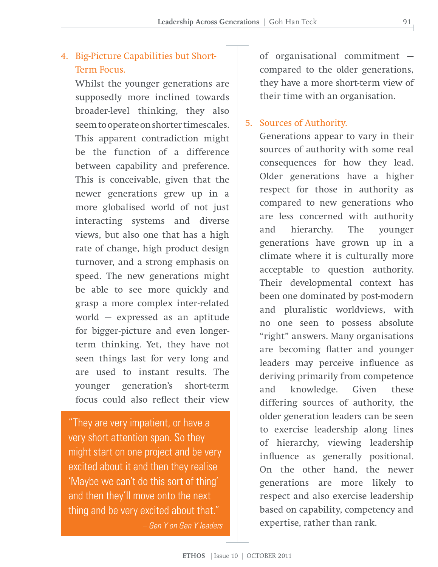# 4. Big-Picture Capabilities but Short-Term Focus.

Whilst the younger generations are supposedly more inclined towards broader-level thinking, they also seem to operate on shorter timescales. This apparent contradiction might be the function of a difference between capability and preference. This is conceivable, given that the newer generations grew up in a more globalised world of not just interacting systems and diverse views, but also one that has a high rate of change, high product design turnover, and a strong emphasis on speed. The new generations might be able to see more quickly and grasp a more complex inter-related world — expressed as an aptitude for bigger-picture and even longerterm thinking. Yet, they have not seen things last for very long and are used to instant results. The younger generation's short-term focus could also reflect their view

"They are very impatient, or have a very short attention span. So they might start on one project and be very excited about it and then they realise 'Maybe we can't do this sort of thing' and then they'll move onto the next thing and be very excited about that." *– Gen Y on Gen Y leaders* of organisational commitment compared to the older generations, they have a more short-term view of their time with an organisation.

### 5. Sources of Authority.

Generations appear to vary in their sources of authority with some real consequences for how they lead. Older generations have a higher respect for those in authority as compared to new generations who are less concerned with authority and hierarchy. The younger generations have grown up in a climate where it is culturally more acceptable to question authority. Their developmental context has been one dominated by post-modern and pluralistic worldviews, with no one seen to possess absolute "right" answers. Many organisations are becoming flatter and younger leaders may perceive influence as deriving primarily from competence and knowledge. Given these differing sources of authority, the older generation leaders can be seen to exercise leadership along lines of hierarchy, viewing leadership influence as generally positional. On the other hand, the newer generations are more likely to respect and also exercise leadership based on capability, competency and expertise, rather than rank.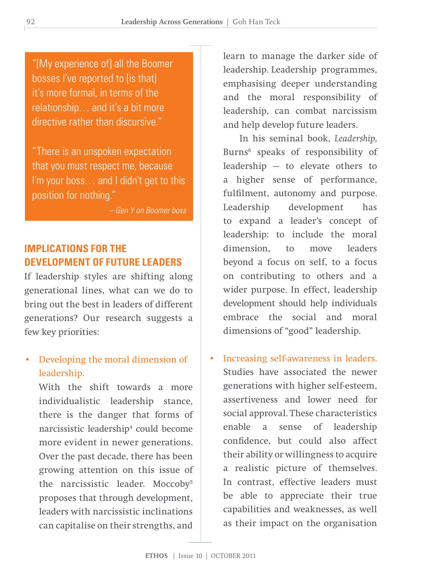"[My experience of] all the Boomer bosses I've reported to [is that] it's more formal, in terms of the relationship… and it's a bit more directive rather than discursive."

"There is an unspoken expectation that you must respect me, because I'm your boss… and I didn't get to this position for nothing."

*– Gen Y on Boomer boss*

# **IMPLICATIONS FOR THE DEVELOPMENT OF FUTURE LEADERS**

If leadership styles are shifting along generational lines, what can we do to bring out the best in leaders of different generations? Our research suggests a few key priorities:

• Developing the moral dimension of leadership.

With the shift towards a more individualistic leadership stance, there is the danger that forms of narcissistic leadership<sup>4</sup> could become more evident in newer generations. Over the past decade, there has been growing attention on this issue of the narcissistic leader. Moccoby5 proposes that through development, leaders with narcissistic inclinations can capitalise on their strengths, and

learn to manage the darker side of leadership. Leadership programmes, emphasising deeper understanding and the moral responsibility of leadership, can combat narcissism and help develop future leaders.

 In his seminal book, *Leadership*, Burns6 speaks of responsibility of leadership — to elevate others to a higher sense of performance, fulfilment, autonomy and purpose. Leadership development has to expand a leader's concept of leadership: to include the moral dimension, to move leaders beyond a focus on self, to a focus on contributing to others and a wider purpose. In effect, leadership development should help individuals embrace the social and moral dimensions of "good" leadership.

• Increasing self-awareness in leaders. Studies have associated the newer generations with higher self-esteem, assertiveness and lower need for social approval. These characteristics enable a sense of leadership confidence, but could also affect their ability or willingness to acquire a realistic picture of themselves. In contrast, effective leaders must be able to appreciate their true capabilities and weaknesses, as well as their impact on the organisation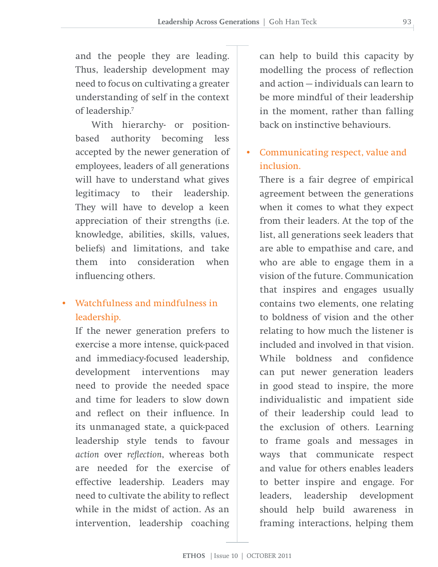and the people they are leading. Thus, leadership development may need to focus on cultivating a greater understanding of self in the context of leadership.7

 With hierarchy- or positionbased authority becoming less accepted by the newer generation of employees, leaders of all generations will have to understand what gives legitimacy to their leadership. They will have to develop a keen appreciation of their strengths (i.e. knowledge, abilities, skills, values, beliefs) and limitations, and take them into consideration when influencing others.

• Watchfulness and mindfulness in leadership.

If the newer generation prefers to exercise a more intense, quick-paced and immediacy-focused leadership, development interventions may need to provide the needed space and time for leaders to slow down and reflect on their influence. In its unmanaged state, a quick-paced leadership style tends to favour *action* over *reflection*, whereas both are needed for the exercise of effective leadership. Leaders may need to cultivate the ability to reflect while in the midst of action. As an intervention, leadership coaching

can help to build this capacity by modelling the process of reflection and action — individuals can learn to be more mindful of their leadership in the moment, rather than falling back on instinctive behaviours.

# • Communicating respect, value and inclusion.

There is a fair degree of empirical agreement between the generations when it comes to what they expect from their leaders. At the top of the list, all generations seek leaders that are able to empathise and care, and who are able to engage them in a vision of the future. Communication that inspires and engages usually contains two elements, one relating to boldness of vision and the other relating to how much the listener is included and involved in that vision. While boldness and confidence can put newer generation leaders in good stead to inspire, the more individualistic and impatient side of their leadership could lead to the exclusion of others. Learning to frame goals and messages in ways that communicate respect and value for others enables leaders to better inspire and engage. For leaders, leadership development should help build awareness in framing interactions, helping them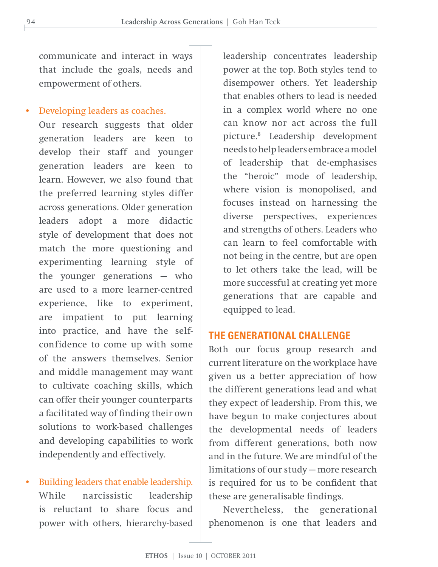communicate and interact in ways that include the goals, needs and empowerment of others.

• Developing leaders as coaches.

Our research suggests that older generation leaders are keen to develop their staff and younger generation leaders are keen to learn. However, we also found that the preferred learning styles differ across generations. Older generation leaders adopt a more didactic style of development that does not match the more questioning and experimenting learning style of the younger generations — who are used to a more learner-centred experience, like to experiment, are impatient to put learning into practice, and have the selfconfidence to come up with some of the answers themselves. Senior and middle management may want to cultivate coaching skills, which can offer their younger counterparts a facilitated way of finding their own solutions to work-based challenges and developing capabilities to work independently and effectively.

• Building leaders that enable leadership. While narcissistic leadership is reluctant to share focus and power with others, hierarchy-based

leadership concentrates leadership power at the top. Both styles tend to disempower others. Yet leadership that enables others to lead is needed in a complex world where no one can know nor act across the full picture.8 Leadership development needs to help leaders embrace a model of leadership that de-emphasises the "heroic" mode of leadership, where vision is monopolised, and focuses instead on harnessing the diverse perspectives, experiences and strengths of others. Leaders who can learn to feel comfortable with not being in the centre, but are open to let others take the lead, will be more successful at creating yet more generations that are capable and equipped to lead.

### **THE GENERATIONAL CHALLENGE**

Both our focus group research and current literature on the workplace have given us a better appreciation of how the different generations lead and what they expect of leadership. From this, we have begun to make conjectures about the developmental needs of leaders from different generations, both now and in the future. We are mindful of the limitations of our study — more research is required for us to be confident that these are generalisable findings.

Nevertheless, the generational phenomenon is one that leaders and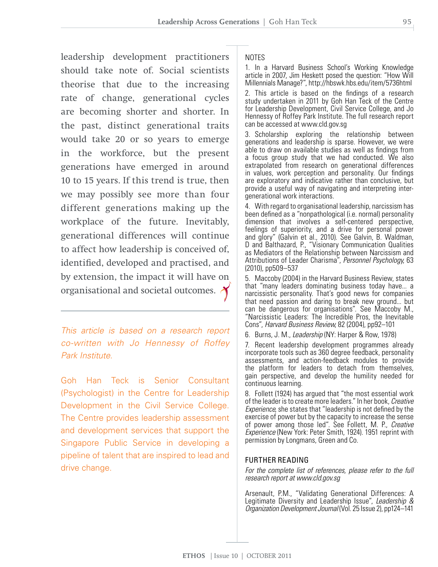leadership development practitioners should take note of. Social scientists theorise that due to the increasing rate of change, generational cycles are becoming shorter and shorter. In the past, distinct generational traits would take 20 or so years to emerge in the workforce, but the present generations have emerged in around 10 to 15 years. If this trend is true, then we may possibly see more than four different generations making up the workplace of the future. Inevitably, generational differences will continue to affect how leadership is conceived of, identified, developed and practised, and by extension, the impact it will have on organisational and societal outcomes.

*This article is based on a research report co-written with Jo Hennessy of Roffey Park Institute.*

Goh Han Teck is Senior Consultant (Psychologist) in the Centre for Leadership Development in the Civil Service College. The Centre provides leadership assessment and development services that support the Singapore Public Service in developing a pipeline of talent that are inspired to lead and drive change.

### **NOTES**

1. In a Harvard Business School's Working Knowledge article in 2007, Jim Heskett posed the question: "How Will Millennials Manage?", http://hbswk.hbs.edu/item/5736html

2. This article is based on the findings of a research study undertaken in 2011 by Goh Han Teck of the Centre for Leadership Development, Civil Service College, and Jo Hennessy of Roffey Park Institute. The full research report can be accessed at www.cld.gov.sg

3. Scholarship exploring the relationship between generations and leadership is sparse. However, we were able to draw on available studies as well as findings from a focus group study that we had conducted. We also extrapolated from research on generational differences in values, work perception and personality. Our findings are exploratory and indicative rather than conclusive, but provide a useful way of navigating and interpreting intergenerational work interactions.

4. With regard to organisational leadership, narcissism has been defined as a "nonpathological (i.e. normal) personality dimension that involves a self-centered perspective, feelings of superiority, and a drive for personal power and glory" (Galvin et al., 2010). See Galvin, B. Waldman, D and Balthazard, P., "Visionary Communication Qualities as Mediators of the Relationship between Narcissism and Attributions of Leader Charisma", *Personnel Psychology*, 63 (2010), pp509–537

5. Maccoby (2004) in the Harvard Business Review, states that "many leaders dominating business today have... a narcissistic personality. That's good news for companies that need passion and daring to break new ground... but can be dangerous for organisations". See Maccoby M., "Narcissistic Leaders: The Incredible Pros, the Inevitable Cons", *Harvard Business Review*, 82 (2004), pp92–101

6. Burns, J. M., *Leadership* (NY: Harper & Row, 1978)

7. Recent leadership development programmes already incorporate tools such as 360 degree feedback, personality assessments, and action-feedback modules to provide the platform for leaders to detach from themselves, gain perspective, and develop the humility needed for continuous learning.

8. Follett (1924) has argued that "the most essential work of the leader isto create more leaders."In her book, *Creative Experience*, she states that "leadership is not defined by the exercise of power but by the capacity to increase the sense of power among those led". See Follett, M. P., *Creative Experience* (New York: Peter Smith, 1924). 1951 reprint with permission by Longmans, Green and Co.

### FURTHER READING

*For the complete list of references, please refer to the full research report at www.cld.gov.sg*

Arsenault, P.M., "Validating Generational Differences: A Legitimate Diversity and Leadership Issue", *Leadership & Organization Development Journal* (Vol. 25 Issue 2), pp124–141